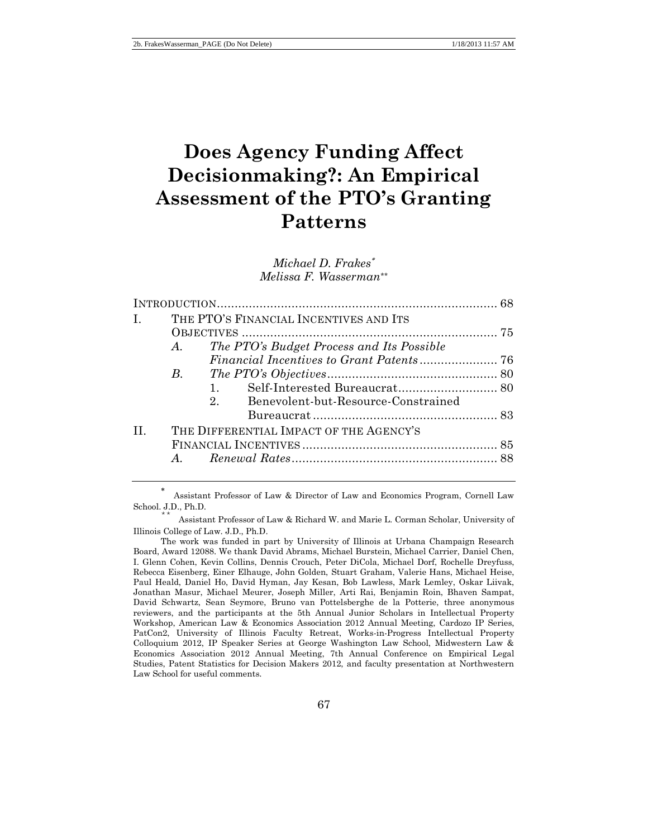# **Does Agency Funding Affect Decisionmaking?: An Empirical Assessment of the PTO's Granting Patterns**

*Michael D. Frakes Melissa F. Wasserman\*\**

| L | THE PTO'S FINANCIAL INCENTIVES AND ITS                   |  |
|---|----------------------------------------------------------|--|
|   |                                                          |  |
|   | The PTO's Budget Process and Its Possible<br>$A_{\cdot}$ |  |
|   |                                                          |  |
|   |                                                          |  |
|   | 1.                                                       |  |
|   | 2. Benevolent-but-Resource-Constrained                   |  |
|   |                                                          |  |
| Π | THE DIFFERENTIAL IMPACT OF THE AGENCY'S                  |  |
|   |                                                          |  |
|   | $\bm{A}$                                                 |  |

\* Assistant Professor of Law & Director of Law and Economics Program, Cornell Law School. J.D., Ph.D.

\*\* Assistant Professor of Law & Richard W. and Marie L. Corman Scholar, University of Illinois College of Law. J.D., Ph.D.

The work was funded in part by University of Illinois at Urbana Champaign Research Board, Award 12088. We thank David Abrams, Michael Burstein, Michael Carrier, Daniel Chen, I. Glenn Cohen, Kevin Collins, Dennis Crouch, Peter DiCola, Michael Dorf, Rochelle Dreyfuss, Rebecca Eisenberg, Einer Elhauge, John Golden, Stuart Graham, Valerie Hans, Michael Heise, Paul Heald, Daniel Ho, David Hyman, Jay Kesan, Bob Lawless, Mark Lemley, Oskar Liivak, Jonathan Masur, Michael Meurer, Joseph Miller, Arti Rai, Benjamin Roin, Bhaven Sampat, David Schwartz, Sean Seymore, Bruno van Pottelsberghe de la Potterie, three anonymous reviewers, and the participants at the 5th Annual Junior Scholars in Intellectual Property Workshop, American Law & Economics Association 2012 Annual Meeting, Cardozo IP Series, PatCon2, University of Illinois Faculty Retreat, Works-in-Progress Intellectual Property Colloquium 2012, IP Speaker Series at George Washington Law School, Midwestern Law & Economics Association 2012 Annual Meeting, 7th Annual Conference on Empirical Legal Studies, Patent Statistics for Decision Makers 2012, and faculty presentation at Northwestern Law School for useful comments.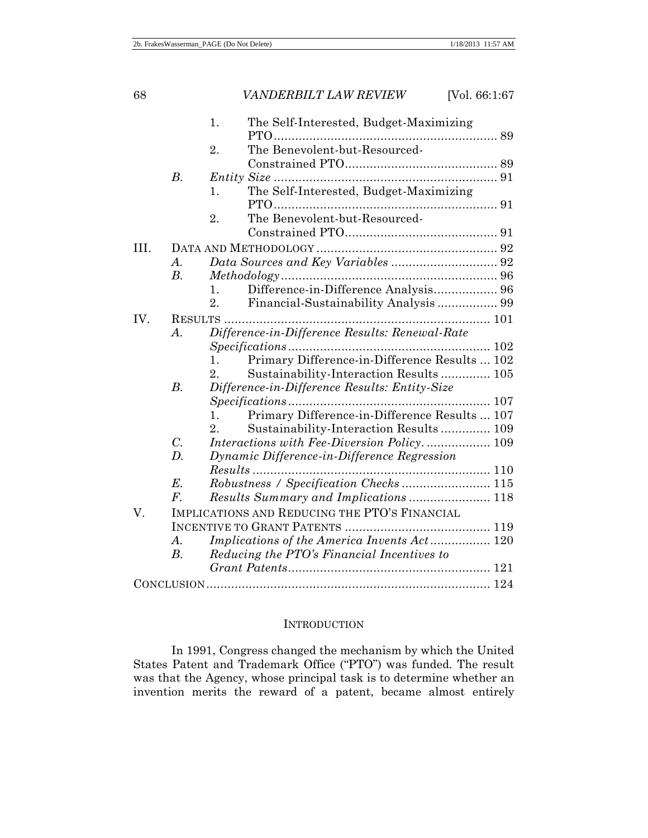|      |             | 1.<br>The Self-Interested, Budget-Maximizing               |
|------|-------------|------------------------------------------------------------|
|      |             | The Benevolent-but-Resourced-<br>2.                        |
|      |             |                                                            |
|      | $B$ .       |                                                            |
|      |             | The Self-Interested, Budget-Maximizing<br>1.               |
|      |             |                                                            |
|      |             | The Benevolent-but-Resourced-<br>2.                        |
|      |             |                                                            |
|      |             |                                                            |
| III. |             |                                                            |
|      | А.          |                                                            |
|      | $B$ .       |                                                            |
|      |             | Difference-in-Difference Analysis 96<br>$1_{-}$            |
|      |             | 2.<br>Financial-Sustainability Analysis  99                |
| IV.  |             |                                                            |
|      | А.          | Difference-in-Difference Results: Renewal-Rate             |
|      |             |                                                            |
|      |             | Primary Difference-in-Difference Results  102<br>1.        |
|      |             | $\overline{2}$ .<br>Sustainability-Interaction Results 105 |
|      | $B$ .       | Difference-in-Difference Results: Entity-Size              |
|      |             |                                                            |
|      |             | Primary Difference-in-Difference Results  107<br>1.        |
|      |             | 2.<br>Sustainability-Interaction Results 109               |
|      | $C_{\cdot}$ |                                                            |
|      | $D$ .       | Dynamic Difference-in-Difference Regression                |
|      |             |                                                            |
|      | $E$ .       | Robustness / Specification Checks 115                      |
|      | $F_{\cdot}$ | Results Summary and Implications  118                      |
| V.   |             | IMPLICATIONS AND REDUCING THE PTO'S FINANCIAL              |
|      |             |                                                            |
|      | А.          | <i>Implications of the America Invents Act</i> 120         |
|      | B.          | Reducing the PTO's Financial Incentives to                 |
|      |             |                                                            |
|      |             |                                                            |
|      |             |                                                            |

# **INTRODUCTION**

In 1991, Congress changed the mechanism by which the United States Patent and Trademark Office ("PTO") was funded. The result was that the Agency, whose principal task is to determine whether an invention merits the reward of a patent, became almost entirely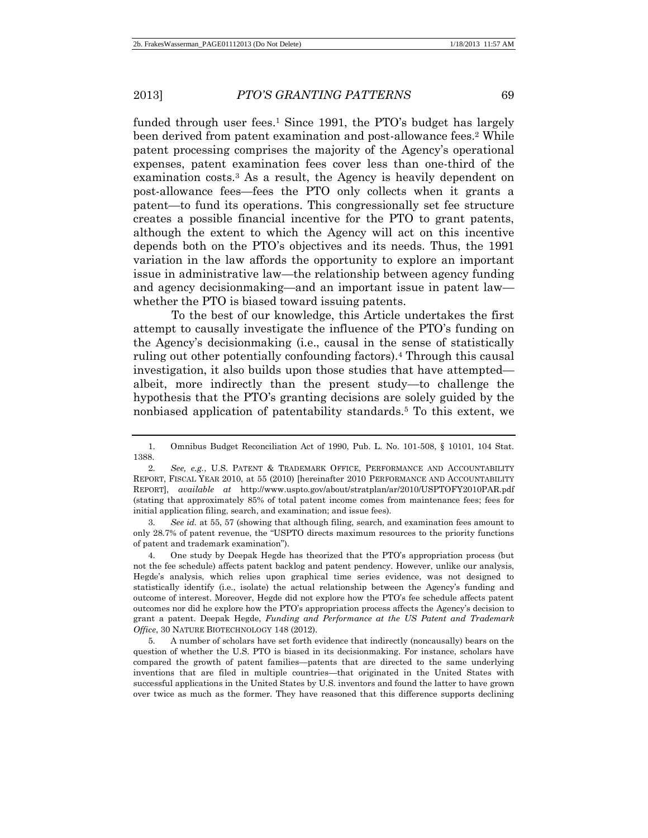funded through user fees.<sup>1</sup> Since 1991, the PTO's budget has largely been derived from patent examination and post-allowance fees.<sup>2</sup> While patent processing comprises the majority of the Agency's operational expenses, patent examination fees cover less than one-third of the examination costs.<sup>3</sup> As a result, the Agency is heavily dependent on post-allowance fees—fees the PTO only collects when it grants a patent—to fund its operations. This congressionally set fee structure creates a possible financial incentive for the PTO to grant patents, although the extent to which the Agency will act on this incentive depends both on the PTO's objectives and its needs. Thus, the 1991 variation in the law affords the opportunity to explore an important issue in administrative law—the relationship between agency funding and agency decisionmaking—and an important issue in patent law whether the PTO is biased toward issuing patents.

To the best of our knowledge, this Article undertakes the first attempt to causally investigate the influence of the PTO's funding on the Agency's decisionmaking (i.e., causal in the sense of statistically ruling out other potentially confounding factors).<sup>4</sup> Through this causal investigation, it also builds upon those studies that have attempted albeit, more indirectly than the present study—to challenge the hypothesis that the PTO's granting decisions are solely guided by the nonbiased application of patentability standards.<sup>5</sup> To this extent, we

3. *See id.* at 55, 57 (showing that although filing, search, and examination fees amount to only 28.7% of patent revenue, the "USPTO directs maximum resources to the priority functions of patent and trademark examination").

4. One study by Deepak Hegde has theorized that the PTO's appropriation process (but not the fee schedule) affects patent backlog and patent pendency. However, unlike our analysis, Hegde's analysis, which relies upon graphical time series evidence, was not designed to statistically identify (i.e., isolate) the actual relationship between the Agency's funding and outcome of interest. Moreover, Hegde did not explore how the PTO's fee schedule affects patent outcomes nor did he explore how the PTO's appropriation process affects the Agency's decision to grant a patent. Deepak Hegde, *Funding and Performance at the US Patent and Trademark Office*, 30 NATURE BIOTECHNOLOGY 148 (2012).

5. A number of scholars have set forth evidence that indirectly (noncausally) bears on the question of whether the U.S. PTO is biased in its decisionmaking. For instance, scholars have compared the growth of patent families—patents that are directed to the same underlying inventions that are filed in multiple countries—that originated in the United States with successful applications in the United States by U.S. inventors and found the latter to have grown over twice as much as the former. They have reasoned that this difference supports declining

<sup>1.</sup> Omnibus Budget Reconciliation Act of 1990, Pub. L. No. 101-508, § 10101, 104 Stat. 1388.

<sup>2.</sup> *See, e.g.*, U.S. PATENT & TRADEMARK OFFICE, PERFORMANCE AND ACCOUNTABILITY REPORT, FISCAL YEAR 2010, at 55 (2010) [hereinafter 2010 PERFORMANCE AND ACCOUNTABILITY REPORT], *available at* http://www.uspto.gov/about/stratplan/ar/2010/USPTOFY2010PAR.pdf (stating that approximately 85% of total patent income comes from maintenance fees; fees for initial application filing, search, and examination; and issue fees).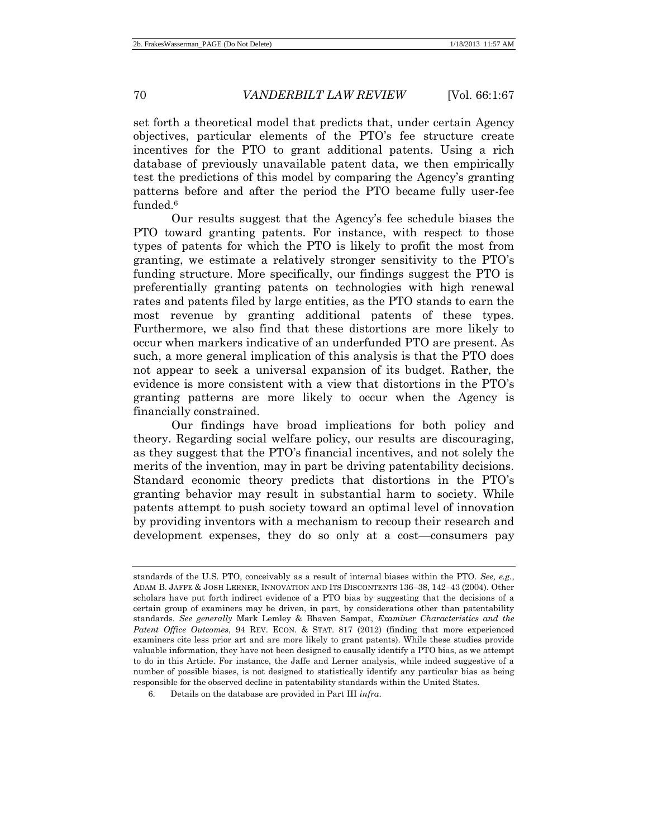set forth a theoretical model that predicts that, under certain Agency objectives, particular elements of the PTO's fee structure create incentives for the PTO to grant additional patents. Using a rich database of previously unavailable patent data, we then empirically test the predictions of this model by comparing the Agency's granting patterns before and after the period the PTO became fully user-fee funded.<sup>6</sup>

Our results suggest that the Agency's fee schedule biases the PTO toward granting patents. For instance, with respect to those types of patents for which the PTO is likely to profit the most from granting, we estimate a relatively stronger sensitivity to the PTO's funding structure. More specifically, our findings suggest the PTO is preferentially granting patents on technologies with high renewal rates and patents filed by large entities, as the PTO stands to earn the most revenue by granting additional patents of these types. Furthermore, we also find that these distortions are more likely to occur when markers indicative of an underfunded PTO are present. As such, a more general implication of this analysis is that the PTO does not appear to seek a universal expansion of its budget. Rather, the evidence is more consistent with a view that distortions in the PTO's granting patterns are more likely to occur when the Agency is financially constrained.

Our findings have broad implications for both policy and theory. Regarding social welfare policy, our results are discouraging, as they suggest that the PTO's financial incentives, and not solely the merits of the invention, may in part be driving patentability decisions. Standard economic theory predicts that distortions in the PTO's granting behavior may result in substantial harm to society. While patents attempt to push society toward an optimal level of innovation by providing inventors with a mechanism to recoup their research and development expenses, they do so only at a cost—consumers pay

standards of the U.S. PTO, conceivably as a result of internal biases within the PTO. *See, e.g.*, ADAM B. JAFFE & JOSH LERNER, INNOVATION AND ITS DISCONTENTS 136–38, 142–43 (2004). Other scholars have put forth indirect evidence of a PTO bias by suggesting that the decisions of a certain group of examiners may be driven, in part, by considerations other than patentability standards. *See generally* Mark Lemley & Bhaven Sampat, *Examiner Characteristics and the Patent Office Outcomes*, 94 REV. ECON. & STAT. 817 (2012) (finding that more experienced examiners cite less prior art and are more likely to grant patents). While these studies provide valuable information, they have not been designed to causally identify a PTO bias, as we attempt to do in this Article. For instance, the Jaffe and Lerner analysis, while indeed suggestive of a number of possible biases, is not designed to statistically identify any particular bias as being responsible for the observed decline in patentability standards within the United States.

<sup>6.</sup> Details on the database are provided in Part III *infra*.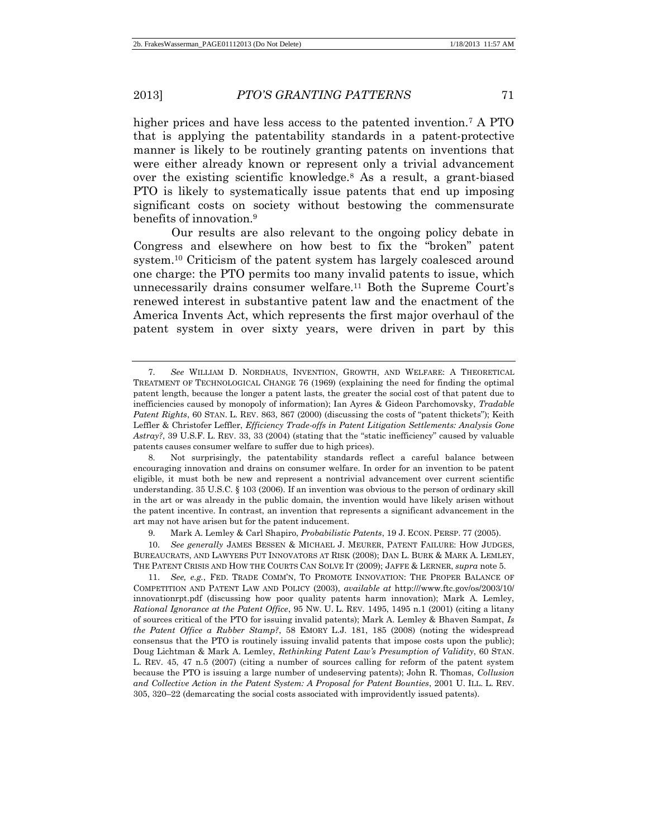higher prices and have less access to the patented invention.<sup>7</sup> A PTO that is applying the patentability standards in a patent-protective manner is likely to be routinely granting patents on inventions that were either already known or represent only a trivial advancement over the existing scientific knowledge.<sup>8</sup> As a result, a grant-biased PTO is likely to systematically issue patents that end up imposing significant costs on society without bestowing the commensurate benefits of innovation.<sup>9</sup>

Our results are also relevant to the ongoing policy debate in Congress and elsewhere on how best to fix the "broken" patent system.<sup>10</sup> Criticism of the patent system has largely coalesced around one charge: the PTO permits too many invalid patents to issue, which unnecessarily drains consumer welfare.<sup>11</sup> Both the Supreme Court's renewed interest in substantive patent law and the enactment of the America Invents Act, which represents the first major overhaul of the patent system in over sixty years, were driven in part by this

9. Mark A. Lemley & Carl Shapiro, *Probabilistic Patents*, 19 J. ECON. PERSP. 77 (2005).

10. *See generally* JAMES BESSEN & MICHAEL J. MEURER, PATENT FAILURE: HOW JUDGES, BUREAUCRATS, AND LAWYERS PUT INNOVATORS AT RISK (2008); DAN L. BURK & MARK A. LEMLEY, THE PATENT CRISIS AND HOW THE COURTS CAN SOLVE IT (2009); JAFFE & LERNER, *supra* note 5.

11. *See, e.g.*, FED. TRADE COMM'N, TO PROMOTE INNOVATION: THE PROPER BALANCE OF COMPETITION AND PATENT LAW AND POLICY (2003), *available at* http:///www.ftc.gov/os/2003/10/ innovationrpt.pdf (discussing how poor quality patents harm innovation); Mark A. Lemley, *Rational Ignorance at the Patent Office*, 95 NW. U. L. REV. 1495, 1495 n.1 (2001) (citing a litany of sources critical of the PTO for issuing invalid patents); Mark A. Lemley & Bhaven Sampat, *Is the Patent Office a Rubber Stamp?*, 58 EMORY L.J. 181, 185 (2008) (noting the widespread consensus that the PTO is routinely issuing invalid patents that impose costs upon the public); Doug Lichtman & Mark A. Lemley, *Rethinking Patent Law's Presumption of Validity*, 60 STAN. L. REV. 45, 47 n.5 (2007) (citing a number of sources calling for reform of the patent system because the PTO is issuing a large number of undeserving patents); John R. Thomas, *Collusion and Collective Action in the Patent System: A Proposal for Patent Bounties*, 2001 U. ILL. L. REV. 305, 320–22 (demarcating the social costs associated with improvidently issued patents).

<sup>7.</sup> *See* WILLIAM D. NORDHAUS, INVENTION, GROWTH, AND WELFARE: A THEORETICAL TREATMENT OF TECHNOLOGICAL CHANGE 76 (1969) (explaining the need for finding the optimal patent length, because the longer a patent lasts, the greater the social cost of that patent due to inefficiencies caused by monopoly of information); Ian Ayres & Gideon Parchomovsky, *Tradable Patent Rights*, 60 STAN. L. REV. 863, 867 (2000) (discussing the costs of "patent thickets"); Keith Leffler & Christofer Leffler, *Efficiency Trade-offs in Patent Litigation Settlements: Analysis Gone Astray?*, 39 U.S.F. L. REV. 33, 33 (2004) (stating that the "static inefficiency" caused by valuable patents causes consumer welfare to suffer due to high prices).

<sup>8.</sup> Not surprisingly, the patentability standards reflect a careful balance between encouraging innovation and drains on consumer welfare. In order for an invention to be patent eligible, it must both be new and represent a nontrivial advancement over current scientific understanding. 35 U.S.C. § 103 (2006). If an invention was obvious to the person of ordinary skill in the art or was already in the public domain, the invention would have likely arisen without the patent incentive. In contrast, an invention that represents a significant advancement in the art may not have arisen but for the patent inducement.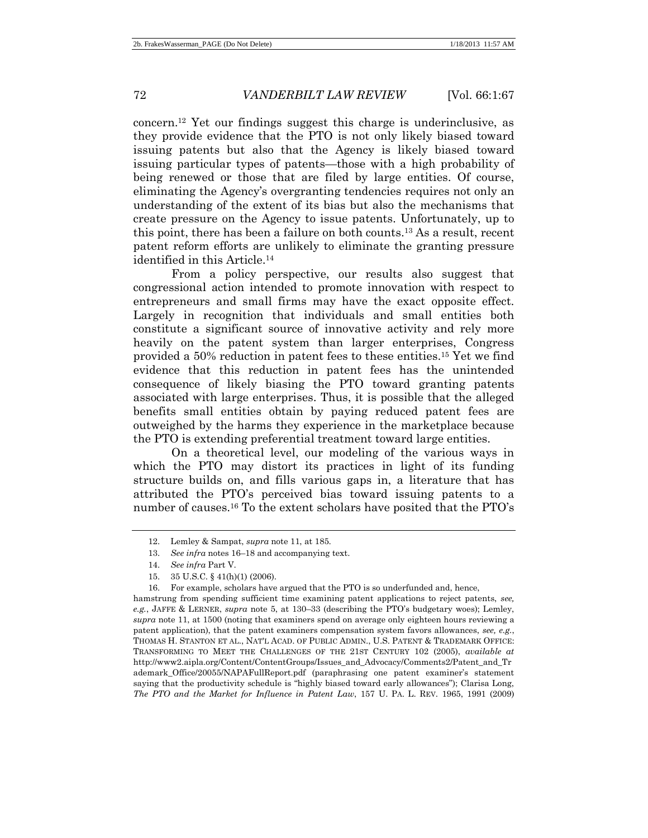concern.<sup>12</sup> Yet our findings suggest this charge is underinclusive, as they provide evidence that the PTO is not only likely biased toward issuing patents but also that the Agency is likely biased toward issuing particular types of patents—those with a high probability of being renewed or those that are filed by large entities. Of course, eliminating the Agency's overgranting tendencies requires not only an understanding of the extent of its bias but also the mechanisms that create pressure on the Agency to issue patents. Unfortunately, up to this point, there has been a failure on both counts.<sup>13</sup> As a result, recent patent reform efforts are unlikely to eliminate the granting pressure identified in this Article.<sup>14</sup>

From a policy perspective, our results also suggest that congressional action intended to promote innovation with respect to entrepreneurs and small firms may have the exact opposite effect. Largely in recognition that individuals and small entities both constitute a significant source of innovative activity and rely more heavily on the patent system than larger enterprises, Congress provided a 50% reduction in patent fees to these entities.<sup>15</sup> Yet we find evidence that this reduction in patent fees has the unintended consequence of likely biasing the PTO toward granting patents associated with large enterprises. Thus, it is possible that the alleged benefits small entities obtain by paying reduced patent fees are outweighed by the harms they experience in the marketplace because the PTO is extending preferential treatment toward large entities.

On a theoretical level, our modeling of the various ways in which the PTO may distort its practices in light of its funding structure builds on, and fills various gaps in, a literature that has attributed the PTO's perceived bias toward issuing patents to a number of causes.<sup>16</sup> To the extent scholars have posited that the PTO's

<sup>12.</sup> Lemley & Sampat, *supra* note 11, at 185.

<sup>13.</sup> *See infra* notes 16–18 and accompanying text.

<sup>14.</sup> *See infra* Part V.

<sup>15.</sup> 35 U.S.C. § 41(h)(1) (2006).

<sup>16.</sup> For example, scholars have argued that the PTO is so underfunded and, hence,

hamstrung from spending sufficient time examining patent applications to reject patents, *see, e.g.*, JAFFE & LERNER, *supra* note 5, at 130–33 (describing the PTO's budgetary woes); Lemley, *supra* note 11, at 1500 (noting that examiners spend on average only eighteen hours reviewing a patent application), that the patent examiners compensation system favors allowances, *see, e.g.*, THOMAS H. STANTON ET AL., NAT'L ACAD. OF PUBLIC ADMIN., U.S. PATENT & TRADEMARK OFFICE: TRANSFORMING TO MEET THE CHALLENGES OF THE 21ST CENTURY 102 (2005), *available at*  http://www2.aipla.org/Content/ContentGroups/Issues\_and\_Advocacy/Comments2/Patent\_and\_Tr ademark\_Office/20055/NAPAFullReport.pdf (paraphrasing one patent examiner's statement saying that the productivity schedule is "highly biased toward early allowances"); Clarisa Long, *The PTO and the Market for Influence in Patent Law*, 157 U. PA. L. REV. 1965, 1991 (2009)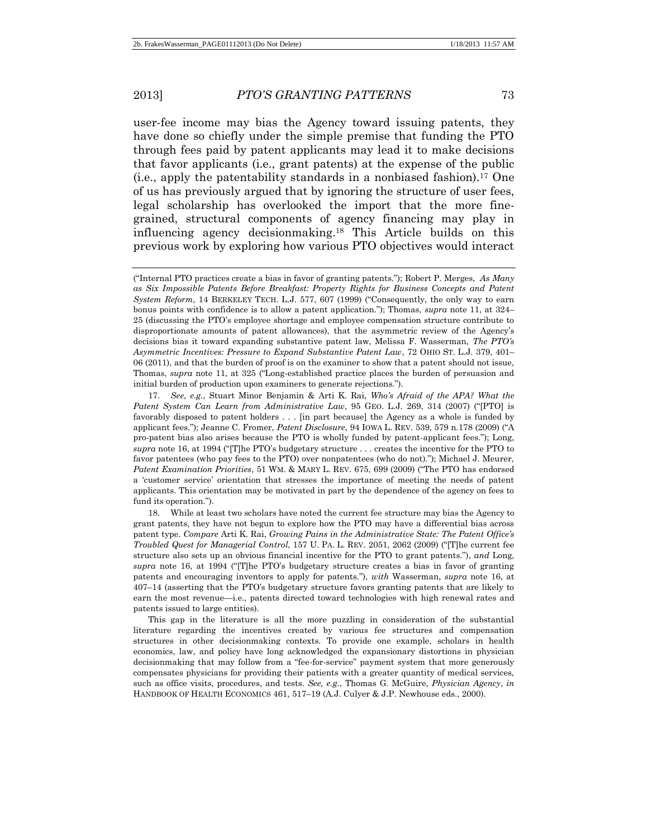user-fee income may bias the Agency toward issuing patents, they have done so chiefly under the simple premise that funding the PTO through fees paid by patent applicants may lead it to make decisions that favor applicants (i.e., grant patents) at the expense of the public (i.e., apply the patentability standards in a nonbiased fashion).<sup>17</sup> One of us has previously argued that by ignoring the structure of user fees, legal scholarship has overlooked the import that the more finegrained, structural components of agency financing may play in influencing agency decisionmaking. <sup>18</sup> This Article builds on this previous work by exploring how various PTO objectives would interact

17. *See*, *e.g.*, Stuart Minor Benjamin & Arti K. Rai, *Who's Afraid of the APA? What the Patent System Can Learn from Administrative Law*, 95 GEO. L.J. 269, 314 (2007) ("[PTO] is favorably disposed to patent holders . . . [in part because] the Agency as a whole is funded by applicant fees."); Jeanne C. Fromer, *Patent Disclosure*, 94 IOWA L. REV. 539, 579 n.178 (2009) ("A pro-patent bias also arises because the PTO is wholly funded by patent-applicant fees."); Long, *supra* note 16, at 1994 ("[T]he PTO's budgetary structure . . . creates the incentive for the PTO to favor patentees (who pay fees to the PTO) over nonpatentees (who do not)."); Michael J. Meurer, *Patent Examination Priorities*, 51 WM. & MARY L. REV. 675, 699 (2009) ("The PTO has endorsed a 'customer service' orientation that stresses the importance of meeting the needs of patent applicants. This orientation may be motivated in part by the dependence of the agency on fees to fund its operation.").

18. While at least two scholars have noted the current fee structure may bias the Agency to grant patents, they have not begun to explore how the PTO may have a differential bias across patent type. *Compare* Arti K. Rai, *Growing Pains in the Administrative State: The Patent Office's Troubled Quest for Managerial Control*, 157 U. PA. L. REV. 2051, 2062 (2009) ("[T]he current fee structure also sets up an obvious financial incentive for the PTO to grant patents."), *and* Long, *supra* note 16, at 1994 ("[T]he PTO's budgetary structure creates a bias in favor of granting patents and encouraging inventors to apply for patents."), *with* Wasserman, *supra* note 16, at 407–14 (asserting that the PTO's budgetary structure favors granting patents that are likely to earn the most revenue—i.e., patents directed toward technologies with high renewal rates and patents issued to large entities).

This gap in the literature is all the more puzzling in consideration of the substantial literature regarding the incentives created by various fee structures and compensation structures in other decisionmaking contexts. To provide one example, scholars in health economics, law, and policy have long acknowledged the expansionary distortions in physician decisionmaking that may follow from a "fee-for-service" payment system that more generously compensates physicians for providing their patients with a greater quantity of medical services, such as office visits, procedures, and tests. *See, e.g.*, Thomas G. McGuire, *Physician Agency*, *in* HANDBOOK OF HEALTH ECONOMICS 461, 517–19 (A.J. Culyer & J.P. Newhouse eds., 2000).

<sup>(&</sup>quot;Internal PTO practices create a bias in favor of granting patents."); Robert P. Merges, *As Many as Six Impossible Patents Before Breakfast: Property Rights for Business Concepts and Patent System Reform*, 14 BERKELEY TECH. L.J. 577, 607 (1999) ("Consequently, the only way to earn bonus points with confidence is to allow a patent application."); Thomas, *supra* note 11, at 324– 25 (discussing the PTO's employee shortage and employee compensation structure contribute to disproportionate amounts of patent allowances), that the asymmetric review of the Agency's decisions bias it toward expanding substantive patent law, Melissa F. Wasserman, *The PTO's Asymmetric Incentives: Pressure to Expand Substantive Patent Law*, 72 OHIO ST. L.J. 379, 401– 06 (2011), and that the burden of proof is on the examiner to show that a patent should not issue, Thomas, *supra* note 11, at 325 ("Long-established practice places the burden of persuasion and initial burden of production upon examiners to generate rejections.").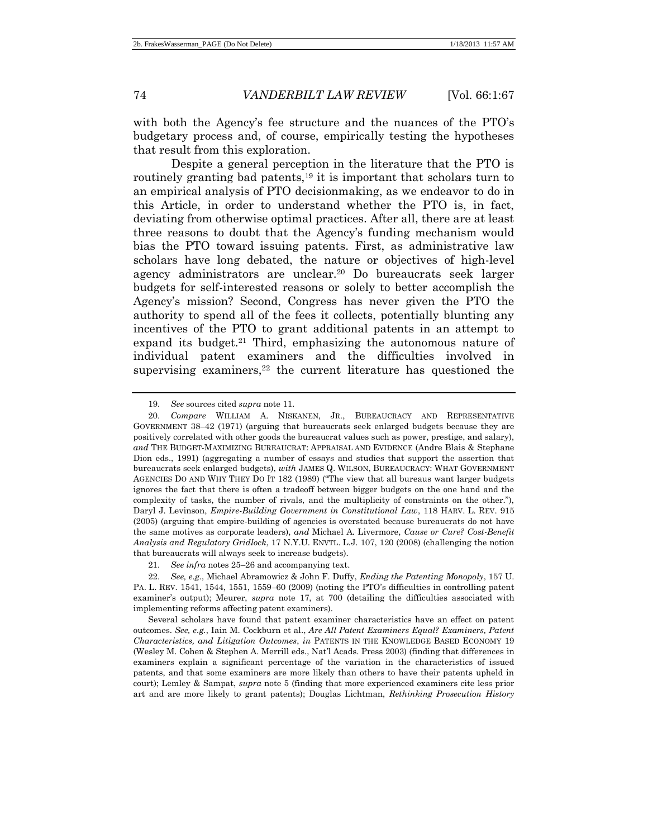with both the Agency's fee structure and the nuances of the PTO's budgetary process and, of course, empirically testing the hypotheses that result from this exploration.

Despite a general perception in the literature that the PTO is routinely granting bad patents,<sup>19</sup> it is important that scholars turn to an empirical analysis of PTO decisionmaking, as we endeavor to do in this Article, in order to understand whether the PTO is, in fact, deviating from otherwise optimal practices. After all, there are at least three reasons to doubt that the Agency's funding mechanism would bias the PTO toward issuing patents. First, as administrative law scholars have long debated, the nature or objectives of high-level agency administrators are unclear.<sup>20</sup> Do bureaucrats seek larger budgets for self-interested reasons or solely to better accomplish the Agency's mission? Second, Congress has never given the PTO the authority to spend all of the fees it collects, potentially blunting any incentives of the PTO to grant additional patents in an attempt to expand its budget.<sup>21</sup> Third, emphasizing the autonomous nature of individual patent examiners and the difficulties involved in supervising examiners, $22$  the current literature has questioned the

Several scholars have found that patent examiner characteristics have an effect on patent outcomes. *See, e.g.*, Iain M. Cockburn et al., *Are All Patent Examiners Equal? Examiners, Patent Characteristics, and Litigation Outcomes*, *in* PATENTS IN THE KNOWLEDGE BASED ECONOMY 19 (Wesley M. Cohen & Stephen A. Merrill eds., Nat'l Acads. Press 2003) (finding that differences in examiners explain a significant percentage of the variation in the characteristics of issued patents, and that some examiners are more likely than others to have their patents upheld in court); Lemley & Sampat, *supra* note 5 (finding that more experienced examiners cite less prior art and are more likely to grant patents); Douglas Lichtman, *Rethinking Prosecution History* 

<sup>19.</sup> *See* sources cited *supra* note 11.

<sup>20.</sup> *Compare* WILLIAM A. NISKANEN, JR., BUREAUCRACY AND REPRESENTATIVE GOVERNMENT 38–42 (1971) (arguing that bureaucrats seek enlarged budgets because they are positively correlated with other goods the bureaucrat values such as power, prestige, and salary), *and* THE BUDGET-MAXIMIZING BUREAUCRAT: APPRAISAL AND EVIDENCE (Andre Blais & Stephane Dion eds., 1991) (aggregating a number of essays and studies that support the assertion that bureaucrats seek enlarged budgets), *with* JAMES Q. WILSON, BUREAUCRACY: WHAT GOVERNMENT AGENCIES DO AND WHY THEY DO IT 182 (1989) ("The view that all bureaus want larger budgets ignores the fact that there is often a tradeoff between bigger budgets on the one hand and the complexity of tasks, the number of rivals, and the multiplicity of constraints on the other."), Daryl J. Levinson, *Empire-Building Government in Constitutional Law*, 118 HARV. L. REV. 915 (2005) (arguing that empire-building of agencies is overstated because bureaucrats do not have the same motives as corporate leaders), *and* Michael A. Livermore, *Cause or Cure? Cost-Benefit Analysis and Regulatory Gridlock*, 17 N.Y.U. ENVTL. L.J. 107, 120 (2008) (challenging the notion that bureaucrats will always seek to increase budgets).

<sup>21.</sup> *See infra* notes 25–26 and accompanying text.

<sup>22.</sup> *See, e.g.*, Michael Abramowicz & John F. Duffy, *Ending the Patenting Monopoly*, 157 U. PA. L. REV. 1541, 1544, 1551, 1559–60 (2009) (noting the PTO's difficulties in controlling patent examiner's output); Meurer, *supra* note 17, at 700 (detailing the difficulties associated with implementing reforms affecting patent examiners).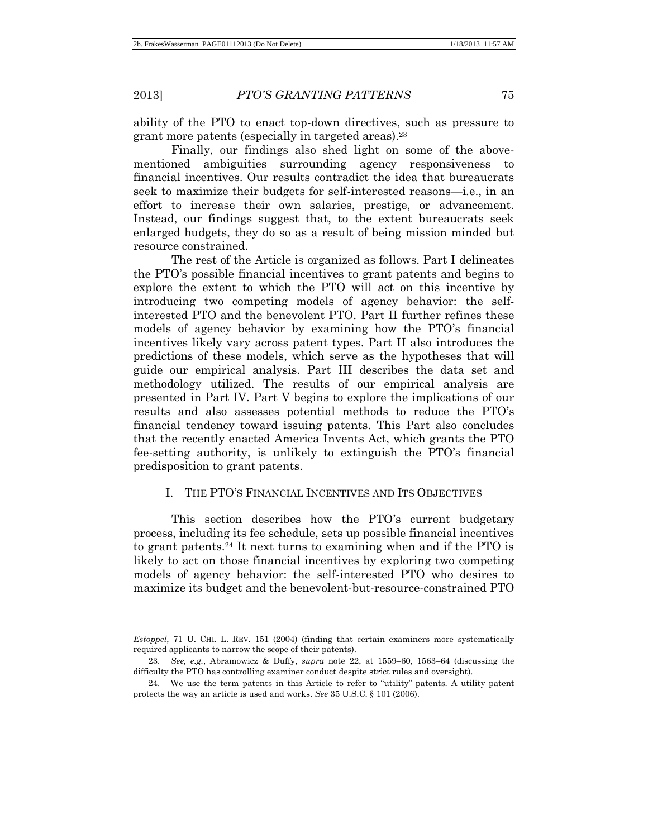ability of the PTO to enact top-down directives, such as pressure to grant more patents (especially in targeted areas).<sup>23</sup>

Finally, our findings also shed light on some of the abovementioned ambiguities surrounding agency responsiveness to financial incentives. Our results contradict the idea that bureaucrats seek to maximize their budgets for self-interested reasons—i.e., in an effort to increase their own salaries, prestige, or advancement. Instead, our findings suggest that, to the extent bureaucrats seek enlarged budgets, they do so as a result of being mission minded but resource constrained.

The rest of the Article is organized as follows. Part I delineates the PTO's possible financial incentives to grant patents and begins to explore the extent to which the PTO will act on this incentive by introducing two competing models of agency behavior: the selfinterested PTO and the benevolent PTO. Part II further refines these models of agency behavior by examining how the PTO's financial incentives likely vary across patent types. Part II also introduces the predictions of these models, which serve as the hypotheses that will guide our empirical analysis. Part III describes the data set and methodology utilized. The results of our empirical analysis are presented in Part IV. Part V begins to explore the implications of our results and also assesses potential methods to reduce the PTO's financial tendency toward issuing patents. This Part also concludes that the recently enacted America Invents Act, which grants the PTO fee-setting authority, is unlikely to extinguish the PTO's financial predisposition to grant patents.

# I. THE PTO'S FINANCIAL INCENTIVES AND ITS OBJECTIVES

This section describes how the PTO's current budgetary process, including its fee schedule, sets up possible financial incentives to grant patents.<sup>24</sup> It next turns to examining when and if the PTO is likely to act on those financial incentives by exploring two competing models of agency behavior: the self-interested PTO who desires to maximize its budget and the benevolent-but-resource-constrained PTO

*Estoppel*, 71 U. CHI. L. REV. 151 (2004) (finding that certain examiners more systematically required applicants to narrow the scope of their patents).

<sup>23.</sup> *See, e.g.*, Abramowicz & Duffy, *supra* note 22, at 1559–60, 1563–64 (discussing the difficulty the PTO has controlling examiner conduct despite strict rules and oversight).

<sup>24.</sup> We use the term patents in this Article to refer to "utility" patents. A utility patent protects the way an article is used and works. *See* 35 U.S.C. § 101 (2006).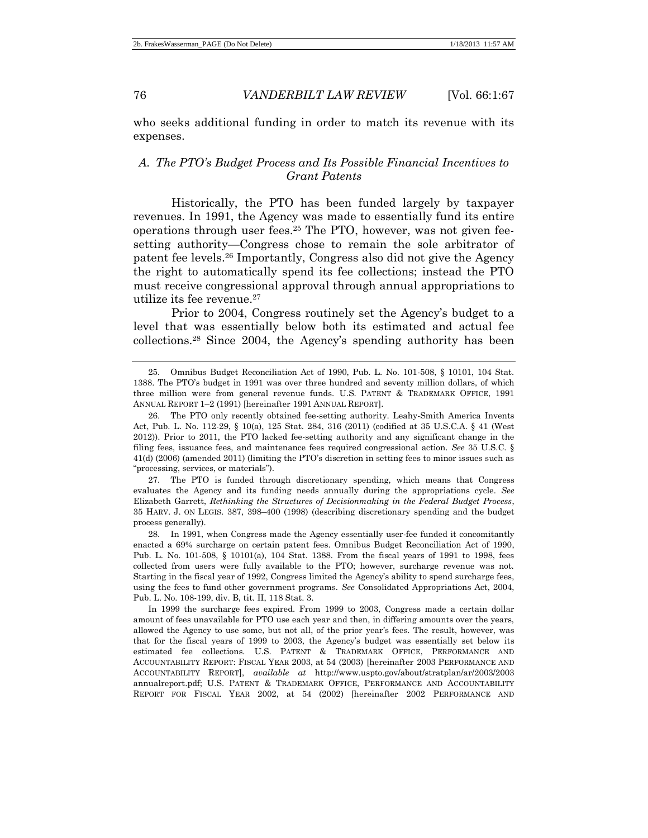who seeks additional funding in order to match its revenue with its expenses.

# *A. The PTO's Budget Process and Its Possible Financial Incentives to Grant Patents*

Historically, the PTO has been funded largely by taxpayer revenues. In 1991, the Agency was made to essentially fund its entire operations through user fees.<sup>25</sup> The PTO, however, was not given feesetting authority—Congress chose to remain the sole arbitrator of patent fee levels.<sup>26</sup> Importantly, Congress also did not give the Agency the right to automatically spend its fee collections; instead the PTO must receive congressional approval through annual appropriations to utilize its fee revenue.<sup>27</sup>

Prior to 2004, Congress routinely set the Agency's budget to a level that was essentially below both its estimated and actual fee collections.<sup>28</sup> Since 2004, the Agency's spending authority has been

27. The PTO is funded through discretionary spending, which means that Congress evaluates the Agency and its funding needs annually during the appropriations cycle. *See* Elizabeth Garrett, *Rethinking the Structures of Decisionmaking in the Federal Budget Process*, 35 HARV. J. ON LEGIS. 387, 398–400 (1998) (describing discretionary spending and the budget process generally).

28. In 1991, when Congress made the Agency essentially user-fee funded it concomitantly enacted a 69% surcharge on certain patent fees. Omnibus Budget Reconciliation Act of 1990, Pub. L. No. 101-508, § 10101(a), 104 Stat. 1388. From the fiscal years of 1991 to 1998, fees collected from users were fully available to the PTO; however, surcharge revenue was not. Starting in the fiscal year of 1992, Congress limited the Agency's ability to spend surcharge fees, using the fees to fund other government programs. *See* Consolidated Appropriations Act, 2004, Pub. L. No. 108-199, div. B, tit. II, 118 Stat. 3.

In 1999 the surcharge fees expired. From 1999 to 2003, Congress made a certain dollar amount of fees unavailable for PTO use each year and then, in differing amounts over the years, allowed the Agency to use some, but not all, of the prior year's fees. The result, however, was that for the fiscal years of 1999 to 2003, the Agency's budget was essentially set below its estimated fee collections. U.S. PATENT & TRADEMARK OFFICE, PERFORMANCE AND ACCOUNTABILITY REPORT: FISCAL YEAR 2003, at 54 (2003) [hereinafter 2003 PERFORMANCE AND ACCOUNTABILITY REPORT], *available at* http://www.uspto.gov/about/stratplan/ar/2003/2003 annualreport.pdf; U.S. PATENT & TRADEMARK OFFICE, PERFORMANCE AND ACCOUNTABILITY REPORT FOR FISCAL YEAR 2002, at 54 (2002) [hereinafter 2002 PERFORMANCE AND

<sup>25.</sup> Omnibus Budget Reconciliation Act of 1990, Pub. L. No. 101-508, § 10101, 104 Stat. 1388. The PTO's budget in 1991 was over three hundred and seventy million dollars, of which three million were from general revenue funds. U.S. PATENT & TRADEMARK OFFICE, 1991 ANNUAL REPORT 1–2 (1991) [hereinafter 1991 ANNUAL REPORT].

<sup>26.</sup> The PTO only recently obtained fee-setting authority. Leahy-Smith America Invents Act, Pub. L. No. 112-29, § 10(a), 125 Stat. 284, 316 (2011) (codified at 35 U.S.C.A. § 41 (West 2012)). Prior to 2011, the PTO lacked fee-setting authority and any significant change in the filing fees, issuance fees, and maintenance fees required congressional action. *See* 35 U.S.C. § 41(d) (2006) (amended 2011) (limiting the PTO's discretion in setting fees to minor issues such as "processing, services, or materials").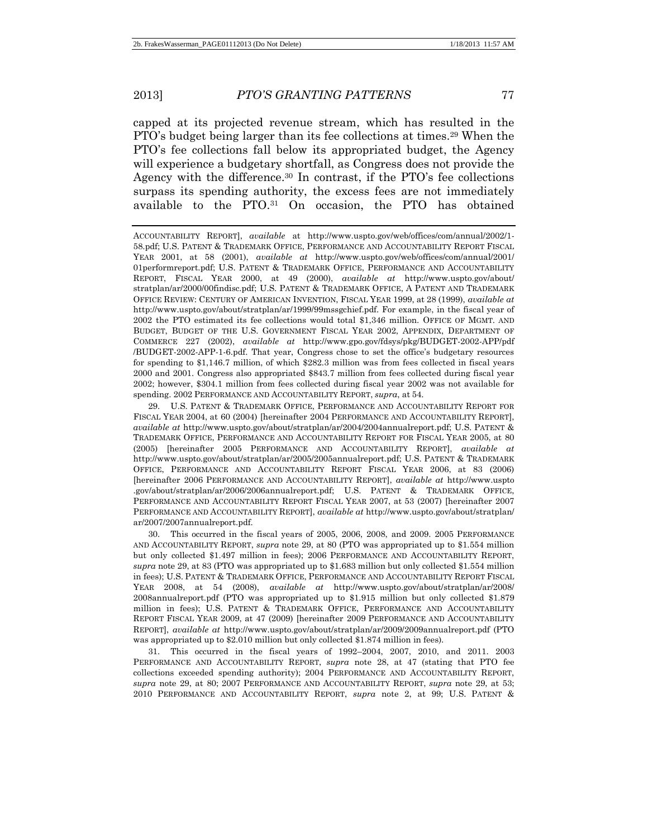capped at its projected revenue stream, which has resulted in the PTO's budget being larger than its fee collections at times.<sup>29</sup> When the PTO's fee collections fall below its appropriated budget, the Agency will experience a budgetary shortfall, as Congress does not provide the Agency with the difference.<sup>30</sup> In contrast, if the PTO's fee collections surpass its spending authority, the excess fees are not immediately available to the PTO.<sup>31</sup> On occasion, the PTO has obtained

ACCOUNTABILITY REPORT], *available* at http://www.uspto.gov/web/offices/com/annual/2002/1- 58.pdf; U.S. PATENT & TRADEMARK OFFICE, PERFORMANCE AND ACCOUNTABILITY REPORT FISCAL YEAR 2001, at 58 (2001), *available at* http://www.uspto.gov/web/offices/com/annual/2001/ 01performreport.pdf; U.S. PATENT & TRADEMARK OFFICE, PERFORMANCE AND ACCOUNTABILITY REPORT, FISCAL YEAR 2000, at 49 (2000), *available at* http://www.uspto.gov/about/ stratplan/ar/2000/00findisc.pdf; U.S. PATENT & TRADEMARK OFFICE, A PATENT AND TRADEMARK OFFICE REVIEW: CENTURY OF AMERICAN INVENTION, FISCAL YEAR 1999, at 28 (1999), *available at* http://www.uspto.gov/about/stratplan/ar/1999/99mssgchief.pdf. For example, in the fiscal year of 2002 the PTO estimated its fee collections would total \$1,346 million. OFFICE OF MGMT. AND BUDGET, BUDGET OF THE U.S. GOVERNMENT FISCAL YEAR 2002, APPENDIX, DEPARTMENT OF COMMERCE 227 (2002), *available at* http://www.gpo.gov/fdsys/pkg/BUDGET-2002-APP/pdf /BUDGET-2002-APP-1-6.pdf. That year, Congress chose to set the office's budgetary resources for spending to \$1,146.7 million, of which \$282.3 million was from fees collected in fiscal years 2000 and 2001. Congress also appropriated \$843.7 million from fees collected during fiscal year 2002; however, \$304.1 million from fees collected during fiscal year 2002 was not available for spending. 2002 PERFORMANCE AND ACCOUNTABILITY REPORT, *supra*, at 54.

29. U.S. PATENT & TRADEMARK OFFICE, PERFORMANCE AND ACCOUNTABILITY REPORT FOR FISCAL YEAR 2004, at 60 (2004) [hereinafter 2004 PERFORMANCE AND ACCOUNTABILITY REPORT], *available at* http://www.uspto.gov/about/stratplan/ar/2004/2004annualreport.pdf; U.S. PATENT & TRADEMARK OFFICE, PERFORMANCE AND ACCOUNTABILITY REPORT FOR FISCAL YEAR 2005, at 80 (2005) [hereinafter 2005 PERFORMANCE AND ACCOUNTABILITY REPORT], *available at*  http://www.uspto.gov/about/stratplan/ar/2005/2005annualreport.pdf; U.S. PATENT & TRADEMARK OFFICE, PERFORMANCE AND ACCOUNTABILITY REPORT FISCAL YEAR 2006, at 83 (2006) [hereinafter 2006 PERFORMANCE AND ACCOUNTABILITY REPORT], *available at* http://www.uspto .gov/about/stratplan/ar/2006/2006annualreport.pdf; U.S. PATENT & TRADEMARK OFFICE, PERFORMANCE AND ACCOUNTABILITY REPORT FISCAL YEAR 2007, at 53 (2007) [hereinafter 2007 PERFORMANCE AND ACCOUNTABILITY REPORT], *available at* http://www.uspto.gov/about/stratplan/ ar/2007/2007annualreport.pdf.

30. This occurred in the fiscal years of 2005, 2006, 2008, and 2009. 2005 PERFORMANCE AND ACCOUNTABILITY REPORT, *supra* note 29, at 80 (PTO was appropriated up to \$1.554 million but only collected \$1.497 million in fees); 2006 PERFORMANCE AND ACCOUNTABILITY REPORT, *supra* note 29, at 83 (PTO was appropriated up to \$1.683 million but only collected \$1.554 million in fees); U.S. PATENT & TRADEMARK OFFICE, PERFORMANCE AND ACCOUNTABILITY REPORT FISCAL YEAR 2008, at 54 (2008), *available at* http://www.uspto.gov/about/stratplan/ar/2008/ 2008annualreport.pdf (PTO was appropriated up to \$1.915 million but only collected \$1.879 million in fees); U.S. PATENT & TRADEMARK OFFICE, PERFORMANCE AND ACCOUNTABILITY REPORT FISCAL YEAR 2009, at 47 (2009) [hereinafter 2009 PERFORMANCE AND ACCOUNTABILITY REPORT], *available at* http://www.uspto.gov/about/stratplan/ar/2009/2009annualreport.pdf (PTO was appropriated up to \$2.010 million but only collected \$1.874 million in fees).

31. This occurred in the fiscal years of 1992–2004, 2007, 2010, and 2011. 2003 PERFORMANCE AND ACCOUNTABILITY REPORT, *supra* note 28, at 47 (stating that PTO fee collections exceeded spending authority); 2004 PERFORMANCE AND ACCOUNTABILITY REPORT, *supra* note 29, at 80; 2007 PERFORMANCE AND ACCOUNTABILITY REPORT, *supra* note 29, at 53; 2010 PERFORMANCE AND ACCOUNTABILITY REPORT, *supra* note 2, at 99; U.S. PATENT &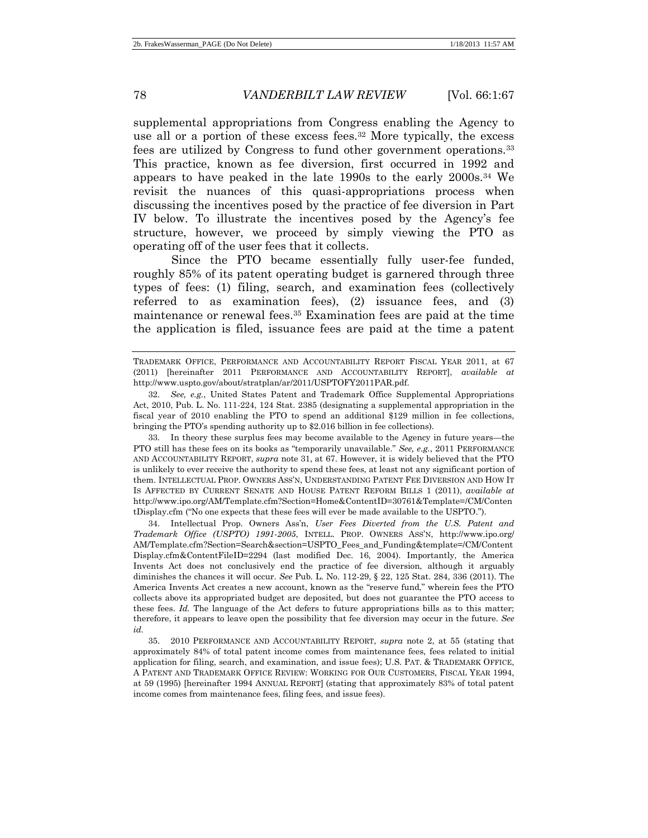supplemental appropriations from Congress enabling the Agency to use all or a portion of these excess fees.<sup>32</sup> More typically, the excess fees are utilized by Congress to fund other government operations.<sup>33</sup> This practice, known as fee diversion, first occurred in 1992 and appears to have peaked in the late 1990s to the early 2000s.<sup>34</sup> We revisit the nuances of this quasi-appropriations process when discussing the incentives posed by the practice of fee diversion in Part IV below. To illustrate the incentives posed by the Agency's fee structure, however, we proceed by simply viewing the PTO as operating off of the user fees that it collects.

Since the PTO became essentially fully user-fee funded, roughly 85% of its patent operating budget is garnered through three types of fees: (1) filing, search, and examination fees (collectively referred to as examination fees), (2) issuance fees, and (3) maintenance or renewal fees.<sup>35</sup> Examination fees are paid at the time the application is filed, issuance fees are paid at the time a patent

33. In theory these surplus fees may become available to the Agency in future years—the PTO still has these fees on its books as "temporarily unavailable." *See, e.g.*, 2011 PERFORMANCE AND ACCOUNTABILITY REPORT, *supra* note 31, at 67. However, it is widely believed that the PTO is unlikely to ever receive the authority to spend these fees, at least not any significant portion of them. INTELLECTUAL PROP. OWNERS ASS'N, UNDERSTANDING PATENT FEE DIVERSION AND HOW IT IS AFFECTED BY CURRENT SENATE AND HOUSE PATENT REFORM BILLS 1 (2011), *available at* http://www.ipo.org/AM/Template.cfm?Section=Home&ContentID=30761&Template=/CM/Conten tDisplay.cfm ("No one expects that these fees will ever be made available to the USPTO.").

34. Intellectual Prop. Owners Ass'n, *User Fees Diverted from the U.S. Patent and Trademark Office (USPTO) 1991-2005*, INTELL. PROP. OWNERS ASS'N, http://www.ipo.org/ AM/Template.cfm?Section=Search&section=USPTO\_Fees\_and\_Funding&template=/CM/Content Display.cfm&ContentFileID=2294 (last modified Dec. 16, 2004). Importantly, the America Invents Act does not conclusively end the practice of fee diversion, although it arguably diminishes the chances it will occur. *See* Pub. L. No. 112-29, § 22, 125 Stat. 284, 336 (2011). The America Invents Act creates a new account, known as the "reserve fund," wherein fees the PTO collects above its appropriated budget are deposited, but does not guarantee the PTO access to these fees. *Id.* The language of the Act defers to future appropriations bills as to this matter; therefore, it appears to leave open the possibility that fee diversion may occur in the future. *See id.*

35. 2010 PERFORMANCE AND ACCOUNTABILITY REPORT, *supra* note 2, at 55 (stating that approximately 84% of total patent income comes from maintenance fees, fees related to initial application for filing, search, and examination, and issue fees); U.S. PAT. & TRADEMARK OFFICE, A PATENT AND TRADEMARK OFFICE REVIEW: WORKING FOR OUR CUSTOMERS, FISCAL YEAR 1994, at 59 (1995) [hereinafter 1994 ANNUAL REPORT] (stating that approximately 83% of total patent income comes from maintenance fees, filing fees, and issue fees).

TRADEMARK OFFICE, PERFORMANCE AND ACCOUNTABILITY REPORT FISCAL YEAR 2011, at 67 (2011) [hereinafter 2011 PERFORMANCE AND ACCOUNTABILITY REPORT], *available at* http://www.uspto.gov/about/stratplan/ar/2011/USPTOFY2011PAR.pdf.

<sup>32.</sup> *See, e.g.*, United States Patent and Trademark Office Supplemental Appropriations Act, 2010, Pub. L. No. 111-224, 124 Stat. 2385 (designating a supplemental appropriation in the fiscal year of 2010 enabling the PTO to spend an additional \$129 million in fee collections, bringing the PTO's spending authority up to \$2.016 billion in fee collections).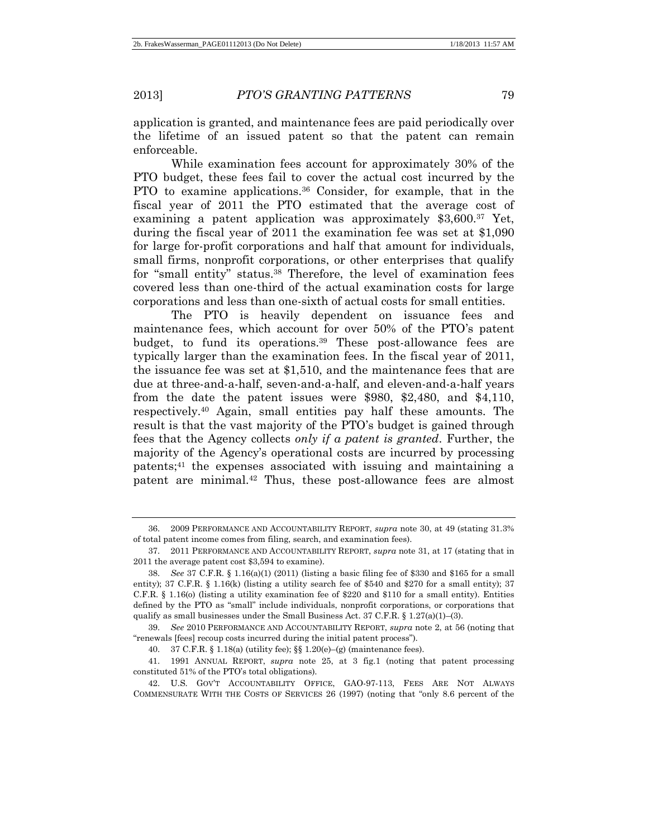application is granted, and maintenance fees are paid periodically over the lifetime of an issued patent so that the patent can remain enforceable.

While examination fees account for approximately 30% of the PTO budget, these fees fail to cover the actual cost incurred by the PTO to examine applications.<sup>36</sup> Consider, for example, that in the fiscal year of 2011 the PTO estimated that the average cost of examining a patent application was approximately \$3,600.<sup>37</sup> Yet, during the fiscal year of 2011 the examination fee was set at \$1,090 for large for-profit corporations and half that amount for individuals, small firms, nonprofit corporations, or other enterprises that qualify for "small entity" status.<sup>38</sup> Therefore, the level of examination fees covered less than one-third of the actual examination costs for large corporations and less than one-sixth of actual costs for small entities.

The PTO is heavily dependent on issuance fees and maintenance fees, which account for over 50% of the PTO's patent budget, to fund its operations.<sup>39</sup> These post-allowance fees are typically larger than the examination fees. In the fiscal year of 2011, the issuance fee was set at \$1,510, and the maintenance fees that are due at three-and-a-half, seven-and-a-half, and eleven-and-a-half years from the date the patent issues were \$980, \$2,480, and \$4,110, respectively.<sup>40</sup> Again, small entities pay half these amounts. The result is that the vast majority of the PTO's budget is gained through fees that the Agency collects *only if a patent is granted*. Further, the majority of the Agency's operational costs are incurred by processing patents;<sup>41</sup> the expenses associated with issuing and maintaining a patent are minimal.<sup>42</sup> Thus, these post-allowance fees are almost

<sup>36.</sup> 2009 PERFORMANCE AND ACCOUNTABILITY REPORT, *supra* note 30, at 49 (stating 31.3% of total patent income comes from filing, search, and examination fees).

<sup>37.</sup> 2011 PERFORMANCE AND ACCOUNTABILITY REPORT, *supra* note 31, at 17 (stating that in 2011 the average patent cost \$3,594 to examine).

<sup>38.</sup> *See* 37 C.F.R. § 1.16(a)(1) (2011) (listing a basic filing fee of \$330 and \$165 for a small entity); 37 C.F.R. § 1.16(k) (listing a utility search fee of \$540 and \$270 for a small entity); 37 C.F.R. § 1.16(o) (listing a utility examination fee of \$220 and \$110 for a small entity). Entities defined by the PTO as "small" include individuals, nonprofit corporations, or corporations that qualify as small businesses under the Small Business Act. 37 C.F.R.  $\S 1.27(a)(1)–(3)$ .

<sup>39.</sup> *See* 2010 PERFORMANCE AND ACCOUNTABILITY REPORT, *supra* note 2, at 56 (noting that "renewals [fees] recoup costs incurred during the initial patent process").

<sup>40.</sup> 37 C.F.R. § 1.18(a) (utility fee); §§ 1.20(e)–(g) (maintenance fees).

<sup>41.</sup> 1991 ANNUAL REPORT, *supra* note 25, at 3 fig.1 (noting that patent processing constituted 51% of the PTO's total obligations).

<sup>42.</sup> U.S. GOV'T ACCOUNTABILITY OFFICE, GAO-97-113, FEES ARE NOT ALWAYS COMMENSURATE WITH THE COSTS OF SERVICES 26 (1997) (noting that "only 8.6 percent of the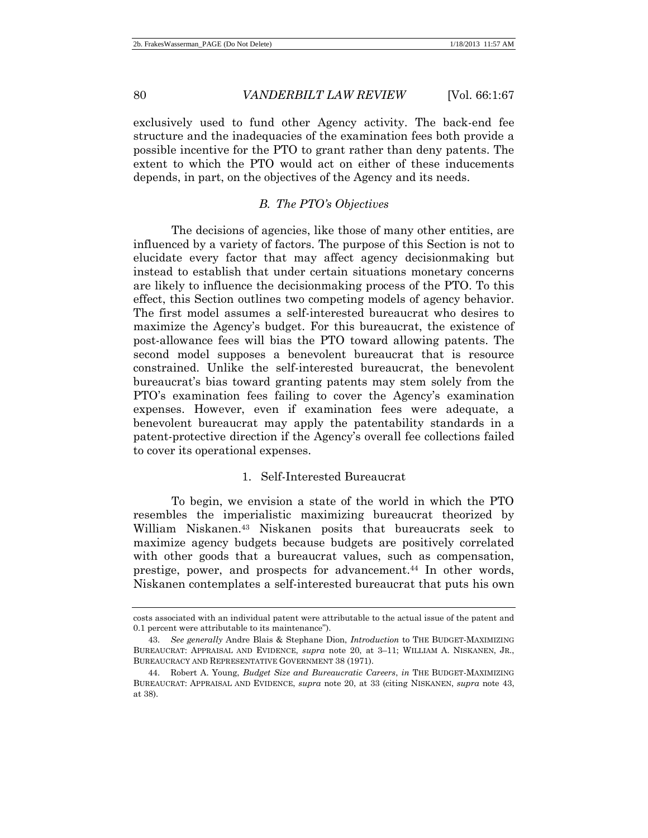exclusively used to fund other Agency activity. The back-end fee structure and the inadequacies of the examination fees both provide a possible incentive for the PTO to grant rather than deny patents. The extent to which the PTO would act on either of these inducements depends, in part, on the objectives of the Agency and its needs.

# *B. The PTO's Objectives*

The decisions of agencies, like those of many other entities, are influenced by a variety of factors. The purpose of this Section is not to elucidate every factor that may affect agency decisionmaking but instead to establish that under certain situations monetary concerns are likely to influence the decisionmaking process of the PTO. To this effect, this Section outlines two competing models of agency behavior. The first model assumes a self-interested bureaucrat who desires to maximize the Agency's budget. For this bureaucrat, the existence of post-allowance fees will bias the PTO toward allowing patents. The second model supposes a benevolent bureaucrat that is resource constrained. Unlike the self-interested bureaucrat, the benevolent bureaucrat's bias toward granting patents may stem solely from the PTO's examination fees failing to cover the Agency's examination expenses. However, even if examination fees were adequate, a benevolent bureaucrat may apply the patentability standards in a patent-protective direction if the Agency's overall fee collections failed to cover its operational expenses.

## 1. Self-Interested Bureaucrat

To begin, we envision a state of the world in which the PTO resembles the imperialistic maximizing bureaucrat theorized by William Niskanen.<sup>43</sup> Niskanen posits that bureaucrats seek to maximize agency budgets because budgets are positively correlated with other goods that a bureaucrat values, such as compensation, prestige, power, and prospects for advancement.<sup>44</sup> In other words, Niskanen contemplates a self-interested bureaucrat that puts his own

costs associated with an individual patent were attributable to the actual issue of the patent and 0.1 percent were attributable to its maintenance").

<sup>43.</sup> *See generally* Andre Blais & Stephane Dion, *Introduction* to THE BUDGET-MAXIMIZING BUREAUCRAT: APPRAISAL AND EVIDENCE, *supra* note 20, at 3–11; WILLIAM A. NISKANEN, JR., BUREAUCRACY AND REPRESENTATIVE GOVERNMENT 38 (1971).

<sup>44.</sup> Robert A. Young, *Budget Size and Bureaucratic Careers*, *in* THE BUDGET-MAXIMIZING BUREAUCRAT: APPRAISAL AND EVIDENCE, *supra* note 20, at 33 (citing NISKANEN, *supra* note 43, at 38).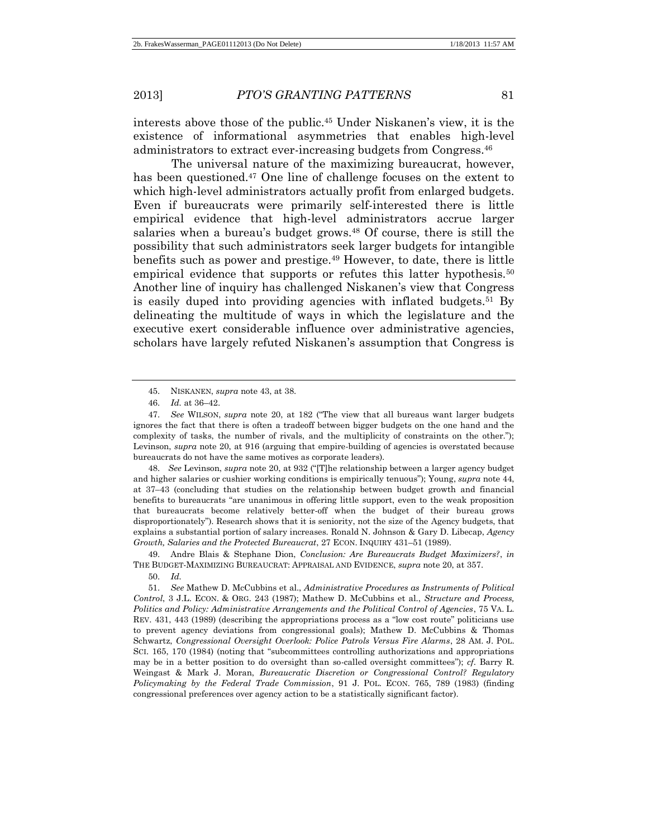interests above those of the public.<sup>45</sup> Under Niskanen's view, it is the existence of informational asymmetries that enables high-level administrators to extract ever-increasing budgets from Congress.<sup>46</sup>

The universal nature of the maximizing bureaucrat, however, has been questioned.<sup>47</sup> One line of challenge focuses on the extent to which high-level administrators actually profit from enlarged budgets. Even if bureaucrats were primarily self-interested there is little empirical evidence that high-level administrators accrue larger salaries when a bureau's budget grows.<sup>48</sup> Of course, there is still the possibility that such administrators seek larger budgets for intangible benefits such as power and prestige.<sup>49</sup> However, to date, there is little empirical evidence that supports or refutes this latter hypothesis.<sup>50</sup> Another line of inquiry has challenged Niskanen's view that Congress is easily duped into providing agencies with inflated budgets.<sup>51</sup> By delineating the multitude of ways in which the legislature and the executive exert considerable influence over administrative agencies, scholars have largely refuted Niskanen's assumption that Congress is

48. *See* Levinson, *supra* note 20, at 932 ("[T]he relationship between a larger agency budget and higher salaries or cushier working conditions is empirically tenuous"); Young, *supra* note 44, at 37–43 (concluding that studies on the relationship between budget growth and financial benefits to bureaucrats "are unanimous in offering little support, even to the weak proposition that bureaucrats become relatively better-off when the budget of their bureau grows disproportionately"). Research shows that it is seniority, not the size of the Agency budgets, that explains a substantial portion of salary increases. Ronald N. Johnson & Gary D. Libecap, *Agency Growth, Salaries and the Protected Bureaucrat*, 27 ECON. INQUIRY 431–51 (1989).

49. Andre Blais & Stephane Dion, *Conclusion: Are Bureaucrats Budget Maximizers?*, *in*  THE BUDGET-MAXIMIZING BUREAUCRAT: APPRAISAL AND EVIDENCE, *supra* note 20, at 357.

50. *Id.*

51. *See* Mathew D. McCubbins et al., *Administrative Procedures as Instruments of Political Control*, 3 J.L. ECON. & ORG. 243 (1987); Mathew D. McCubbins et al., *Structure and Process, Politics and Policy: Administrative Arrangements and the Political Control of Agencies*, 75 VA. L. REV. 431, 443 (1989) (describing the appropriations process as a "low cost route" politicians use to prevent agency deviations from congressional goals); Mathew D. McCubbins & Thomas Schwartz, *Congressional Oversight Overlook: Police Patrols Versus Fire Alarms*, 28 AM. J. POL. SCI. 165, 170 (1984) (noting that "subcommittees controlling authorizations and appropriations may be in a better position to do oversight than so-called oversight committees"); *cf*. Barry R. Weingast & Mark J. Moran, *Bureaucratic Discretion or Congressional Control? Regulatory Policymaking by the Federal Trade Commission*, 91 J. POL. ECON. 765, 789 (1983) (finding congressional preferences over agency action to be a statistically significant factor).

<sup>45.</sup> NISKANEN, *supra* note 43, at 38.

<sup>46.</sup> *Id.* at 36–42.

<sup>47.</sup> *See* WILSON, *supra* note 20, at 182 ("The view that all bureaus want larger budgets ignores the fact that there is often a tradeoff between bigger budgets on the one hand and the complexity of tasks, the number of rivals, and the multiplicity of constraints on the other."); Levinson, *supra* note 20, at 916 (arguing that empire-building of agencies is overstated because bureaucrats do not have the same motives as corporate leaders).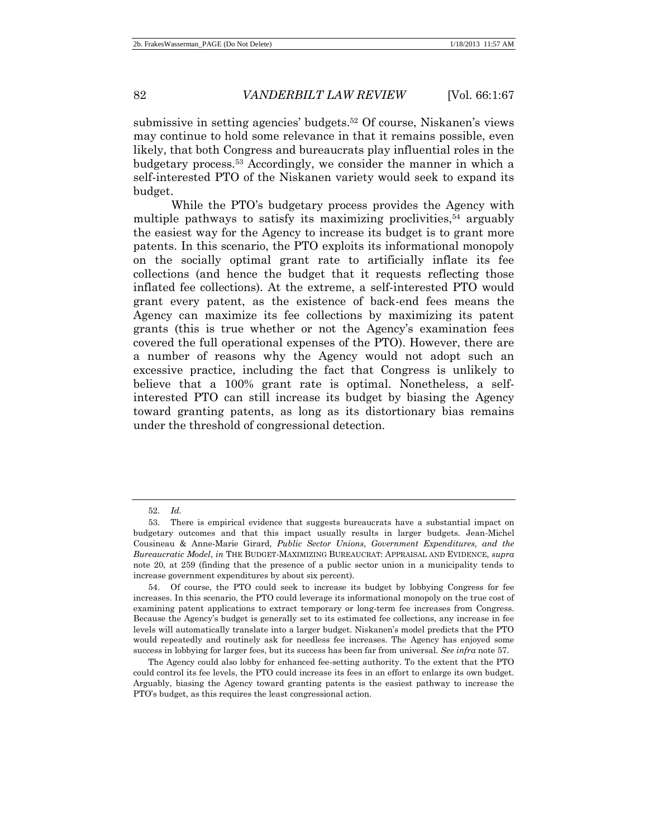submissive in setting agencies' budgets.<sup>52</sup> Of course, Niskanen's views may continue to hold some relevance in that it remains possible, even likely, that both Congress and bureaucrats play influential roles in the budgetary process.<sup>53</sup> Accordingly, we consider the manner in which a self-interested PTO of the Niskanen variety would seek to expand its budget.

While the PTO's budgetary process provides the Agency with multiple pathways to satisfy its maximizing proclivities,  $54$  arguably the easiest way for the Agency to increase its budget is to grant more patents. In this scenario, the PTO exploits its informational monopoly on the socially optimal grant rate to artificially inflate its fee collections (and hence the budget that it requests reflecting those inflated fee collections). At the extreme, a self-interested PTO would grant every patent, as the existence of back-end fees means the Agency can maximize its fee collections by maximizing its patent grants (this is true whether or not the Agency's examination fees covered the full operational expenses of the PTO). However, there are a number of reasons why the Agency would not adopt such an excessive practice, including the fact that Congress is unlikely to believe that a 100% grant rate is optimal. Nonetheless, a selfinterested PTO can still increase its budget by biasing the Agency toward granting patents, as long as its distortionary bias remains under the threshold of congressional detection.

<sup>52.</sup> *Id.*

<sup>53.</sup> There is empirical evidence that suggests bureaucrats have a substantial impact on budgetary outcomes and that this impact usually results in larger budgets. Jean-Michel Cousineau & Anne-Marie Girard, *Public Sector Unions, Government Expenditures, and the Bureaucratic Model*, *in* THE BUDGET-MAXIMIZING BUREAUCRAT: APPRAISAL AND EVIDENCE, *supra*  note 20, at 259 (finding that the presence of a public sector union in a municipality tends to increase government expenditures by about six percent).

<sup>54.</sup> Of course, the PTO could seek to increase its budget by lobbying Congress for fee increases. In this scenario, the PTO could leverage its informational monopoly on the true cost of examining patent applications to extract temporary or long-term fee increases from Congress. Because the Agency's budget is generally set to its estimated fee collections, any increase in fee levels will automatically translate into a larger budget. Niskanen's model predicts that the PTO would repeatedly and routinely ask for needless fee increases. The Agency has enjoyed some success in lobbying for larger fees, but its success has been far from universal. *See infra* note 57.

The Agency could also lobby for enhanced fee-setting authority. To the extent that the PTO could control its fee levels, the PTO could increase its fees in an effort to enlarge its own budget. Arguably, biasing the Agency toward granting patents is the easiest pathway to increase the PTO's budget, as this requires the least congressional action.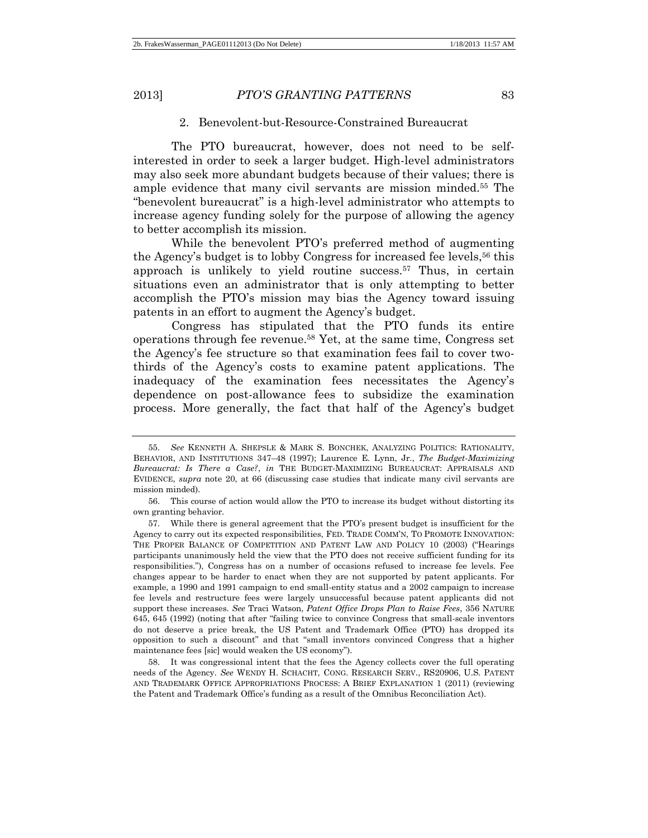#### 2. Benevolent-but-Resource-Constrained Bureaucrat

The PTO bureaucrat, however, does not need to be selfinterested in order to seek a larger budget. High-level administrators may also seek more abundant budgets because of their values; there is ample evidence that many civil servants are mission minded.<sup>55</sup> The "benevolent bureaucrat" is a high-level administrator who attempts to increase agency funding solely for the purpose of allowing the agency to better accomplish its mission.

While the benevolent PTO's preferred method of augmenting the Agency's budget is to lobby Congress for increased fee levels,<sup>56</sup> this approach is unlikely to yield routine success.<sup>57</sup> Thus, in certain situations even an administrator that is only attempting to better accomplish the PTO's mission may bias the Agency toward issuing patents in an effort to augment the Agency's budget.

Congress has stipulated that the PTO funds its entire operations through fee revenue.<sup>58</sup> Yet, at the same time, Congress set the Agency's fee structure so that examination fees fail to cover twothirds of the Agency's costs to examine patent applications. The inadequacy of the examination fees necessitates the Agency's dependence on post-allowance fees to subsidize the examination process. More generally, the fact that half of the Agency's budget

<sup>55.</sup> *See* KENNETH A. SHEPSLE & MARK S. BONCHEK, ANALYZING POLITICS: RATIONALITY, BEHAVIOR, AND INSTITUTIONS 347–48 (1997); Laurence E. Lynn, Jr., *The Budget-Maximizing Bureaucrat: Is There a Case?*, *in* THE BUDGET-MAXIMIZING BUREAUCRAT: APPRAISALS AND EVIDENCE, *supra* note 20, at 66 (discussing case studies that indicate many civil servants are mission minded).

<sup>56.</sup> This course of action would allow the PTO to increase its budget without distorting its own granting behavior.

<sup>57.</sup> While there is general agreement that the PTO's present budget is insufficient for the Agency to carry out its expected responsibilities, FED. TRADE COMM'N, TO PROMOTE INNOVATION: THE PROPER BALANCE OF COMPETITION AND PATENT LAW AND POLICY 10 (2003) ("Hearings participants unanimously held the view that the PTO does not receive sufficient funding for its responsibilities."), Congress has on a number of occasions refused to increase fee levels. Fee changes appear to be harder to enact when they are not supported by patent applicants. For example, a 1990 and 1991 campaign to end small-entity status and a 2002 campaign to increase fee levels and restructure fees were largely unsuccessful because patent applicants did not support these increases. *See* Traci Watson, *Patent Office Drops Plan to Raise Fees*, 356 NATURE 645, 645 (1992) (noting that after "failing twice to convince Congress that small-scale inventors do not deserve a price break, the US Patent and Trademark Office (PTO) has dropped its opposition to such a discount" and that "small inventors convinced Congress that a higher maintenance fees [sic] would weaken the US economy").

<sup>58.</sup> It was congressional intent that the fees the Agency collects cover the full operating needs of the Agency. *See* WENDY H. SCHACHT, CONG. RESEARCH SERV., RS20906, U.S. PATENT AND TRADEMARK OFFICE APPROPRIATIONS PROCESS: A BRIEF EXPLANATION 1 (2011) (reviewing the Patent and Trademark Office's funding as a result of the Omnibus Reconciliation Act).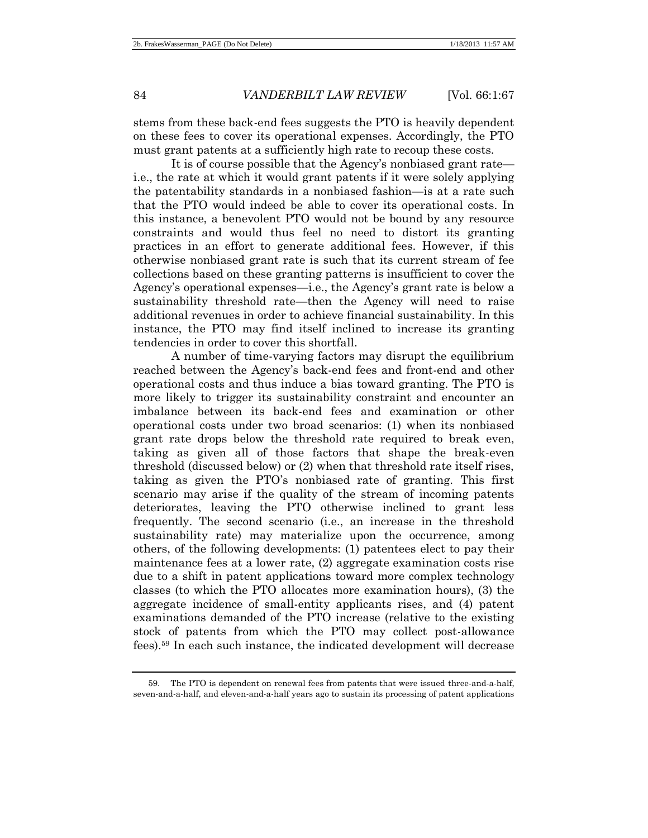stems from these back-end fees suggests the PTO is heavily dependent on these fees to cover its operational expenses. Accordingly, the PTO must grant patents at a sufficiently high rate to recoup these costs.

It is of course possible that the Agency's nonbiased grant rate i.e., the rate at which it would grant patents if it were solely applying the patentability standards in a nonbiased fashion—is at a rate such that the PTO would indeed be able to cover its operational costs. In this instance, a benevolent PTO would not be bound by any resource constraints and would thus feel no need to distort its granting practices in an effort to generate additional fees. However, if this otherwise nonbiased grant rate is such that its current stream of fee collections based on these granting patterns is insufficient to cover the Agency's operational expenses—i.e., the Agency's grant rate is below a sustainability threshold rate—then the Agency will need to raise additional revenues in order to achieve financial sustainability. In this instance, the PTO may find itself inclined to increase its granting tendencies in order to cover this shortfall.

A number of time-varying factors may disrupt the equilibrium reached between the Agency's back-end fees and front-end and other operational costs and thus induce a bias toward granting. The PTO is more likely to trigger its sustainability constraint and encounter an imbalance between its back-end fees and examination or other operational costs under two broad scenarios: (1) when its nonbiased grant rate drops below the threshold rate required to break even, taking as given all of those factors that shape the break-even threshold (discussed below) or (2) when that threshold rate itself rises, taking as given the PTO's nonbiased rate of granting. This first scenario may arise if the quality of the stream of incoming patents deteriorates, leaving the PTO otherwise inclined to grant less frequently. The second scenario (i.e., an increase in the threshold sustainability rate) may materialize upon the occurrence, among others, of the following developments: (1) patentees elect to pay their maintenance fees at a lower rate, (2) aggregate examination costs rise due to a shift in patent applications toward more complex technology classes (to which the PTO allocates more examination hours), (3) the aggregate incidence of small-entity applicants rises, and (4) patent examinations demanded of the PTO increase (relative to the existing stock of patents from which the PTO may collect post-allowance fees).<sup>59</sup> In each such instance, the indicated development will decrease

<sup>59.</sup> The PTO is dependent on renewal fees from patents that were issued three-and-a-half, seven-and-a-half, and eleven-and-a-half years ago to sustain its processing of patent applications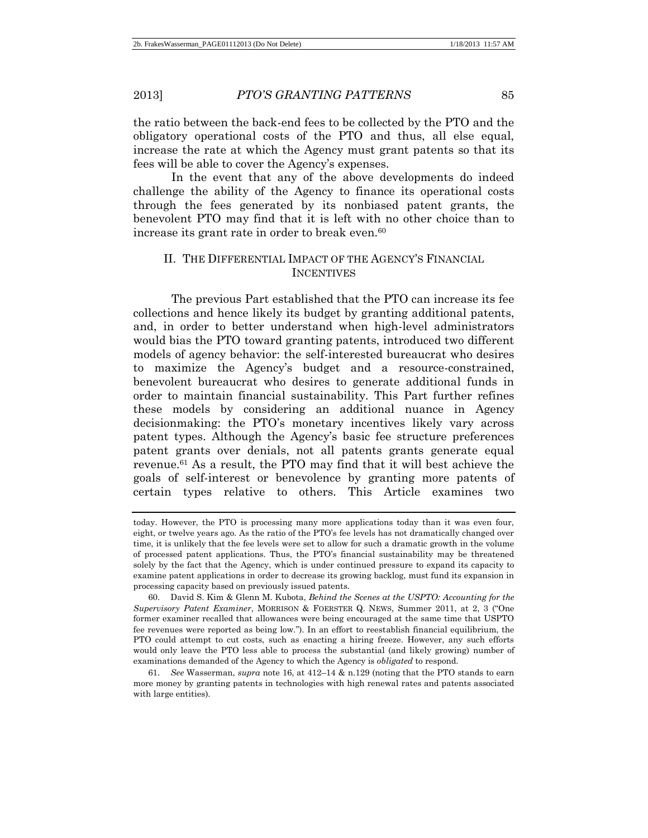the ratio between the back-end fees to be collected by the PTO and the obligatory operational costs of the PTO and thus, all else equal, increase the rate at which the Agency must grant patents so that its fees will be able to cover the Agency's expenses.

In the event that any of the above developments do indeed challenge the ability of the Agency to finance its operational costs through the fees generated by its nonbiased patent grants, the benevolent PTO may find that it is left with no other choice than to increase its grant rate in order to break even.<sup>60</sup>

# II. THE DIFFERENTIAL IMPACT OF THE AGENCY'S FINANCIAL INCENTIVES

The previous Part established that the PTO can increase its fee collections and hence likely its budget by granting additional patents, and, in order to better understand when high-level administrators would bias the PTO toward granting patents, introduced two different models of agency behavior: the self-interested bureaucrat who desires to maximize the Agency's budget and a resource-constrained, benevolent bureaucrat who desires to generate additional funds in order to maintain financial sustainability. This Part further refines these models by considering an additional nuance in Agency decisionmaking: the PTO's monetary incentives likely vary across patent types. Although the Agency's basic fee structure preferences patent grants over denials, not all patents grants generate equal revenue.<sup>61</sup> As a result, the PTO may find that it will best achieve the goals of self-interest or benevolence by granting more patents of certain types relative to others. This Article examines two

today. However, the PTO is processing many more applications today than it was even four, eight, or twelve years ago. As the ratio of the PTO's fee levels has not dramatically changed over time, it is unlikely that the fee levels were set to allow for such a dramatic growth in the volume of processed patent applications. Thus, the PTO's financial sustainability may be threatened solely by the fact that the Agency, which is under continued pressure to expand its capacity to examine patent applications in order to decrease its growing backlog, must fund its expansion in processing capacity based on previously issued patents.

<sup>60.</sup> David S. Kim & Glenn M. Kubota, *Behind the Scenes at the USPTO: Accounting for the Supervisory Patent Examiner*, MORRISON & FOERSTER Q. NEWS, Summer 2011, at 2, 3 ("One former examiner recalled that allowances were being encouraged at the same time that USPTO fee revenues were reported as being low."). In an effort to reestablish financial equilibrium, the PTO could attempt to cut costs, such as enacting a hiring freeze. However, any such efforts would only leave the PTO less able to process the substantial (and likely growing) number of examinations demanded of the Agency to which the Agency is *obligated* to respond.

<sup>61.</sup> *See* Wasserman, *supra* note 16, at 412–14 & n.129 (noting that the PTO stands to earn more money by granting patents in technologies with high renewal rates and patents associated with large entities).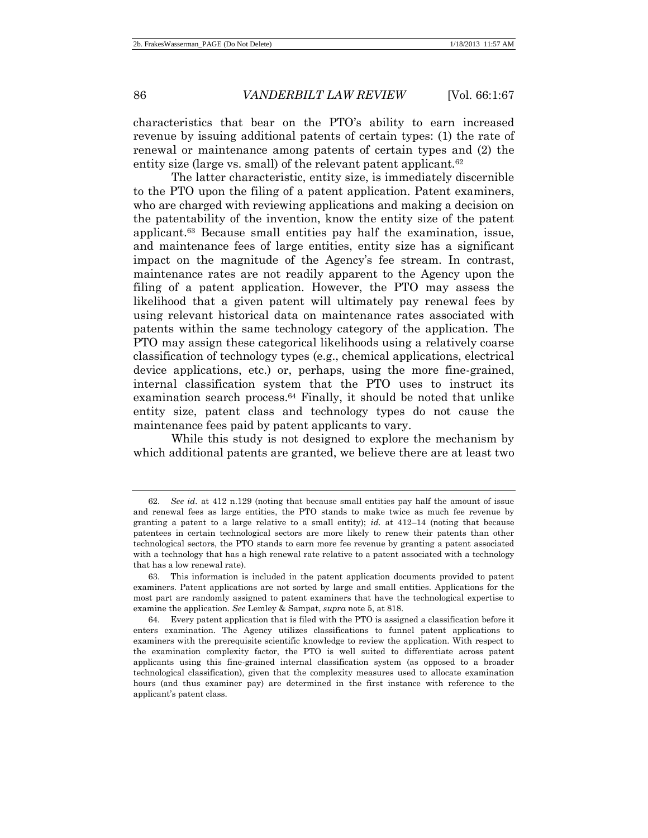characteristics that bear on the PTO's ability to earn increased revenue by issuing additional patents of certain types: (1) the rate of renewal or maintenance among patents of certain types and (2) the entity size (large vs. small) of the relevant patent applicant.<sup>62</sup>

The latter characteristic, entity size, is immediately discernible to the PTO upon the filing of a patent application. Patent examiners, who are charged with reviewing applications and making a decision on the patentability of the invention, know the entity size of the patent applicant.<sup>63</sup> Because small entities pay half the examination, issue, and maintenance fees of large entities, entity size has a significant impact on the magnitude of the Agency's fee stream. In contrast, maintenance rates are not readily apparent to the Agency upon the filing of a patent application. However, the PTO may assess the likelihood that a given patent will ultimately pay renewal fees by using relevant historical data on maintenance rates associated with patents within the same technology category of the application. The PTO may assign these categorical likelihoods using a relatively coarse classification of technology types (e.g., chemical applications, electrical device applications, etc.) or, perhaps, using the more fine-grained, internal classification system that the PTO uses to instruct its examination search process. $64$  Finally, it should be noted that unlike entity size, patent class and technology types do not cause the maintenance fees paid by patent applicants to vary.

While this study is not designed to explore the mechanism by which additional patents are granted, we believe there are at least two

<sup>62.</sup> *See id.* at 412 n.129 (noting that because small entities pay half the amount of issue and renewal fees as large entities, the PTO stands to make twice as much fee revenue by granting a patent to a large relative to a small entity); *id.* at 412–14 (noting that because patentees in certain technological sectors are more likely to renew their patents than other technological sectors, the PTO stands to earn more fee revenue by granting a patent associated with a technology that has a high renewal rate relative to a patent associated with a technology that has a low renewal rate).

<sup>63.</sup> This information is included in the patent application documents provided to patent examiners. Patent applications are not sorted by large and small entities. Applications for the most part are randomly assigned to patent examiners that have the technological expertise to examine the application. *See* Lemley & Sampat, *supra* note 5, at 818.

<sup>64.</sup> Every patent application that is filed with the PTO is assigned a classification before it enters examination. The Agency utilizes classifications to funnel patent applications to examiners with the prerequisite scientific knowledge to review the application. With respect to the examination complexity factor, the PTO is well suited to differentiate across patent applicants using this fine-grained internal classification system (as opposed to a broader technological classification), given that the complexity measures used to allocate examination hours (and thus examiner pay) are determined in the first instance with reference to the applicant's patent class.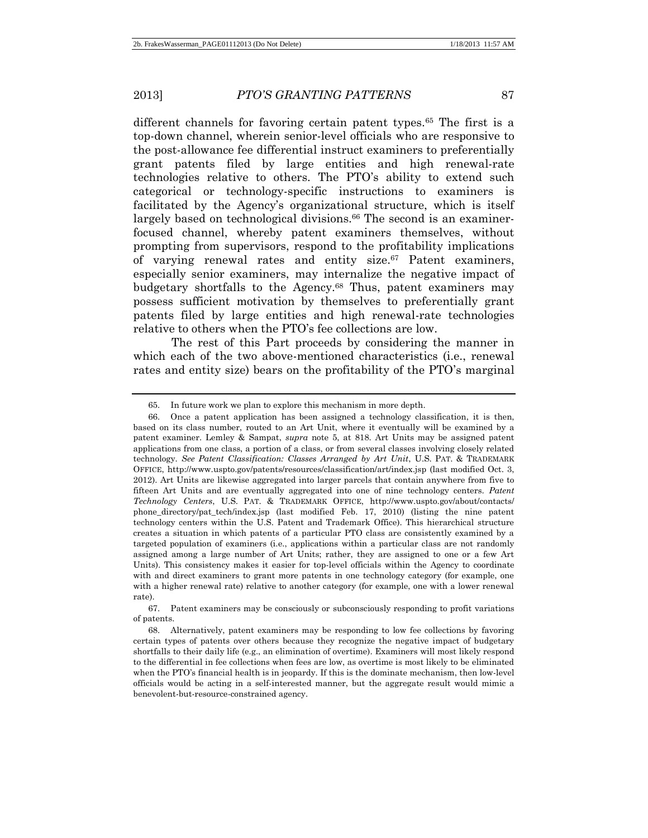different channels for favoring certain patent types.<sup>65</sup> The first is a top-down channel, wherein senior-level officials who are responsive to the post-allowance fee differential instruct examiners to preferentially grant patents filed by large entities and high renewal-rate technologies relative to others. The PTO's ability to extend such categorical or technology-specific instructions to examiners is facilitated by the Agency's organizational structure, which is itself largely based on technological divisions.<sup>66</sup> The second is an examinerfocused channel, whereby patent examiners themselves, without prompting from supervisors, respond to the profitability implications of varying renewal rates and entity size.<sup>67</sup> Patent examiners, especially senior examiners, may internalize the negative impact of budgetary shortfalls to the Agency.<sup>68</sup> Thus, patent examiners may possess sufficient motivation by themselves to preferentially grant patents filed by large entities and high renewal-rate technologies relative to others when the PTO's fee collections are low.

The rest of this Part proceeds by considering the manner in which each of the two above-mentioned characteristics (i.e., renewal rates and entity size) bears on the profitability of the PTO's marginal

<sup>65.</sup> In future work we plan to explore this mechanism in more depth.

<sup>66.</sup> Once a patent application has been assigned a technology classification, it is then, based on its class number, routed to an Art Unit, where it eventually will be examined by a patent examiner. Lemley & Sampat, *supra* note 5, at 818. Art Units may be assigned patent applications from one class, a portion of a class, or from several classes involving closely related technology. *See Patent Classification: Classes Arranged by Art Unit*, U.S. PAT. & TRADEMARK OFFICE, http://www.uspto.gov/patents/resources/classification/art/index.jsp (last modified Oct. 3, 2012). Art Units are likewise aggregated into larger parcels that contain anywhere from five to fifteen Art Units and are eventually aggregated into one of nine technology centers. *Patent Technology Centers*, U.S. PAT. & TRADEMARK OFFICE, http://www.uspto.gov/about/contacts/ phone\_directory/pat\_tech/index.jsp (last modified Feb. 17, 2010) (listing the nine patent technology centers within the U.S. Patent and Trademark Office). This hierarchical structure creates a situation in which patents of a particular PTO class are consistently examined by a targeted population of examiners (i.e., applications within a particular class are not randomly assigned among a large number of Art Units; rather, they are assigned to one or a few Art Units). This consistency makes it easier for top-level officials within the Agency to coordinate with and direct examiners to grant more patents in one technology category (for example, one with a higher renewal rate) relative to another category (for example, one with a lower renewal rate).

<sup>67.</sup> Patent examiners may be consciously or subconsciously responding to profit variations of patents.

<sup>68.</sup> Alternatively, patent examiners may be responding to low fee collections by favoring certain types of patents over others because they recognize the negative impact of budgetary shortfalls to their daily life (e.g., an elimination of overtime). Examiners will most likely respond to the differential in fee collections when fees are low, as overtime is most likely to be eliminated when the PTO's financial health is in jeopardy. If this is the dominate mechanism, then low-level officials would be acting in a self-interested manner, but the aggregate result would mimic a benevolent-but-resource-constrained agency.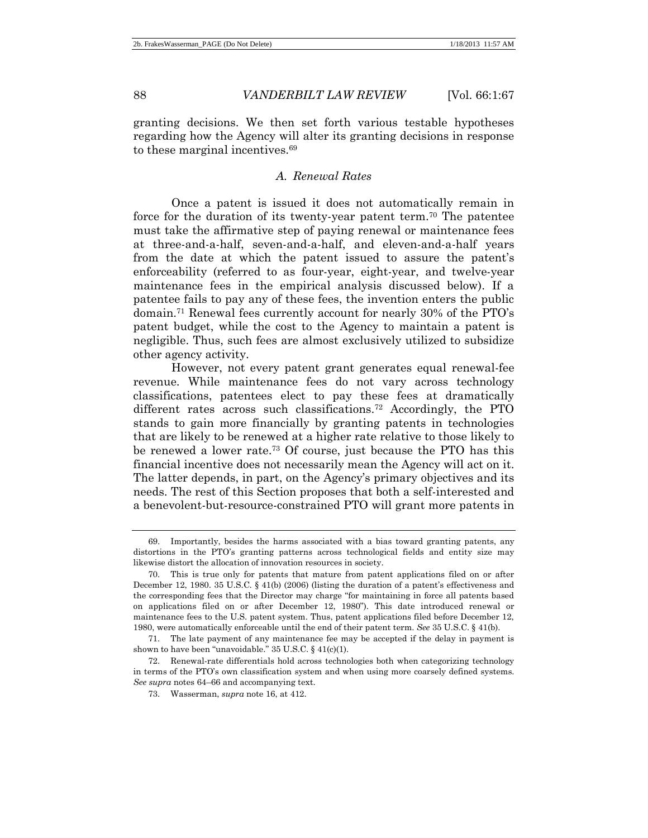## *A. Renewal Rates*

Once a patent is issued it does not automatically remain in force for the duration of its twenty-year patent term.<sup>70</sup> The patentee must take the affirmative step of paying renewal or maintenance fees at three-and-a-half, seven-and-a-half, and eleven-and-a-half years from the date at which the patent issued to assure the patent's enforceability (referred to as four-year, eight-year, and twelve-year maintenance fees in the empirical analysis discussed below). If a patentee fails to pay any of these fees, the invention enters the public domain.<sup>71</sup> Renewal fees currently account for nearly 30% of the PTO's patent budget, while the cost to the Agency to maintain a patent is negligible. Thus, such fees are almost exclusively utilized to subsidize other agency activity.

However, not every patent grant generates equal renewal-fee revenue. While maintenance fees do not vary across technology classifications, patentees elect to pay these fees at dramatically different rates across such classifications.<sup>72</sup> Accordingly, the PTO stands to gain more financially by granting patents in technologies that are likely to be renewed at a higher rate relative to those likely to be renewed a lower rate.<sup>73</sup> Of course, just because the PTO has this financial incentive does not necessarily mean the Agency will act on it. The latter depends, in part, on the Agency's primary objectives and its needs. The rest of this Section proposes that both a self-interested and a benevolent-but-resource-constrained PTO will grant more patents in

<sup>69.</sup> Importantly, besides the harms associated with a bias toward granting patents, any distortions in the PTO's granting patterns across technological fields and entity size may likewise distort the allocation of innovation resources in society.

<sup>70.</sup> This is true only for patents that mature from patent applications filed on or after December 12, 1980. 35 U.S.C. § 41(b) (2006) (listing the duration of a patent's effectiveness and the corresponding fees that the Director may charge "for maintaining in force all patents based on applications filed on or after December 12, 1980"). This date introduced renewal or maintenance fees to the U.S. patent system. Thus, patent applications filed before December 12, 1980, were automatically enforceable until the end of their patent term. *See* 35 U.S.C. § 41(b).

<sup>71.</sup> The late payment of any maintenance fee may be accepted if the delay in payment is shown to have been "unavoidable."  $35 \text{ U.S.C.} \$   $41(c)(1)$ .

<sup>72.</sup> Renewal-rate differentials hold across technologies both when categorizing technology in terms of the PTO's own classification system and when using more coarsely defined systems. *See supra* notes 64–66 and accompanying text.

<sup>73.</sup> Wasserman, *supra* note 16, at 412.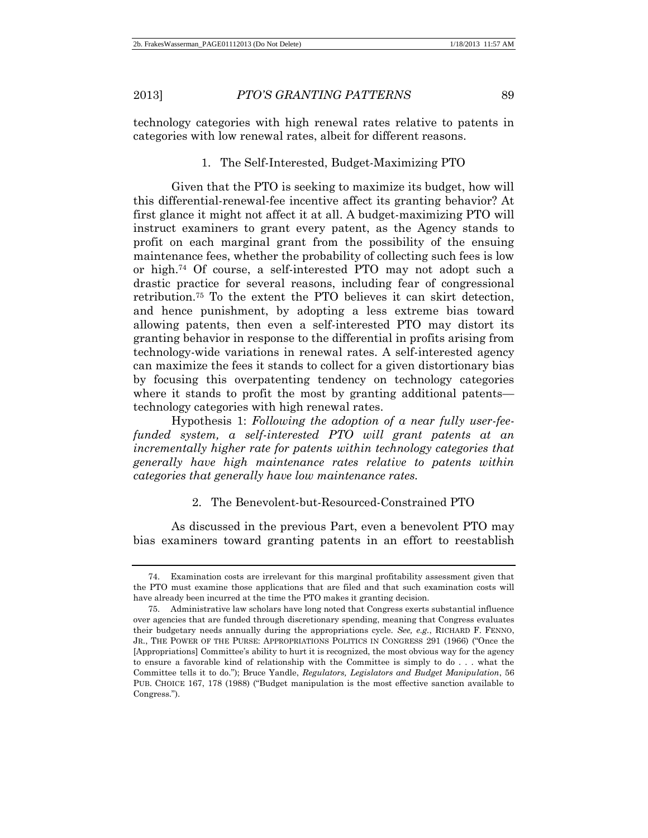technology categories with high renewal rates relative to patents in categories with low renewal rates, albeit for different reasons.

## 1. The Self-Interested, Budget-Maximizing PTO

Given that the PTO is seeking to maximize its budget, how will this differential-renewal-fee incentive affect its granting behavior? At first glance it might not affect it at all. A budget-maximizing PTO will instruct examiners to grant every patent, as the Agency stands to profit on each marginal grant from the possibility of the ensuing maintenance fees, whether the probability of collecting such fees is low or high.<sup>74</sup> Of course, a self-interested PTO may not adopt such a drastic practice for several reasons, including fear of congressional retribution.<sup>75</sup> To the extent the PTO believes it can skirt detection, and hence punishment, by adopting a less extreme bias toward allowing patents, then even a self-interested PTO may distort its granting behavior in response to the differential in profits arising from technology-wide variations in renewal rates. A self-interested agency can maximize the fees it stands to collect for a given distortionary bias by focusing this overpatenting tendency on technology categories where it stands to profit the most by granting additional patents technology categories with high renewal rates.

Hypothesis 1: *Following the adoption of a near fully user-feefunded system, a self-interested PTO will grant patents at an incrementally higher rate for patents within technology categories that generally have high maintenance rates relative to patents within categories that generally have low maintenance rates.*

## 2. The Benevolent-but-Resourced-Constrained PTO

As discussed in the previous Part, even a benevolent PTO may bias examiners toward granting patents in an effort to reestablish

<sup>74.</sup> Examination costs are irrelevant for this marginal profitability assessment given that the PTO must examine those applications that are filed and that such examination costs will have already been incurred at the time the PTO makes it granting decision.

<sup>75.</sup> Administrative law scholars have long noted that Congress exerts substantial influence over agencies that are funded through discretionary spending, meaning that Congress evaluates their budgetary needs annually during the appropriations cycle. *See, e.g.*, RICHARD F. FENNO, JR., THE POWER OF THE PURSE: APPROPRIATIONS POLITICS IN CONGRESS 291 (1966) ("Once the [Appropriations] Committee's ability to hurt it is recognized, the most obvious way for the agency to ensure a favorable kind of relationship with the Committee is simply to do . . . what the Committee tells it to do."); Bruce Yandle, *Regulators, Legislators and Budget Manipulation*, 56 PUB. CHOICE 167, 178 (1988) ("Budget manipulation is the most effective sanction available to Congress.").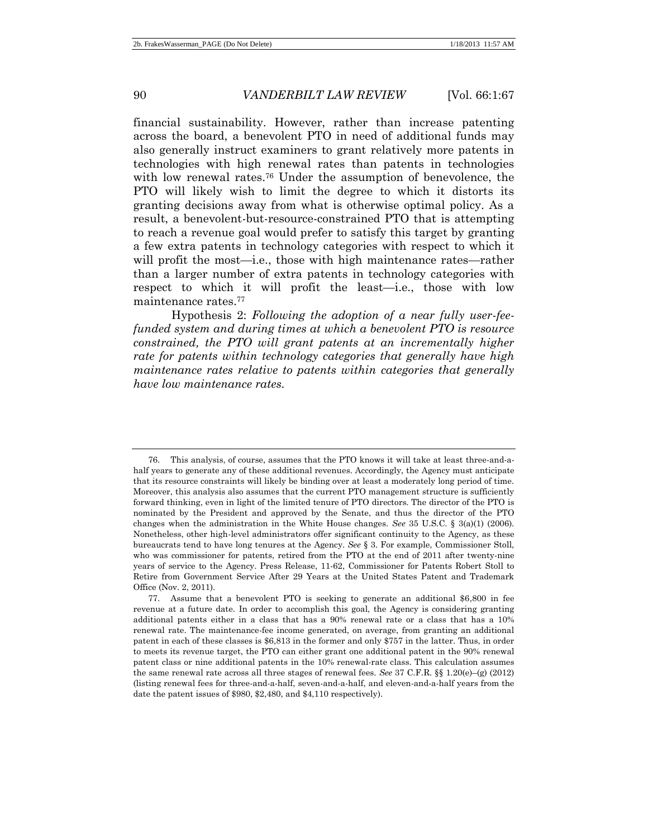financial sustainability. However, rather than increase patenting across the board, a benevolent PTO in need of additional funds may also generally instruct examiners to grant relatively more patents in technologies with high renewal rates than patents in technologies with low renewal rates.<sup>76</sup> Under the assumption of benevolence, the PTO will likely wish to limit the degree to which it distorts its granting decisions away from what is otherwise optimal policy. As a result, a benevolent-but-resource-constrained PTO that is attempting to reach a revenue goal would prefer to satisfy this target by granting a few extra patents in technology categories with respect to which it will profit the most—i.e., those with high maintenance rates—rather than a larger number of extra patents in technology categories with respect to which it will profit the least—i.e., those with low maintenance rates.<sup>77</sup>

Hypothesis 2: *Following the adoption of a near fully user-feefunded system and during times at which a benevolent PTO is resource constrained, the PTO will grant patents at an incrementally higher rate for patents within technology categories that generally have high maintenance rates relative to patents within categories that generally have low maintenance rates.*

<sup>76.</sup> This analysis, of course, assumes that the PTO knows it will take at least three-and-ahalf years to generate any of these additional revenues. Accordingly, the Agency must anticipate that its resource constraints will likely be binding over at least a moderately long period of time. Moreover, this analysis also assumes that the current PTO management structure is sufficiently forward thinking, even in light of the limited tenure of PTO directors. The director of the PTO is nominated by the President and approved by the Senate, and thus the director of the PTO changes when the administration in the White House changes. *See* 35 U.S.C. § 3(a)(1) (2006). Nonetheless, other high-level administrators offer significant continuity to the Agency, as these bureaucrats tend to have long tenures at the Agency. *See* § 3. For example, Commissioner Stoll, who was commissioner for patents, retired from the PTO at the end of 2011 after twenty-nine years of service to the Agency. Press Release, 11-62, Commissioner for Patents Robert Stoll to Retire from Government Service After 29 Years at the United States Patent and Trademark Office (Nov. 2, 2011).

<sup>77.</sup> Assume that a benevolent PTO is seeking to generate an additional \$6,800 in fee revenue at a future date. In order to accomplish this goal, the Agency is considering granting additional patents either in a class that has a 90% renewal rate or a class that has a 10% renewal rate. The maintenance-fee income generated, on average, from granting an additional patent in each of these classes is \$6,813 in the former and only \$757 in the latter. Thus, in order to meets its revenue target, the PTO can either grant one additional patent in the 90% renewal patent class or nine additional patents in the 10% renewal-rate class. This calculation assumes the same renewal rate across all three stages of renewal fees. *See* 37 C.F.R. §§ 1.20(e)–(g) (2012) (listing renewal fees for three-and-a-half, seven-and-a-half, and eleven-and-a-half years from the date the patent issues of \$980, \$2,480, and \$4,110 respectively).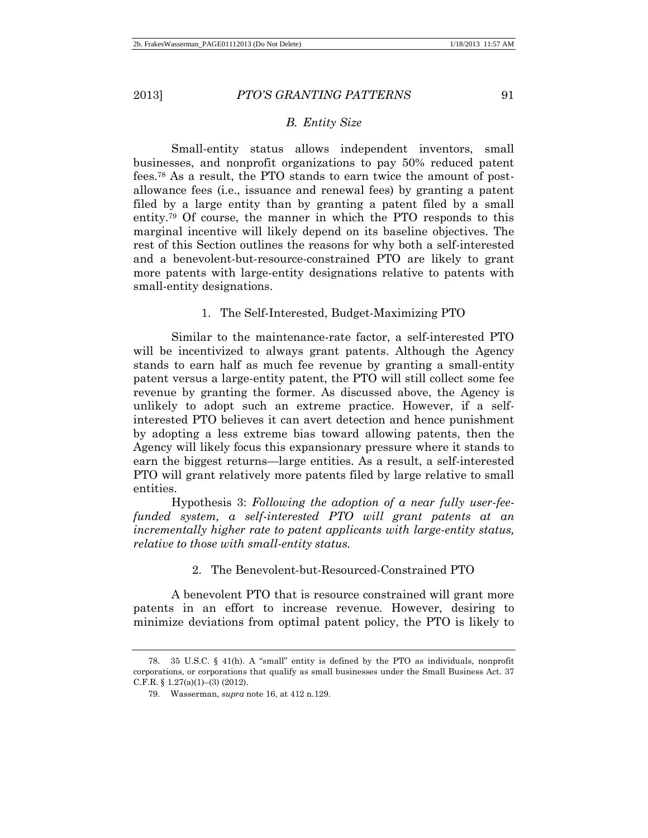#### *B. Entity Size*

Small-entity status allows independent inventors, small businesses, and nonprofit organizations to pay 50% reduced patent fees.<sup>78</sup> As a result, the PTO stands to earn twice the amount of postallowance fees (i.e., issuance and renewal fees) by granting a patent filed by a large entity than by granting a patent filed by a small entity.<sup>79</sup> Of course, the manner in which the PTO responds to this marginal incentive will likely depend on its baseline objectives. The rest of this Section outlines the reasons for why both a self-interested and a benevolent-but-resource-constrained PTO are likely to grant more patents with large-entity designations relative to patents with small-entity designations.

#### 1. The Self-Interested, Budget-Maximizing PTO

Similar to the maintenance-rate factor, a self-interested PTO will be incentivized to always grant patents. Although the Agency stands to earn half as much fee revenue by granting a small-entity patent versus a large-entity patent, the PTO will still collect some fee revenue by granting the former. As discussed above, the Agency is unlikely to adopt such an extreme practice. However, if a selfinterested PTO believes it can avert detection and hence punishment by adopting a less extreme bias toward allowing patents, then the Agency will likely focus this expansionary pressure where it stands to earn the biggest returns—large entities. As a result, a self-interested PTO will grant relatively more patents filed by large relative to small entities.

Hypothesis 3: *Following the adoption of a near fully user-feefunded system, a self-interested PTO will grant patents at an incrementally higher rate to patent applicants with large-entity status, relative to those with small-entity status.*

## 2. The Benevolent-but-Resourced-Constrained PTO

A benevolent PTO that is resource constrained will grant more patents in an effort to increase revenue. However, desiring to minimize deviations from optimal patent policy, the PTO is likely to

<sup>78.</sup> 35 U.S.C. § 41(h). A "small" entity is defined by the PTO as individuals, nonprofit corporations, or corporations that qualify as small businesses under the Small Business Act. 37 C.F.R.  $\{ 1.27(a)(1) - (3) (2012)$ .

<sup>79.</sup> Wasserman, *supra* note 16, at 412 n.129.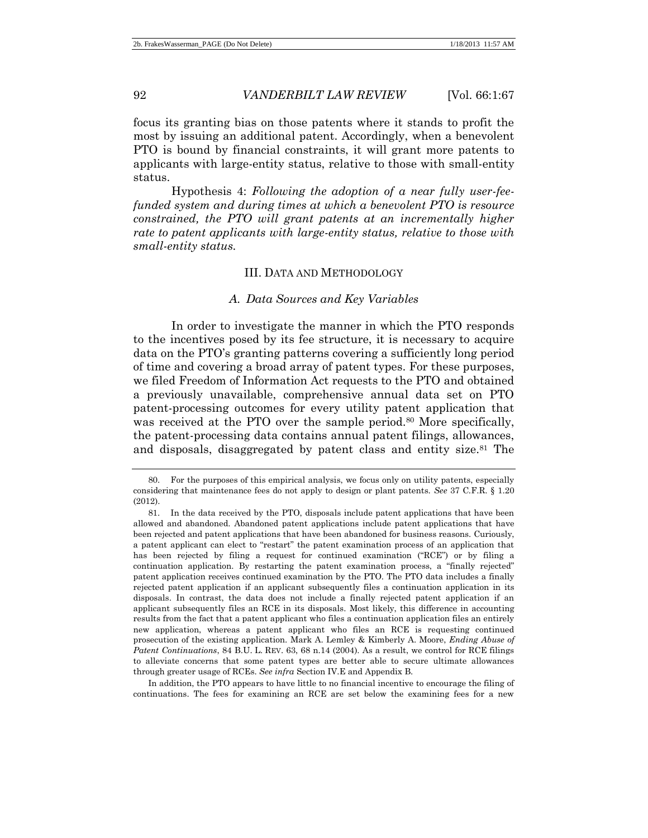focus its granting bias on those patents where it stands to profit the most by issuing an additional patent. Accordingly, when a benevolent PTO is bound by financial constraints, it will grant more patents to applicants with large-entity status, relative to those with small-entity status.

Hypothesis 4: *Following the adoption of a near fully user-feefunded system and during times at which a benevolent PTO is resource constrained, the PTO will grant patents at an incrementally higher rate to patent applicants with large-entity status, relative to those with small-entity status.*

#### III. DATA AND METHODOLOGY

#### *A. Data Sources and Key Variables*

In order to investigate the manner in which the PTO responds to the incentives posed by its fee structure, it is necessary to acquire data on the PTO's granting patterns covering a sufficiently long period of time and covering a broad array of patent types. For these purposes, we filed Freedom of Information Act requests to the PTO and obtained a previously unavailable, comprehensive annual data set on PTO patent-processing outcomes for every utility patent application that was received at the PTO over the sample period.<sup>80</sup> More specifically, the patent-processing data contains annual patent filings, allowances, and disposals, disaggregated by patent class and entity size.<sup>81</sup> The

In addition, the PTO appears to have little to no financial incentive to encourage the filing of continuations. The fees for examining an RCE are set below the examining fees for a new

<sup>80.</sup> For the purposes of this empirical analysis, we focus only on utility patents, especially considering that maintenance fees do not apply to design or plant patents. *See* 37 C.F.R. § 1.20 (2012).

<sup>81.</sup> In the data received by the PTO, disposals include patent applications that have been allowed and abandoned. Abandoned patent applications include patent applications that have been rejected and patent applications that have been abandoned for business reasons. Curiously, a patent applicant can elect to "restart" the patent examination process of an application that has been rejected by filing a request for continued examination ("RCE") or by filing a continuation application. By restarting the patent examination process, a "finally rejected" patent application receives continued examination by the PTO. The PTO data includes a finally rejected patent application if an applicant subsequently files a continuation application in its disposals. In contrast, the data does not include a finally rejected patent application if an applicant subsequently files an RCE in its disposals. Most likely, this difference in accounting results from the fact that a patent applicant who files a continuation application files an entirely new application, whereas a patent applicant who files an RCE is requesting continued prosecution of the existing application. Mark A. Lemley & Kimberly A. Moore, *Ending Abuse of Patent Continuations*, 84 B.U. L. REV. 63, 68 n.14 (2004). As a result, we control for RCE filings to alleviate concerns that some patent types are better able to secure ultimate allowances through greater usage of RCEs. *See infra* Section IV.E and Appendix B.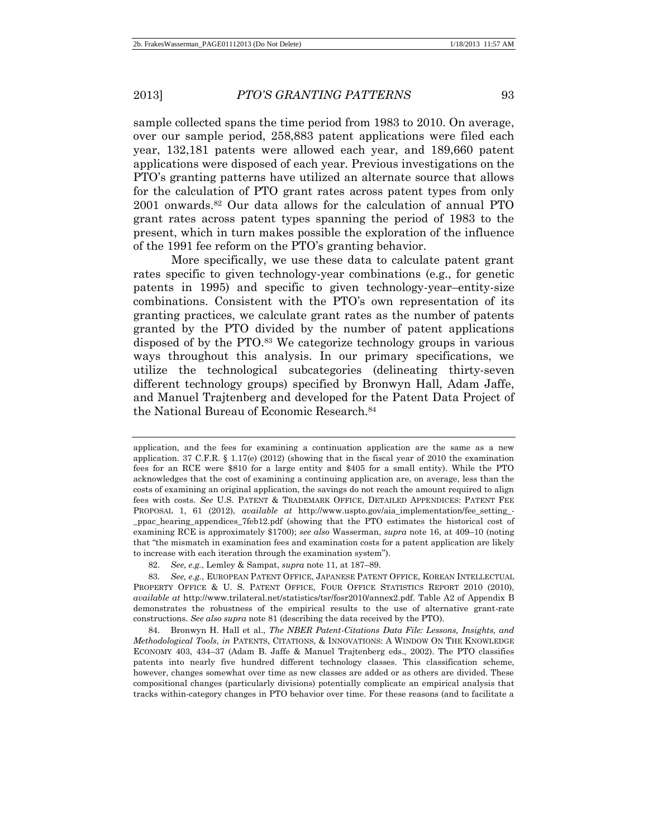sample collected spans the time period from 1983 to 2010. On average, over our sample period, 258,883 patent applications were filed each year, 132,181 patents were allowed each year, and 189,660 patent applications were disposed of each year. Previous investigations on the PTO's granting patterns have utilized an alternate source that allows for the calculation of PTO grant rates across patent types from only 2001 onwards.<sup>82</sup> Our data allows for the calculation of annual PTO grant rates across patent types spanning the period of 1983 to the present, which in turn makes possible the exploration of the influence of the 1991 fee reform on the PTO's granting behavior.

More specifically, we use these data to calculate patent grant rates specific to given technology-year combinations (e.g., for genetic patents in 1995) and specific to given technology-year–entity-size combinations. Consistent with the PTO's own representation of its granting practices, we calculate grant rates as the number of patents granted by the PTO divided by the number of patent applications disposed of by the PTO.<sup>83</sup> We categorize technology groups in various ways throughout this analysis. In our primary specifications, we utilize the technological subcategories (delineating thirty-seven different technology groups) specified by Bronwyn Hall, Adam Jaffe, and Manuel Trajtenberg and developed for the Patent Data Project of the National Bureau of Economic Research.<sup>84</sup>

application, and the fees for examining a continuation application are the same as a new application. 37 C.F.R.  $\S 1.17(e)$  (2012) (showing that in the fiscal year of 2010 the examination fees for an RCE were \$810 for a large entity and \$405 for a small entity). While the PTO acknowledges that the cost of examining a continuing application are, on average, less than the costs of examining an original application, the savings do not reach the amount required to align fees with costs. *See* U.S. PATENT & TRADEMARK OFFICE, DETAILED APPENDICES: PATENT FEE PROPOSAL 1, 61 (2012), *available at* http://www.uspto.gov/aia\_implementation/fee\_setting\_- \_ppac\_hearing\_appendices\_7feb12.pdf (showing that the PTO estimates the historical cost of examining RCE is approximately \$1700); *see also* Wasserman, *supra* note 16, at 409–10 (noting that "the mismatch in examination fees and examination costs for a patent application are likely to increase with each iteration through the examination system").

<sup>82.</sup> *See*, *e.g.*, Lemley & Sampat, *supra* note 11, at 187–89.

<sup>83.</sup> *See, e.g.*, EUROPEAN PATENT OFFICE, JAPANESE PATENT OFFICE, KOREAN INTELLECTUAL PROPERTY OFFICE & U. S. PATENT OFFICE, FOUR OFFICE STATISTICS REPORT 2010 (2010), *available at* [http://www.trilateral.net/statistics/tsr/fosr2010/annex2.pdf.](http://www.trilateral.net/statistics/tsr/fosr2010/%20annex2.pdf) Table A2 of Appendix B demonstrates the robustness of the empirical results to the use of alternative grant-rate constructions. *See also supra* note 81 (describing the data received by the PTO).

<sup>84.</sup> Bronwyn H. Hall et al., *The NBER Patent-Citations Data File: Lessons, Insights, and Methodological Tools*, *in* PATENTS, CITATIONS, & INNOVATIONS: A WINDOW ON THE KNOWLEDGE ECONOMY 403, 434–37 (Adam B. Jaffe & Manuel Trajtenberg eds., 2002). The PTO classifies patents into nearly five hundred different technology classes. This classification scheme, however, changes somewhat over time as new classes are added or as others are divided. These compositional changes (particularly divisions) potentially complicate an empirical analysis that tracks within-category changes in PTO behavior over time. For these reasons (and to facilitate a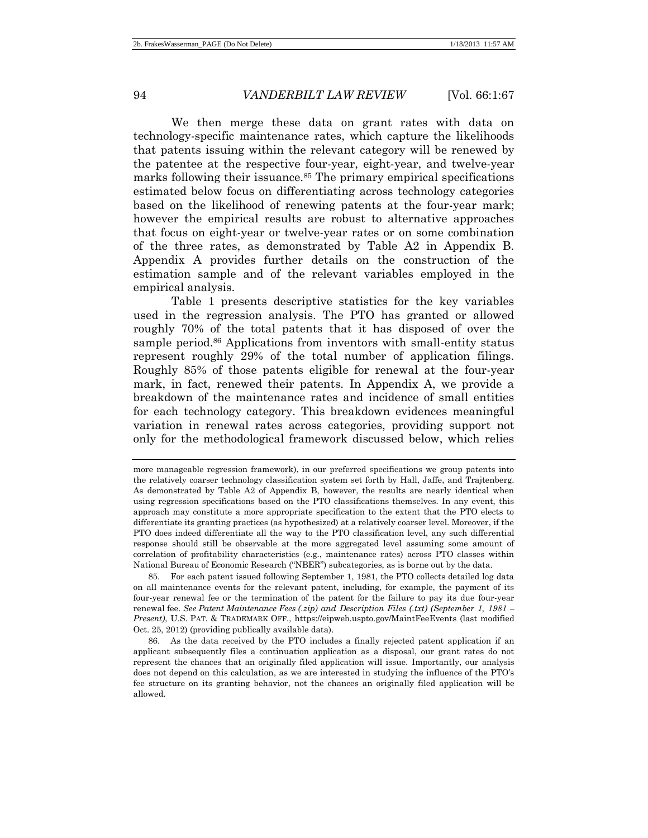We then merge these data on grant rates with data on technology-specific maintenance rates, which capture the likelihoods that patents issuing within the relevant category will be renewed by the patentee at the respective four-year, eight-year, and twelve-year marks following their issuance.<sup>85</sup> The primary empirical specifications estimated below focus on differentiating across technology categories based on the likelihood of renewing patents at the four-year mark; however the empirical results are robust to alternative approaches that focus on eight-year or twelve-year rates or on some combination of the three rates, as demonstrated by Table A2 in Appendix B. Appendix A provides further details on the construction of the estimation sample and of the relevant variables employed in the empirical analysis.

Table 1 presents descriptive statistics for the key variables used in the regression analysis. The PTO has granted or allowed roughly 70% of the total patents that it has disposed of over the sample period.<sup>86</sup> Applications from inventors with small-entity status represent roughly 29% of the total number of application filings. Roughly 85% of those patents eligible for renewal at the four-year mark, in fact, renewed their patents. In Appendix A, we provide a breakdown of the maintenance rates and incidence of small entities for each technology category. This breakdown evidences meaningful variation in renewal rates across categories, providing support not only for the methodological framework discussed below, which relies

more manageable regression framework), in our preferred specifications we group patents into the relatively coarser technology classification system set forth by Hall, Jaffe, and Trajtenberg. As demonstrated by Table A2 of Appendix B, however, the results are nearly identical when using regression specifications based on the PTO classifications themselves. In any event, this approach may constitute a more appropriate specification to the extent that the PTO elects to differentiate its granting practices (as hypothesized) at a relatively coarser level. Moreover, if the PTO does indeed differentiate all the way to the PTO classification level, any such differential response should still be observable at the more aggregated level assuming some amount of correlation of profitability characteristics (e.g., maintenance rates) across PTO classes within National Bureau of Economic Research ("NBER") subcategories, as is borne out by the data.

<sup>85.</sup> For each patent issued following September 1, 1981, the PTO collects detailed log data on all maintenance events for the relevant patent, including, for example, the payment of its four-year renewal fee or the termination of the patent for the failure to pay its due four-year renewal fee. *See Patent Maintenance Fees (.zip) and Description Files (.txt) (September 1, 1981 – Present)*, U.S. PAT. & TRADEMARK OFF., https://eipweb.uspto.gov/MaintFeeEvents (last modified Oct. 25, 2012) (providing publically available data).

<sup>86.</sup> As the data received by the PTO includes a finally rejected patent application if an applicant subsequently files a continuation application as a disposal, our grant rates do not represent the chances that an originally filed application will issue. Importantly, our analysis does not depend on this calculation, as we are interested in studying the influence of the PTO's fee structure on its granting behavior, not the chances an originally filed application will be allowed.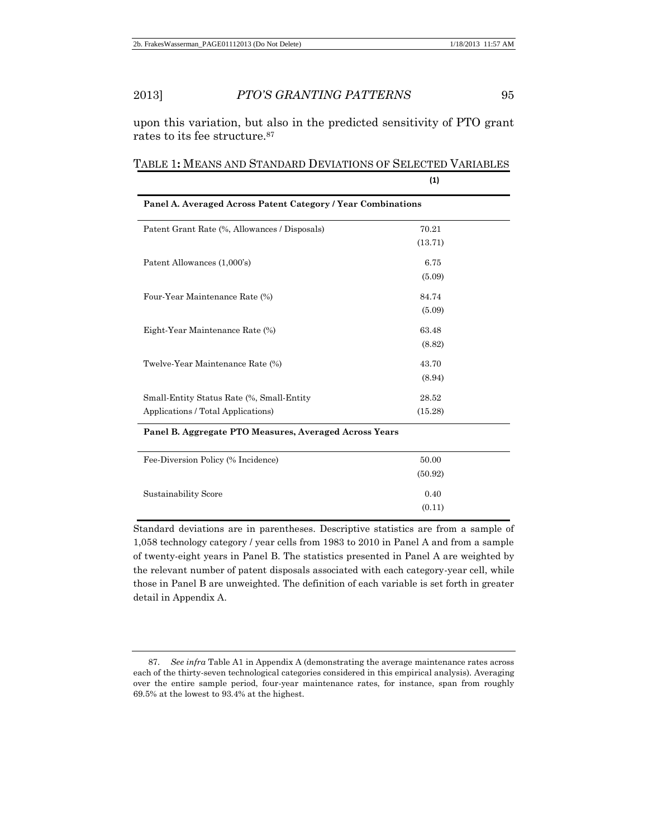upon this variation, but also in the predicted sensitivity of PTO grant rates to its fee structure.<sup>87</sup>

| TABLE 1: MEANS AND STANDARD DEVIATIONS OF SELECTED VARIABLES |  |  |
|--------------------------------------------------------------|--|--|
|                                                              |  |  |

| Panel A. Averaged Across Patent Category / Year Combinations |         |  |  |  |
|--------------------------------------------------------------|---------|--|--|--|
| Patent Grant Rate (%, Allowances / Disposals)                | 70.21   |  |  |  |
|                                                              | (13.71) |  |  |  |
| Patent Allowances (1,000's)                                  | 6.75    |  |  |  |
|                                                              | (5.09)  |  |  |  |
| Four-Year Maintenance Rate (%)                               | 84.74   |  |  |  |
|                                                              | (5.09)  |  |  |  |
| Eight-Year Maintenance Rate (%)                              | 63.48   |  |  |  |
|                                                              | (8.82)  |  |  |  |
| Twelve-Year Maintenance Rate (%)                             | 43.70   |  |  |  |
|                                                              | (8.94)  |  |  |  |
| Small-Entity Status Rate (%, Small-Entity)                   | 28.52   |  |  |  |
| Applications / Total Applications)                           | (15.28) |  |  |  |
|                                                              |         |  |  |  |

#### **Panel B. Aggregate PTO Measures, Averaged Across Years**

| Fee-Diversion Policy (% Incidence) | 50.00   |  |
|------------------------------------|---------|--|
|                                    | (50.92) |  |
| Sustainability Score               | 0.40    |  |
|                                    | (0.11)  |  |
|                                    |         |  |

Standard deviations are in parentheses. Descriptive statistics are from a sample of 1,058 technology category / year cells from 1983 to 2010 in Panel A and from a sample of twenty-eight years in Panel B. The statistics presented in Panel A are weighted by the relevant number of patent disposals associated with each category-year cell, while those in Panel B are unweighted. The definition of each variable is set forth in greater detail in Appendix A.

<sup>87.</sup> *See infra* Table A1 in Appendix A (demonstrating the average maintenance rates across each of the thirty-seven technological categories considered in this empirical analysis). Averaging over the entire sample period, four-year maintenance rates, for instance, span from roughly 69.5% at the lowest to 93.4% at the highest.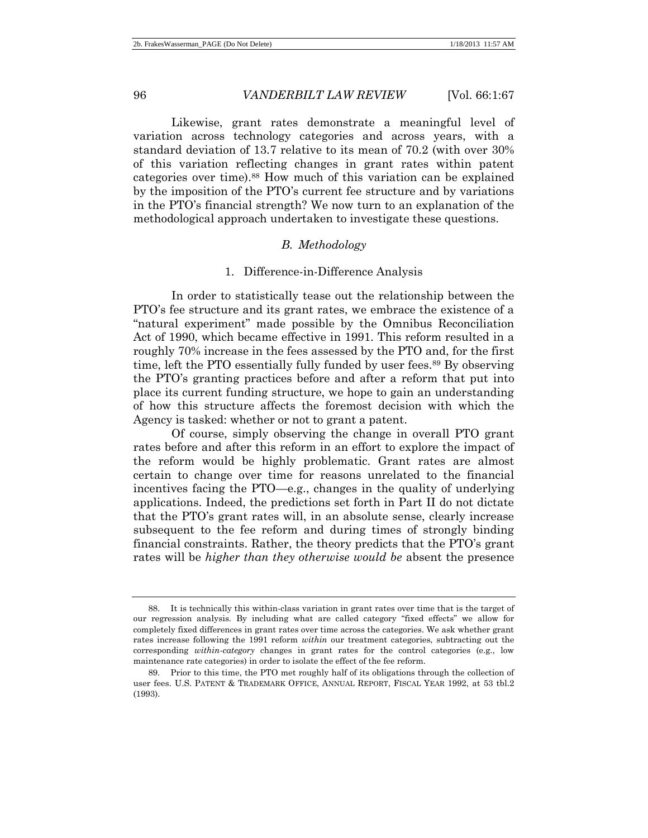Likewise, grant rates demonstrate a meaningful level of variation across technology categories and across years, with a standard deviation of 13.7 relative to its mean of 70.2 (with over 30% of this variation reflecting changes in grant rates within patent categories over time).<sup>88</sup> How much of this variation can be explained by the imposition of the PTO's current fee structure and by variations in the PTO's financial strength? We now turn to an explanation of the methodological approach undertaken to investigate these questions.

## *B. Methodology*

#### 1. Difference-in-Difference Analysis

In order to statistically tease out the relationship between the PTO's fee structure and its grant rates, we embrace the existence of a "natural experiment" made possible by the Omnibus Reconciliation Act of 1990, which became effective in 1991. This reform resulted in a roughly 70% increase in the fees assessed by the PTO and, for the first time, left the PTO essentially fully funded by user fees.<sup>89</sup> By observing the PTO's granting practices before and after a reform that put into place its current funding structure, we hope to gain an understanding of how this structure affects the foremost decision with which the Agency is tasked: whether or not to grant a patent.

Of course, simply observing the change in overall PTO grant rates before and after this reform in an effort to explore the impact of the reform would be highly problematic. Grant rates are almost certain to change over time for reasons unrelated to the financial incentives facing the PTO—e.g., changes in the quality of underlying applications. Indeed, the predictions set forth in Part II do not dictate that the PTO's grant rates will, in an absolute sense, clearly increase subsequent to the fee reform and during times of strongly binding financial constraints. Rather, the theory predicts that the PTO's grant rates will be *higher than they otherwise would be* absent the presence

<sup>88.</sup> It is technically this within-class variation in grant rates over time that is the target of our regression analysis. By including what are called category "fixed effects" we allow for completely fixed differences in grant rates over time across the categories. We ask whether grant rates increase following the 1991 reform *within* our treatment categories, subtracting out the corresponding *within-category* changes in grant rates for the control categories (e.g., low maintenance rate categories) in order to isolate the effect of the fee reform.

<sup>89.</sup> Prior to this time, the PTO met roughly half of its obligations through the collection of user fees. U.S. PATENT & TRADEMARK OFFICE, ANNUAL REPORT, FISCAL YEAR 1992, at 53 tbl.2 (1993).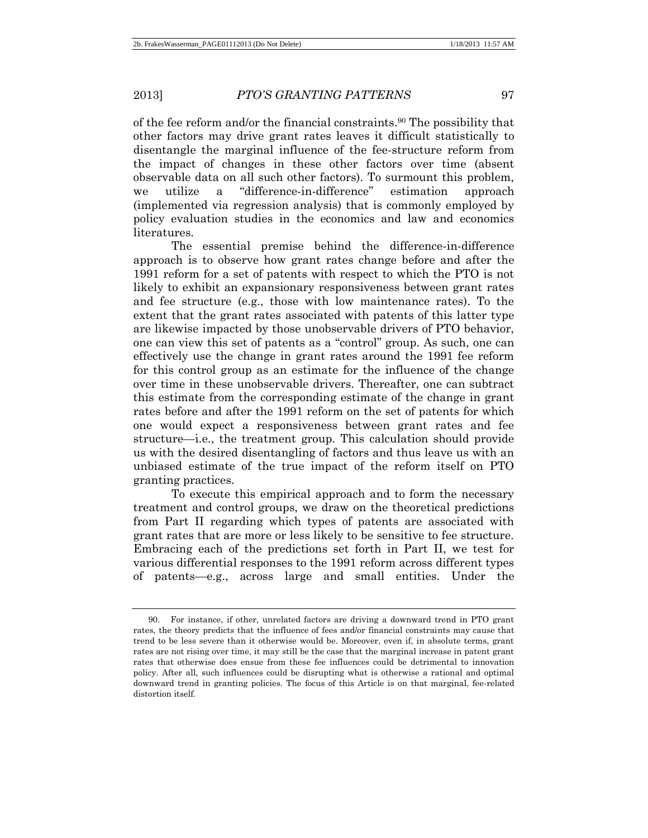of the fee reform and/or the financial constraints.<sup>90</sup> The possibility that other factors may drive grant rates leaves it difficult statistically to disentangle the marginal influence of the fee-structure reform from the impact of changes in these other factors over time (absent observable data on all such other factors). To surmount this problem, we utilize a "difference-in-difference" estimation approach (implemented via regression analysis) that is commonly employed by policy evaluation studies in the economics and law and economics literatures.

The essential premise behind the difference-in-difference approach is to observe how grant rates change before and after the 1991 reform for a set of patents with respect to which the PTO is not likely to exhibit an expansionary responsiveness between grant rates and fee structure (e.g., those with low maintenance rates). To the extent that the grant rates associated with patents of this latter type are likewise impacted by those unobservable drivers of PTO behavior, one can view this set of patents as a "control" group. As such, one can effectively use the change in grant rates around the 1991 fee reform for this control group as an estimate for the influence of the change over time in these unobservable drivers. Thereafter, one can subtract this estimate from the corresponding estimate of the change in grant rates before and after the 1991 reform on the set of patents for which one would expect a responsiveness between grant rates and fee structure—i.e., the treatment group. This calculation should provide us with the desired disentangling of factors and thus leave us with an unbiased estimate of the true impact of the reform itself on PTO granting practices.

To execute this empirical approach and to form the necessary treatment and control groups, we draw on the theoretical predictions from Part II regarding which types of patents are associated with grant rates that are more or less likely to be sensitive to fee structure. Embracing each of the predictions set forth in Part II, we test for various differential responses to the 1991 reform across different types of patents—e.g., across large and small entities. Under the

<sup>90.</sup> For instance, if other, unrelated factors are driving a downward trend in PTO grant rates, the theory predicts that the influence of fees and/or financial constraints may cause that trend to be less severe than it otherwise would be. Moreover, even if, in absolute terms, grant rates are not rising over time, it may still be the case that the marginal increase in patent grant rates that otherwise does ensue from these fee influences could be detrimental to innovation policy. After all, such influences could be disrupting what is otherwise a rational and optimal downward trend in granting policies. The focus of this Article is on that marginal, fee-related distortion itself.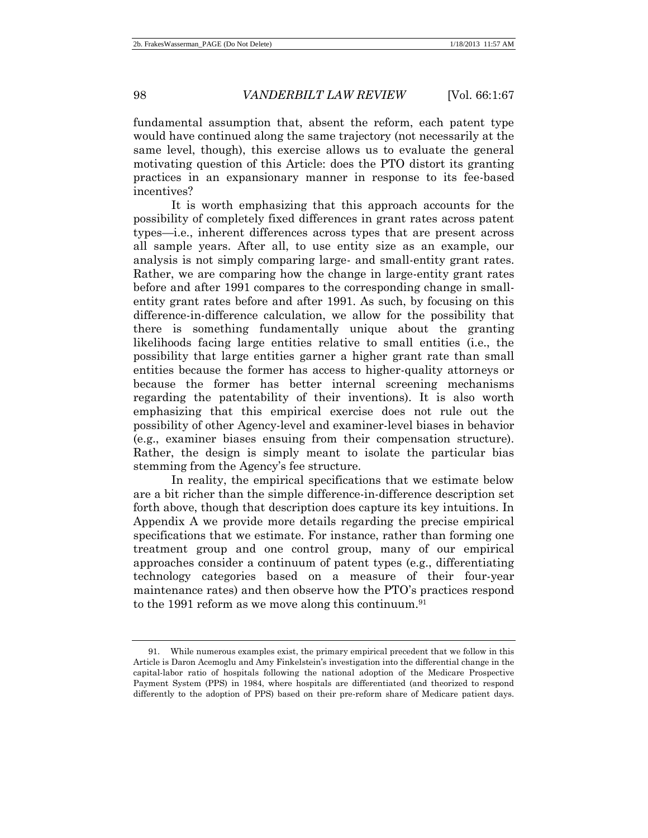fundamental assumption that, absent the reform, each patent type would have continued along the same trajectory (not necessarily at the same level, though), this exercise allows us to evaluate the general motivating question of this Article: does the PTO distort its granting practices in an expansionary manner in response to its fee-based incentives?

It is worth emphasizing that this approach accounts for the possibility of completely fixed differences in grant rates across patent types—i.e., inherent differences across types that are present across all sample years. After all, to use entity size as an example, our analysis is not simply comparing large- and small-entity grant rates. Rather, we are comparing how the change in large-entity grant rates before and after 1991 compares to the corresponding change in smallentity grant rates before and after 1991. As such, by focusing on this difference-in-difference calculation, we allow for the possibility that there is something fundamentally unique about the granting likelihoods facing large entities relative to small entities (i.e., the possibility that large entities garner a higher grant rate than small entities because the former has access to higher-quality attorneys or because the former has better internal screening mechanisms regarding the patentability of their inventions). It is also worth emphasizing that this empirical exercise does not rule out the possibility of other Agency-level and examiner-level biases in behavior (e.g., examiner biases ensuing from their compensation structure). Rather, the design is simply meant to isolate the particular bias stemming from the Agency's fee structure.

In reality, the empirical specifications that we estimate below are a bit richer than the simple difference-in-difference description set forth above, though that description does capture its key intuitions. In Appendix A we provide more details regarding the precise empirical specifications that we estimate. For instance, rather than forming one treatment group and one control group, many of our empirical approaches consider a continuum of patent types (e.g., differentiating technology categories based on a measure of their four-year maintenance rates) and then observe how the PTO's practices respond to the 1991 reform as we move along this continuum.<sup>91</sup>

<sup>91.</sup> While numerous examples exist, the primary empirical precedent that we follow in this Article is Daron Acemoglu and Amy Finkelstein's investigation into the differential change in the capital-labor ratio of hospitals following the national adoption of the Medicare Prospective Payment System (PPS) in 1984, where hospitals are differentiated (and theorized to respond differently to the adoption of PPS) based on their pre-reform share of Medicare patient days.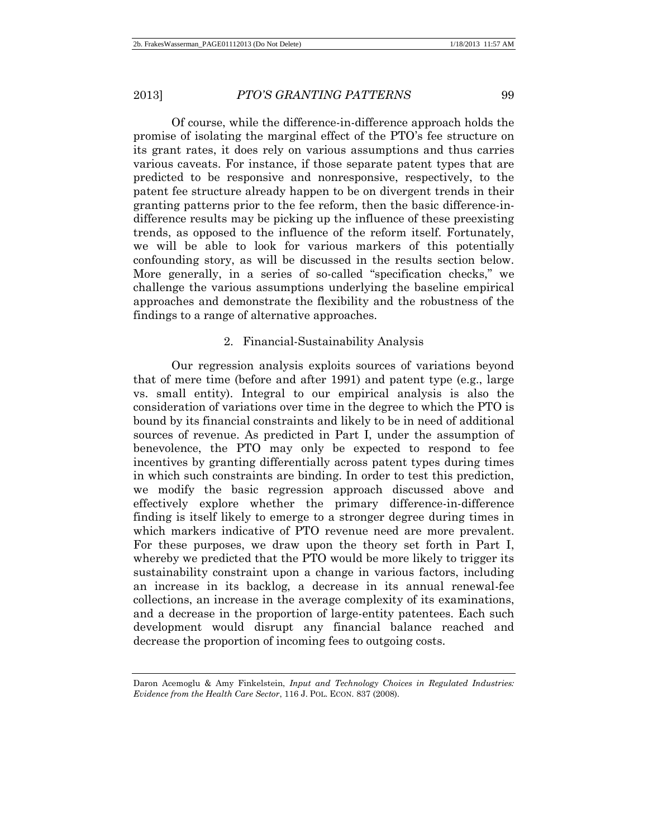Of course, while the difference-in-difference approach holds the promise of isolating the marginal effect of the PTO's fee structure on its grant rates, it does rely on various assumptions and thus carries various caveats. For instance, if those separate patent types that are predicted to be responsive and nonresponsive, respectively, to the patent fee structure already happen to be on divergent trends in their granting patterns prior to the fee reform, then the basic difference-indifference results may be picking up the influence of these preexisting trends, as opposed to the influence of the reform itself. Fortunately, we will be able to look for various markers of this potentially confounding story, as will be discussed in the results section below. More generally, in a series of so-called "specification checks," we challenge the various assumptions underlying the baseline empirical approaches and demonstrate the flexibility and the robustness of the findings to a range of alternative approaches.

## 2. Financial-Sustainability Analysis

Our regression analysis exploits sources of variations beyond that of mere time (before and after 1991) and patent type (e.g., large vs. small entity). Integral to our empirical analysis is also the consideration of variations over time in the degree to which the PTO is bound by its financial constraints and likely to be in need of additional sources of revenue. As predicted in Part I, under the assumption of benevolence, the PTO may only be expected to respond to fee incentives by granting differentially across patent types during times in which such constraints are binding. In order to test this prediction, we modify the basic regression approach discussed above and effectively explore whether the primary difference-in-difference finding is itself likely to emerge to a stronger degree during times in which markers indicative of PTO revenue need are more prevalent. For these purposes, we draw upon the theory set forth in Part I, whereby we predicted that the PTO would be more likely to trigger its sustainability constraint upon a change in various factors, including an increase in its backlog, a decrease in its annual renewal-fee collections, an increase in the average complexity of its examinations, and a decrease in the proportion of large-entity patentees. Each such development would disrupt any financial balance reached and decrease the proportion of incoming fees to outgoing costs.

Daron Acemoglu & Amy Finkelstein, *Input and Technology Choices in Regulated Industries: Evidence from the Health Care Sector*, 116 J. POL. ECON. 837 (2008).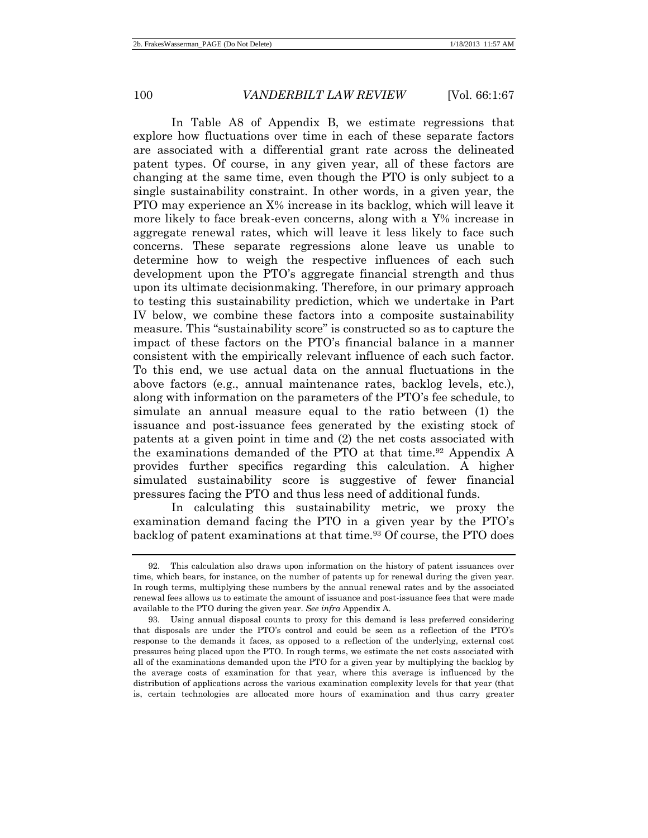In Table A8 of Appendix B, we estimate regressions that explore how fluctuations over time in each of these separate factors are associated with a differential grant rate across the delineated patent types. Of course, in any given year, all of these factors are changing at the same time, even though the PTO is only subject to a single sustainability constraint. In other words, in a given year, the PTO may experience an X% increase in its backlog, which will leave it more likely to face break-even concerns, along with a Y% increase in aggregate renewal rates, which will leave it less likely to face such concerns. These separate regressions alone leave us unable to determine how to weigh the respective influences of each such development upon the PTO's aggregate financial strength and thus upon its ultimate decisionmaking. Therefore, in our primary approach to testing this sustainability prediction, which we undertake in Part IV below, we combine these factors into a composite sustainability measure. This "sustainability score" is constructed so as to capture the impact of these factors on the PTO's financial balance in a manner consistent with the empirically relevant influence of each such factor. To this end, we use actual data on the annual fluctuations in the above factors (e.g., annual maintenance rates, backlog levels, etc.), along with information on the parameters of the PTO's fee schedule, to simulate an annual measure equal to the ratio between (1) the issuance and post-issuance fees generated by the existing stock of patents at a given point in time and (2) the net costs associated with the examinations demanded of the PTO at that time.<sup>92</sup> Appendix A provides further specifics regarding this calculation. A higher simulated sustainability score is suggestive of fewer financial pressures facing the PTO and thus less need of additional funds.

In calculating this sustainability metric, we proxy the examination demand facing the PTO in a given year by the PTO's backlog of patent examinations at that time.<sup>93</sup> Of course, the PTO does

<sup>92.</sup> This calculation also draws upon information on the history of patent issuances over time, which bears, for instance, on the number of patents up for renewal during the given year. In rough terms, multiplying these numbers by the annual renewal rates and by the associated renewal fees allows us to estimate the amount of issuance and post-issuance fees that were made available to the PTO during the given year. *See infra* Appendix A.

<sup>93.</sup> Using annual disposal counts to proxy for this demand is less preferred considering that disposals are under the PTO's control and could be seen as a reflection of the PTO's response to the demands it faces, as opposed to a reflection of the underlying, external cost pressures being placed upon the PTO. In rough terms, we estimate the net costs associated with all of the examinations demanded upon the PTO for a given year by multiplying the backlog by the average costs of examination for that year, where this average is influenced by the distribution of applications across the various examination complexity levels for that year (that is, certain technologies are allocated more hours of examination and thus carry greater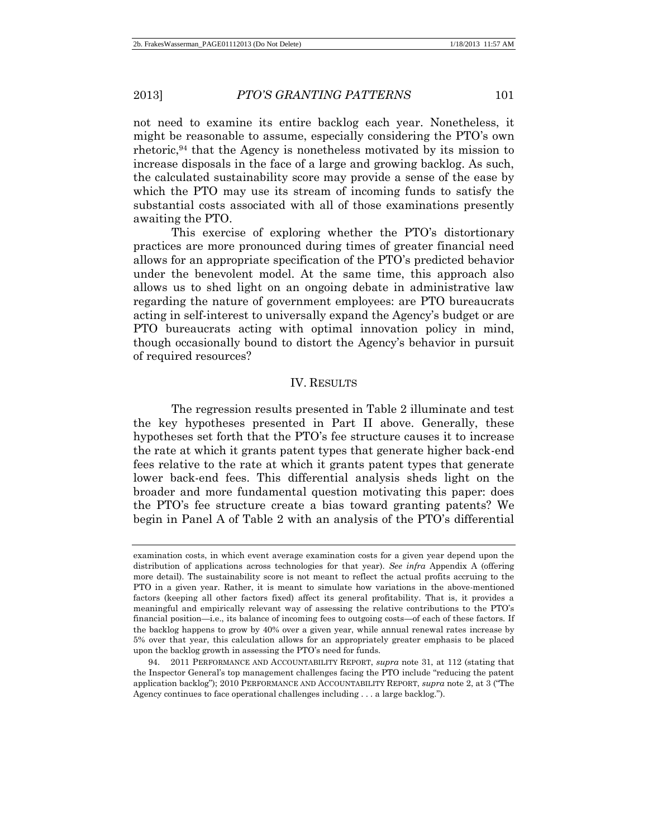not need to examine its entire backlog each year. Nonetheless, it might be reasonable to assume, especially considering the PTO's own rhetoric,<sup>94</sup> that the Agency is nonetheless motivated by its mission to increase disposals in the face of a large and growing backlog. As such, the calculated sustainability score may provide a sense of the ease by which the PTO may use its stream of incoming funds to satisfy the substantial costs associated with all of those examinations presently awaiting the PTO.

This exercise of exploring whether the PTO's distortionary practices are more pronounced during times of greater financial need allows for an appropriate specification of the PTO's predicted behavior under the benevolent model. At the same time, this approach also allows us to shed light on an ongoing debate in administrative law regarding the nature of government employees: are PTO bureaucrats acting in self-interest to universally expand the Agency's budget or are PTO bureaucrats acting with optimal innovation policy in mind, though occasionally bound to distort the Agency's behavior in pursuit of required resources?

## IV. RESULTS

The regression results presented in Table 2 illuminate and test the key hypotheses presented in Part II above. Generally, these hypotheses set forth that the PTO's fee structure causes it to increase the rate at which it grants patent types that generate higher back-end fees relative to the rate at which it grants patent types that generate lower back-end fees. This differential analysis sheds light on the broader and more fundamental question motivating this paper: does the PTO's fee structure create a bias toward granting patents? We begin in Panel A of Table 2 with an analysis of the PTO's differential

examination costs, in which event average examination costs for a given year depend upon the distribution of applications across technologies for that year). *See infra* Appendix A (offering more detail). The sustainability score is not meant to reflect the actual profits accruing to the PTO in a given year. Rather, it is meant to simulate how variations in the above-mentioned factors (keeping all other factors fixed) affect its general profitability. That is, it provides a meaningful and empirically relevant way of assessing the relative contributions to the PTO's financial position—i.e., its balance of incoming fees to outgoing costs—of each of these factors. If the backlog happens to grow by 40% over a given year, while annual renewal rates increase by 5% over that year, this calculation allows for an appropriately greater emphasis to be placed upon the backlog growth in assessing the PTO's need for funds.

<sup>94.</sup> 2011 PERFORMANCE AND ACCOUNTABILITY REPORT, *supra* note 31, at 112 (stating that the Inspector General's top management challenges facing the PTO include "reducing the patent application backlog"); 2010 PERFORMANCE AND ACCOUNTABILITY REPORT, *supra* note 2, at 3 ("The Agency continues to face operational challenges including . . . a large backlog.").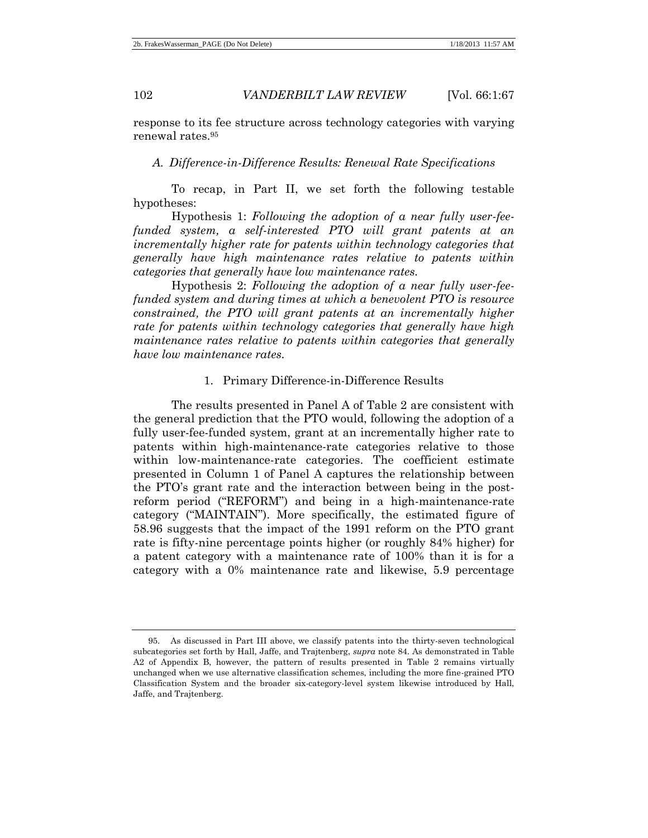response to its fee structure across technology categories with varying renewal rates.<sup>95</sup>

#### *A. Difference-in-Difference Results: Renewal Rate Specifications*

To recap, in Part II, we set forth the following testable hypotheses:

Hypothesis 1: *Following the adoption of a near fully user-feefunded system, a self-interested PTO will grant patents at an incrementally higher rate for patents within technology categories that generally have high maintenance rates relative to patents within categories that generally have low maintenance rates.*

Hypothesis 2: *Following the adoption of a near fully user-feefunded system and during times at which a benevolent PTO is resource constrained, the PTO will grant patents at an incrementally higher rate for patents within technology categories that generally have high maintenance rates relative to patents within categories that generally have low maintenance rates.*

#### 1. Primary Difference-in-Difference Results

The results presented in Panel A of Table 2 are consistent with the general prediction that the PTO would, following the adoption of a fully user-fee-funded system, grant at an incrementally higher rate to patents within high-maintenance-rate categories relative to those within low-maintenance-rate categories. The coefficient estimate presented in Column 1 of Panel A captures the relationship between the PTO's grant rate and the interaction between being in the postreform period ("REFORM") and being in a high-maintenance-rate category ("MAINTAIN"). More specifically, the estimated figure of 58.96 suggests that the impact of the 1991 reform on the PTO grant rate is fifty-nine percentage points higher (or roughly 84% higher) for a patent category with a maintenance rate of 100% than it is for a category with a 0% maintenance rate and likewise, 5.9 percentage

<sup>95.</sup> As discussed in Part III above, we classify patents into the thirty-seven technological subcategories set forth by Hall, Jaffe, and Trajtenberg, *supra* note 84. As demonstrated in Table A2 of Appendix B, however, the pattern of results presented in Table 2 remains virtually unchanged when we use alternative classification schemes, including the more fine-grained PTO Classification System and the broader six-category-level system likewise introduced by Hall, Jaffe, and Trajtenberg.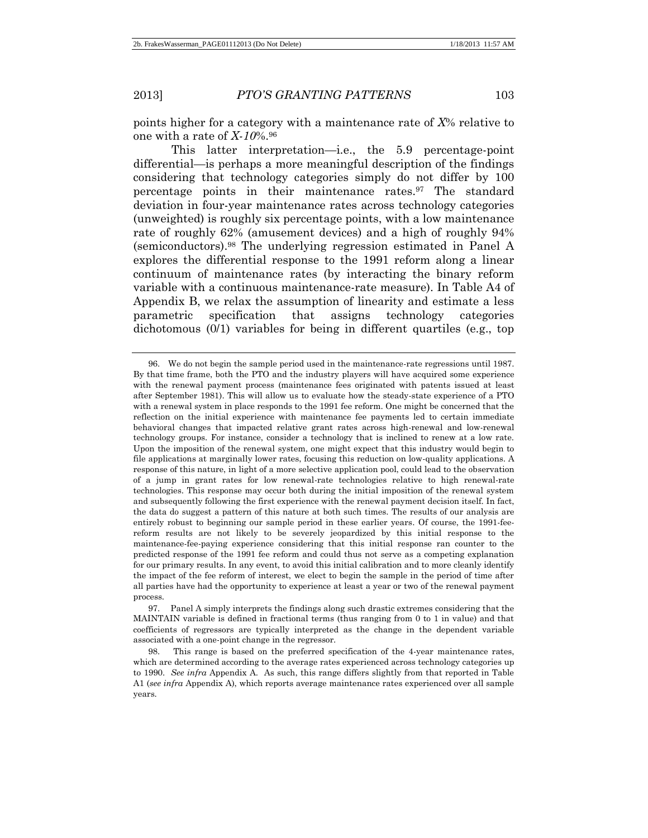points higher for a category with a maintenance rate of *X*% relative to one with a rate of *X-10*%. 96

This latter interpretation—i.e., the 5.9 percentage-point differential—is perhaps a more meaningful description of the findings considering that technology categories simply do not differ by 100 percentage points in their maintenance rates.<sup>97</sup> The standard deviation in four-year maintenance rates across technology categories (unweighted) is roughly six percentage points, with a low maintenance rate of roughly 62% (amusement devices) and a high of roughly 94% (semiconductors).<sup>98</sup> The underlying regression estimated in Panel A explores the differential response to the 1991 reform along a linear continuum of maintenance rates (by interacting the binary reform variable with a continuous maintenance-rate measure). In Table A4 of Appendix B, we relax the assumption of linearity and estimate a less parametric specification that assigns technology categories dichotomous (0/1) variables for being in different quartiles (e.g., top

97. Panel A simply interprets the findings along such drastic extremes considering that the MAINTAIN variable is defined in fractional terms (thus ranging from 0 to 1 in value) and that coefficients of regressors are typically interpreted as the change in the dependent variable associated with a one-point change in the regressor.

98. This range is based on the preferred specification of the 4-year maintenance rates, which are determined according to the average rates experienced across technology categories up to 1990. *See infra* Appendix A. As such, this range differs slightly from that reported in Table A1 (*see infra* Appendix A), which reports average maintenance rates experienced over all sample years.

<sup>96.</sup> We do not begin the sample period used in the maintenance-rate regressions until 1987. By that time frame, both the PTO and the industry players will have acquired some experience with the renewal payment process (maintenance fees originated with patents issued at least after September 1981). This will allow us to evaluate how the steady-state experience of a PTO with a renewal system in place responds to the 1991 fee reform. One might be concerned that the reflection on the initial experience with maintenance fee payments led to certain immediate behavioral changes that impacted relative grant rates across high-renewal and low-renewal technology groups. For instance, consider a technology that is inclined to renew at a low rate. Upon the imposition of the renewal system, one might expect that this industry would begin to file applications at marginally lower rates, focusing this reduction on low-quality applications. A response of this nature, in light of a more selective application pool, could lead to the observation of a jump in grant rates for low renewal-rate technologies relative to high renewal-rate technologies. This response may occur both during the initial imposition of the renewal system and subsequently following the first experience with the renewal payment decision itself. In fact, the data do suggest a pattern of this nature at both such times. The results of our analysis are entirely robust to beginning our sample period in these earlier years. Of course, the 1991-feereform results are not likely to be severely jeopardized by this initial response to the maintenance-fee-paying experience considering that this initial response ran counter to the predicted response of the 1991 fee reform and could thus not serve as a competing explanation for our primary results. In any event, to avoid this initial calibration and to more cleanly identify the impact of the fee reform of interest, we elect to begin the sample in the period of time after all parties have had the opportunity to experience at least a year or two of the renewal payment process.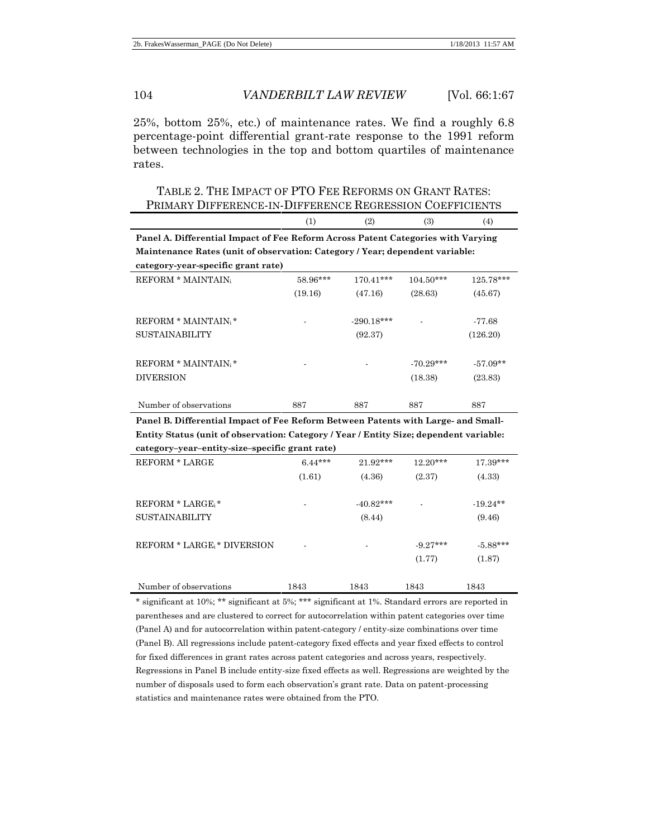25%, bottom 25%, etc.) of maintenance rates. We find a roughly 6.8 percentage-point differential grant-rate response to the 1991 reform between technologies in the top and bottom quartiles of maintenance rates.

TABLE 2. THE IMPACT OF PTO FEE REFORMS ON GRANT RATES: PRIMARY DIFFERENCE-IN-DIFFERENCE REGRESSION COEFFICIENTS

|                                                                                  | (2) |  |
|----------------------------------------------------------------------------------|-----|--|
| Panel A. Differential Impact of Fee Reform Across Patent Categories with Varying |     |  |

**Maintenance Rates (unit of observation: Category / Year; dependent variable: category-year-specific grant rate)**

| <b>REFORM * MAINTAIN:</b> | 58.96*** | $170.41***$    | $104.50***$ | $125.78***$ |
|---------------------------|----------|----------------|-------------|-------------|
|                           | (19.16)  | (47.16)        | (28.63)     | (45.67)     |
|                           |          |                |             |             |
| REFORM * MAINTAIN; *      |          | $-290.18***$   |             | -77.68      |
| <b>SUSTAINABILITY</b>     |          | (92.37)        |             | (126.20)    |
|                           |          |                |             |             |
| REFORM * MAINTAIN; *      | ۰        | $\blacksquare$ | $-70.29***$ | $-57.09**$  |
| <b>DIVERSION</b>          |          |                | (18.38)     | (23.83)     |
|                           |          |                |             |             |
| Number of observations    | 887      | 887            | 887         | 887         |
|                           |          |                |             |             |

**Panel B. Differential Impact of Fee Reform Between Patents with Large- and Small-Entity Status (unit of observation: Category / Year / Entity Size; dependent variable: category–year–entity-size–specific grant rate)**

| $\cdots$ $\cdots$             |           |             |            |            |
|-------------------------------|-----------|-------------|------------|------------|
| <b>REFORM * LARGE</b>         | $6.44***$ | $21.92***$  | $12.20***$ | $17.39***$ |
|                               | (1.61)    | (4.36)      | (2.37)     | (4.33)     |
| REFORM * LARGE <sub>i</sub> * |           | $-40.82***$ |            | $-19.24**$ |
| <b>SUSTAINABILITY</b>         |           | (8.44)      |            | (9.46)     |
| REFORM * LARGE * DIVERSION    |           |             | $-9.27***$ | $-5.88***$ |
|                               |           |             | (1.77)     | (1.87)     |
| Number of observations        | 1843      | 1843        | 1843       | 1843       |

\* significant at 10%; \*\* significant at 5%; \*\*\* significant at 1%. Standard errors are reported in parentheses and are clustered to correct for autocorrelation within patent categories over time (Panel A) and for autocorrelation within patent-category / entity-size combinations over time (Panel B). All regressions include patent-category fixed effects and year fixed effects to control for fixed differences in grant rates across patent categories and across years, respectively. Regressions in Panel B include entity-size fixed effects as well. Regressions are weighted by the number of disposals used to form each observation's grant rate. Data on patent-processing statistics and maintenance rates were obtained from the PTO.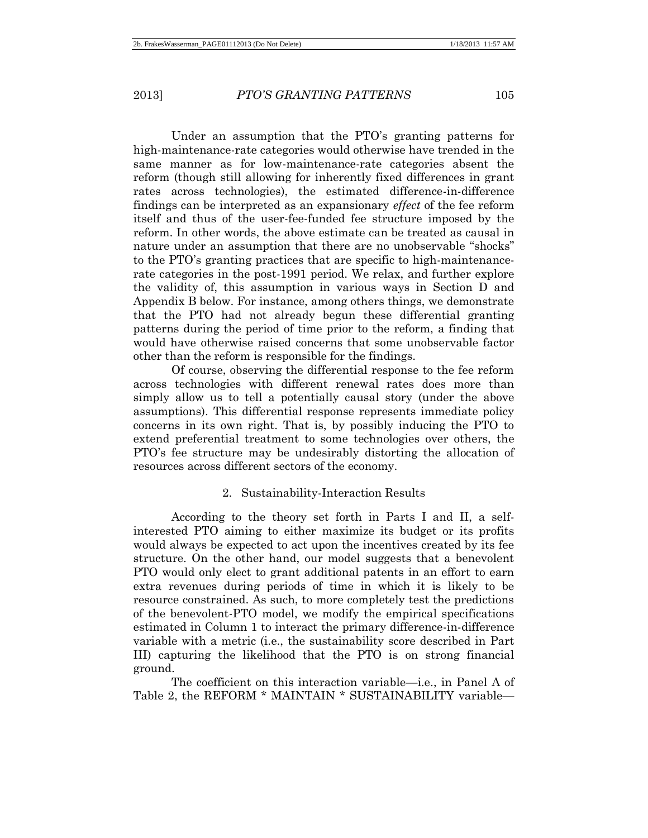Under an assumption that the PTO's granting patterns for high-maintenance-rate categories would otherwise have trended in the same manner as for low-maintenance-rate categories absent the reform (though still allowing for inherently fixed differences in grant rates across technologies), the estimated difference-in-difference findings can be interpreted as an expansionary *effect* of the fee reform itself and thus of the user-fee-funded fee structure imposed by the reform. In other words, the above estimate can be treated as causal in nature under an assumption that there are no unobservable "shocks" to the PTO's granting practices that are specific to high-maintenancerate categories in the post-1991 period. We relax, and further explore the validity of, this assumption in various ways in Section D and Appendix B below. For instance, among others things, we demonstrate that the PTO had not already begun these differential granting patterns during the period of time prior to the reform, a finding that would have otherwise raised concerns that some unobservable factor other than the reform is responsible for the findings.

Of course, observing the differential response to the fee reform across technologies with different renewal rates does more than simply allow us to tell a potentially causal story (under the above assumptions). This differential response represents immediate policy concerns in its own right. That is, by possibly inducing the PTO to extend preferential treatment to some technologies over others, the PTO's fee structure may be undesirably distorting the allocation of resources across different sectors of the economy.

## 2. Sustainability-Interaction Results

According to the theory set forth in Parts I and II, a selfinterested PTO aiming to either maximize its budget or its profits would always be expected to act upon the incentives created by its fee structure. On the other hand, our model suggests that a benevolent PTO would only elect to grant additional patents in an effort to earn extra revenues during periods of time in which it is likely to be resource constrained. As such, to more completely test the predictions of the benevolent-PTO model, we modify the empirical specifications estimated in Column 1 to interact the primary difference-in-difference variable with a metric (i.e., the sustainability score described in Part III) capturing the likelihood that the PTO is on strong financial ground.

The coefficient on this interaction variable—i.e., in Panel A of Table 2, the REFORM \* MAINTAIN \* SUSTAINABILITY variable—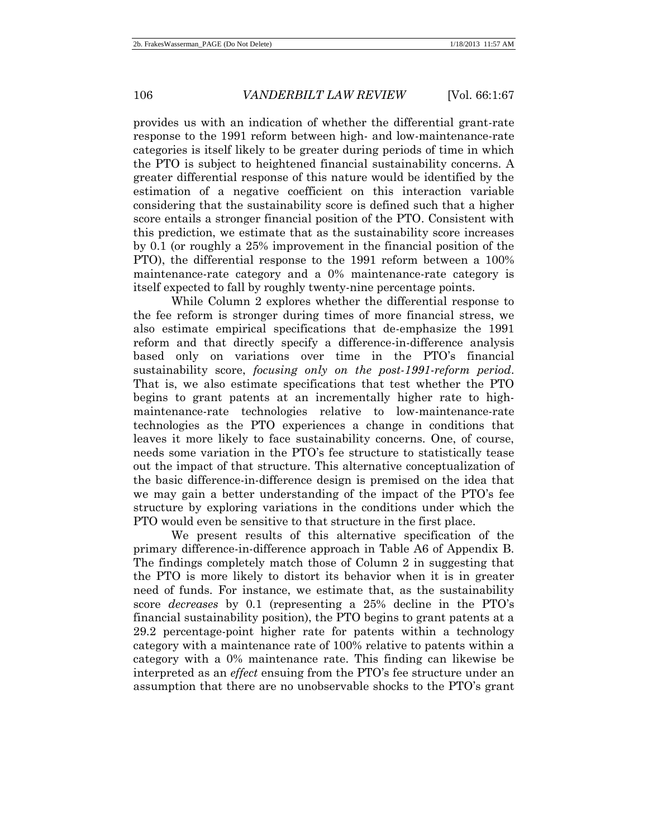provides us with an indication of whether the differential grant-rate response to the 1991 reform between high- and low-maintenance-rate categories is itself likely to be greater during periods of time in which the PTO is subject to heightened financial sustainability concerns. A greater differential response of this nature would be identified by the estimation of a negative coefficient on this interaction variable considering that the sustainability score is defined such that a higher score entails a stronger financial position of the PTO. Consistent with this prediction, we estimate that as the sustainability score increases by 0.1 (or roughly a 25% improvement in the financial position of the PTO), the differential response to the 1991 reform between a 100% maintenance-rate category and a 0% maintenance-rate category is itself expected to fall by roughly twenty-nine percentage points.

While Column 2 explores whether the differential response to the fee reform is stronger during times of more financial stress, we also estimate empirical specifications that de-emphasize the 1991 reform and that directly specify a difference-in-difference analysis based only on variations over time in the PTO's financial sustainability score, *focusing only on the post-1991-reform period*. That is, we also estimate specifications that test whether the PTO begins to grant patents at an incrementally higher rate to highmaintenance-rate technologies relative to low-maintenance-rate technologies as the PTO experiences a change in conditions that leaves it more likely to face sustainability concerns. One, of course, needs some variation in the PTO's fee structure to statistically tease out the impact of that structure. This alternative conceptualization of the basic difference-in-difference design is premised on the idea that we may gain a better understanding of the impact of the PTO's fee structure by exploring variations in the conditions under which the PTO would even be sensitive to that structure in the first place.

We present results of this alternative specification of the primary difference-in-difference approach in Table A6 of Appendix B. The findings completely match those of Column 2 in suggesting that the PTO is more likely to distort its behavior when it is in greater need of funds. For instance, we estimate that, as the sustainability score *decreases* by 0.1 (representing a 25% decline in the PTO's financial sustainability position), the PTO begins to grant patents at a 29.2 percentage-point higher rate for patents within a technology category with a maintenance rate of 100% relative to patents within a category with a 0% maintenance rate. This finding can likewise be interpreted as an *effect* ensuing from the PTO's fee structure under an assumption that there are no unobservable shocks to the PTO's grant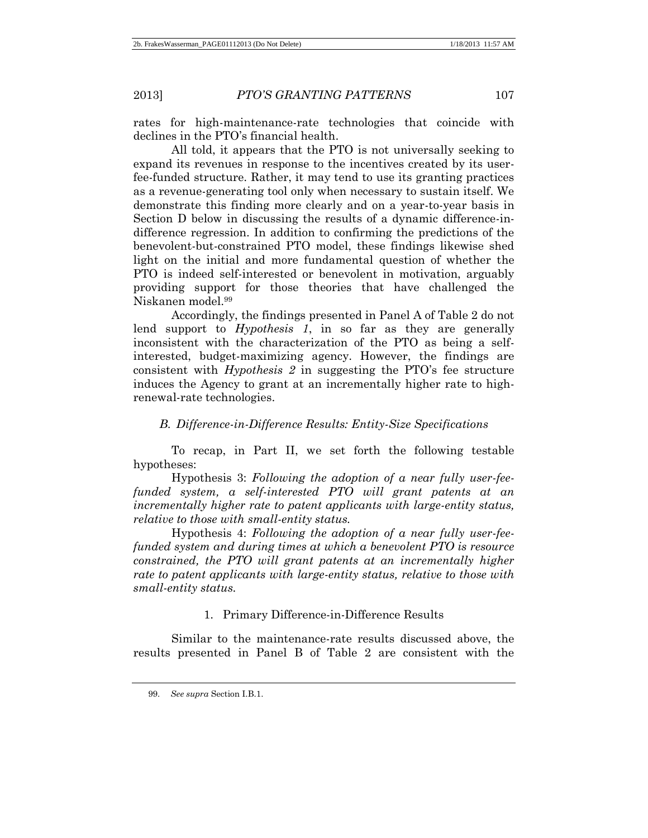rates for high-maintenance-rate technologies that coincide with declines in the PTO's financial health.

All told, it appears that the PTO is not universally seeking to expand its revenues in response to the incentives created by its userfee-funded structure. Rather, it may tend to use its granting practices as a revenue-generating tool only when necessary to sustain itself. We demonstrate this finding more clearly and on a year-to-year basis in Section D below in discussing the results of a dynamic difference-indifference regression. In addition to confirming the predictions of the benevolent-but-constrained PTO model, these findings likewise shed light on the initial and more fundamental question of whether the PTO is indeed self-interested or benevolent in motivation, arguably providing support for those theories that have challenged the Niskanen model.<sup>99</sup>

Accordingly, the findings presented in Panel A of Table 2 do not lend support to *Hypothesis 1*, in so far as they are generally inconsistent with the characterization of the PTO as being a selfinterested, budget-maximizing agency. However, the findings are consistent with *Hypothesis 2* in suggesting the PTO's fee structure induces the Agency to grant at an incrementally higher rate to highrenewal-rate technologies.

*B. Difference-in-Difference Results: Entity-Size Specifications*

To recap, in Part II, we set forth the following testable hypotheses:

Hypothesis 3: *Following the adoption of a near fully user-feefunded system, a self-interested PTO will grant patents at an incrementally higher rate to patent applicants with large-entity status, relative to those with small-entity status.*

Hypothesis 4: *Following the adoption of a near fully user-feefunded system and during times at which a benevolent PTO is resource constrained, the PTO will grant patents at an incrementally higher rate to patent applicants with large-entity status, relative to those with small-entity status.*

1. Primary Difference-in-Difference Results

Similar to the maintenance-rate results discussed above, the results presented in Panel B of Table 2 are consistent with the

<sup>99.</sup> *See supra* Section I.B.1.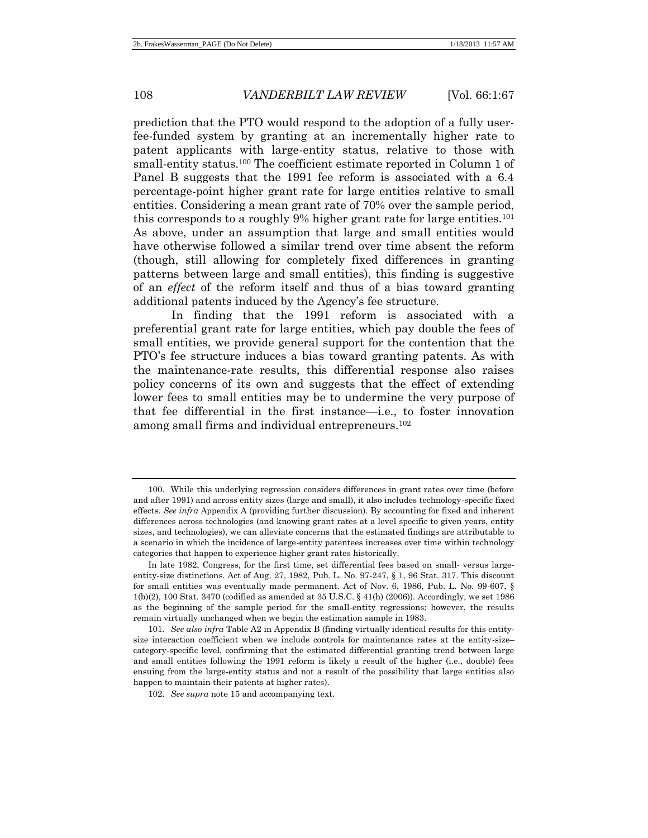prediction that the PTO would respond to the adoption of a fully userfee-funded system by granting at an incrementally higher rate to patent applicants with large-entity status, relative to those with small-entity status.<sup>100</sup> The coefficient estimate reported in Column 1 of Panel B suggests that the 1991 fee reform is associated with a 6.4 percentage-point higher grant rate for large entities relative to small entities. Considering a mean grant rate of 70% over the sample period, this corresponds to a roughly 9% higher grant rate for large entities.<sup>101</sup> As above, under an assumption that large and small entities would have otherwise followed a similar trend over time absent the reform (though, still allowing for completely fixed differences in granting patterns between large and small entities), this finding is suggestive of an *effect* of the reform itself and thus of a bias toward granting additional patents induced by the Agency's fee structure.

In finding that the 1991 reform is associated with a preferential grant rate for large entities, which pay double the fees of small entities, we provide general support for the contention that the PTO's fee structure induces a bias toward granting patents. As with the maintenance-rate results, this differential response also raises policy concerns of its own and suggests that the effect of extending lower fees to small entities may be to undermine the very purpose of that fee differential in the first instance—i.e., to foster innovation among small firms and individual entrepreneurs.<sup>102</sup>

<sup>100.</sup> While this underlying regression considers differences in grant rates over time (before and after 1991) and across entity sizes (large and small), it also includes technology-specific fixed effects. *See infra* Appendix A (providing further discussion). By accounting for fixed and inherent differences across technologies (and knowing grant rates at a level specific to given years, entity sizes, and technologies), we can alleviate concerns that the estimated findings are attributable to a scenario in which the incidence of large-entity patentees increases over time within technology categories that happen to experience higher grant rates historically.

In late 1982, Congress, for the first time, set differential fees based on small- versus largeentity-size distinctions. Act of Aug. 27, 1982, Pub. L. No. 97-247, § 1, 96 Stat. 317. This discount for small entities was eventually made permanent. Act of Nov. 6, 1986, Pub. L. No. 99-607, § 1(b)(2), 100 Stat. 3470 (codified as amended at 35 U.S.C. § 41(h) (2006)). Accordingly, we set 1986 as the beginning of the sample period for the small-entity regressions; however, the results remain virtually unchanged when we begin the estimation sample in 1983.

<sup>101.</sup> *See also infra* Table A2 in Appendix B (finding virtually identical results for this entitysize interaction coefficient when we include controls for maintenance rates at the entity-size– category-specific level, confirming that the estimated differential granting trend between large and small entities following the 1991 reform is likely a result of the higher (i.e., double) fees ensuing from the large-entity status and not a result of the possibility that large entities also happen to maintain their patents at higher rates).

<sup>102.</sup> *See supra* note 15 and accompanying text.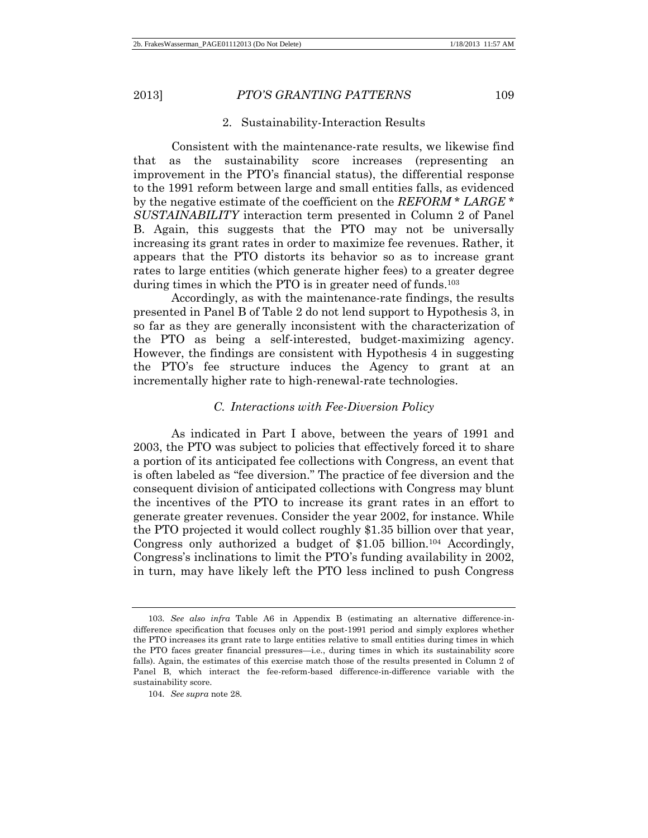#### 2. Sustainability-Interaction Results

Consistent with the maintenance-rate results, we likewise find that as the sustainability score increases (representing an improvement in the PTO's financial status), the differential response to the 1991 reform between large and small entities falls, as evidenced by the negative estimate of the coefficient on the *REFORM* \* *LARGE* \* *SUSTAINABILITY* interaction term presented in Column 2 of Panel B. Again, this suggests that the PTO may not be universally increasing its grant rates in order to maximize fee revenues. Rather, it appears that the PTO distorts its behavior so as to increase grant rates to large entities (which generate higher fees) to a greater degree during times in which the PTO is in greater need of funds.<sup>103</sup>

Accordingly, as with the maintenance-rate findings, the results presented in Panel B of Table 2 do not lend support to Hypothesis 3, in so far as they are generally inconsistent with the characterization of the PTO as being a self-interested, budget-maximizing agency. However, the findings are consistent with Hypothesis 4 in suggesting the PTO's fee structure induces the Agency to grant at an incrementally higher rate to high-renewal-rate technologies.

## *C. Interactions with Fee-Diversion Policy*

As indicated in Part I above, between the years of 1991 and 2003, the PTO was subject to policies that effectively forced it to share a portion of its anticipated fee collections with Congress, an event that is often labeled as "fee diversion." The practice of fee diversion and the consequent division of anticipated collections with Congress may blunt the incentives of the PTO to increase its grant rates in an effort to generate greater revenues. Consider the year 2002, for instance. While the PTO projected it would collect roughly \$1.35 billion over that year, Congress only authorized a budget of \$1.05 billion.<sup>104</sup> Accordingly, Congress's inclinations to limit the PTO's funding availability in 2002, in turn, may have likely left the PTO less inclined to push Congress

<sup>103.</sup> *See also infra* Table A6 in Appendix B (estimating an alternative difference-indifference specification that focuses only on the post-1991 period and simply explores whether the PTO increases its grant rate to large entities relative to small entities during times in which the PTO faces greater financial pressures—i.e., during times in which its sustainability score falls). Again, the estimates of this exercise match those of the results presented in Column 2 of Panel B, which interact the fee-reform-based difference-in-difference variable with the sustainability score.

<sup>104.</sup> *See supra* note 28.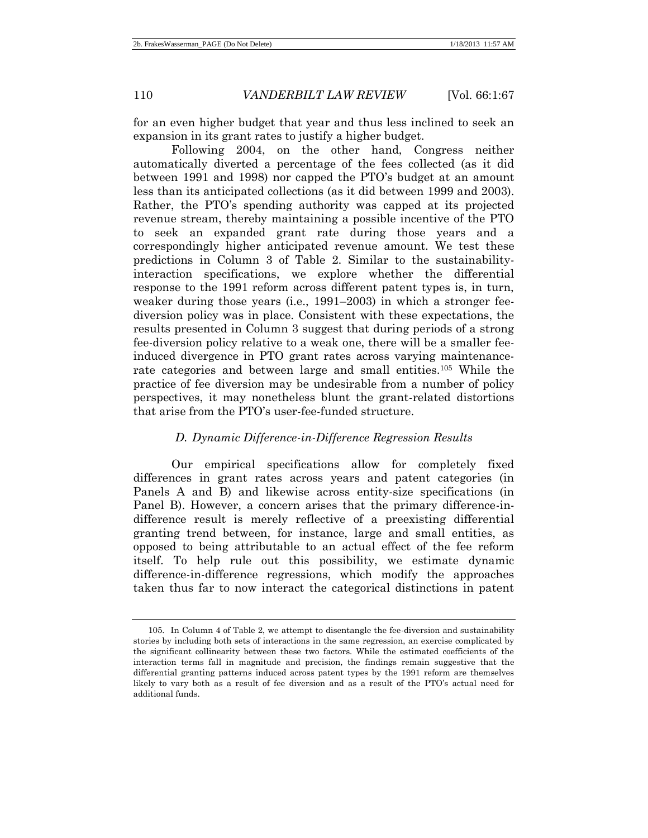for an even higher budget that year and thus less inclined to seek an expansion in its grant rates to justify a higher budget.

Following 2004, on the other hand, Congress neither automatically diverted a percentage of the fees collected (as it did between 1991 and 1998) nor capped the PTO's budget at an amount less than its anticipated collections (as it did between 1999 and 2003). Rather, the PTO's spending authority was capped at its projected revenue stream, thereby maintaining a possible incentive of the PTO to seek an expanded grant rate during those years and a correspondingly higher anticipated revenue amount. We test these predictions in Column 3 of Table 2. Similar to the sustainabilityinteraction specifications, we explore whether the differential response to the 1991 reform across different patent types is, in turn, weaker during those years (i.e., 1991–2003) in which a stronger feediversion policy was in place. Consistent with these expectations, the results presented in Column 3 suggest that during periods of a strong fee-diversion policy relative to a weak one, there will be a smaller feeinduced divergence in PTO grant rates across varying maintenancerate categories and between large and small entities.<sup>105</sup> While the practice of fee diversion may be undesirable from a number of policy perspectives, it may nonetheless blunt the grant-related distortions that arise from the PTO's user-fee-funded structure.

# *D. Dynamic Difference-in-Difference Regression Results*

Our empirical specifications allow for completely fixed differences in grant rates across years and patent categories (in Panels A and B) and likewise across entity-size specifications (in Panel B). However, a concern arises that the primary difference-indifference result is merely reflective of a preexisting differential granting trend between, for instance, large and small entities, as opposed to being attributable to an actual effect of the fee reform itself. To help rule out this possibility, we estimate dynamic difference-in-difference regressions, which modify the approaches taken thus far to now interact the categorical distinctions in patent

<sup>105.</sup> In Column 4 of Table 2, we attempt to disentangle the fee-diversion and sustainability stories by including both sets of interactions in the same regression, an exercise complicated by the significant collinearity between these two factors. While the estimated coefficients of the interaction terms fall in magnitude and precision, the findings remain suggestive that the differential granting patterns induced across patent types by the 1991 reform are themselves likely to vary both as a result of fee diversion and as a result of the PTO's actual need for additional funds.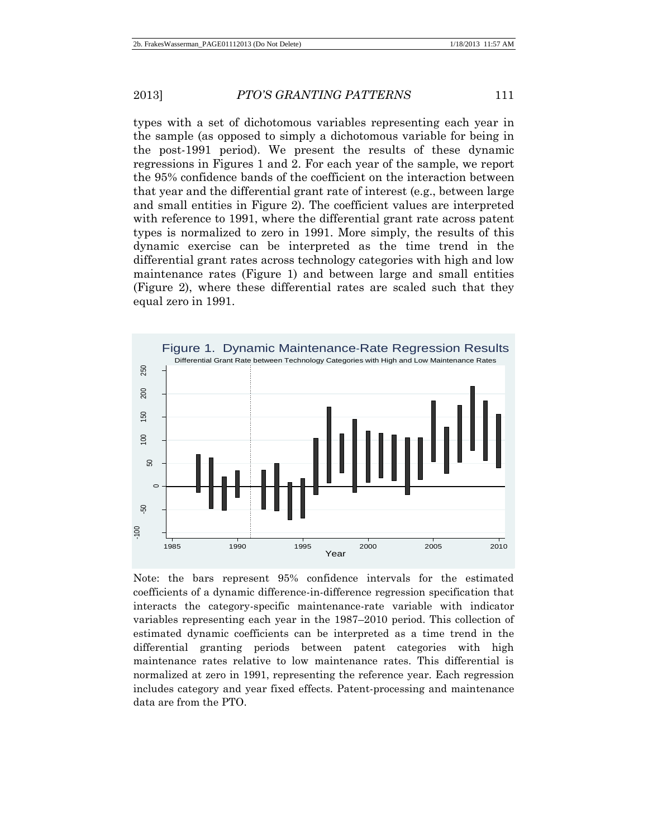types with a set of dichotomous variables representing each year in the sample (as opposed to simply a dichotomous variable for being in the post-1991 period). We present the results of these dynamic regressions in Figures 1 and 2. For each year of the sample, we report the 95% confidence bands of the coefficient on the interaction between that year and the differential grant rate of interest (e.g., between large and small entities in Figure 2). The coefficient values are interpreted with reference to 1991, where the differential grant rate across patent types is normalized to zero in 1991. More simply, the results of this dynamic exercise can be interpreted as the time trend in the differential grant rates across technology categories with high and low maintenance rates (Figure 1) and between large and small entities (Figure 2), where these differential rates are scaled such that they equal zero in 1991.



Note: the bars represent 95% confidence intervals for the estimated coefficients of a dynamic difference-in-difference regression specification that interacts the category-specific maintenance-rate variable with indicator variables representing each year in the 1987–2010 period. This collection of estimated dynamic coefficients can be interpreted as a time trend in the differential granting periods between patent categories with high maintenance rates relative to low maintenance rates. This differential is normalized at zero in 1991, representing the reference year. Each regression includes category and year fixed effects. Patent-processing and maintenance data are from the PTO.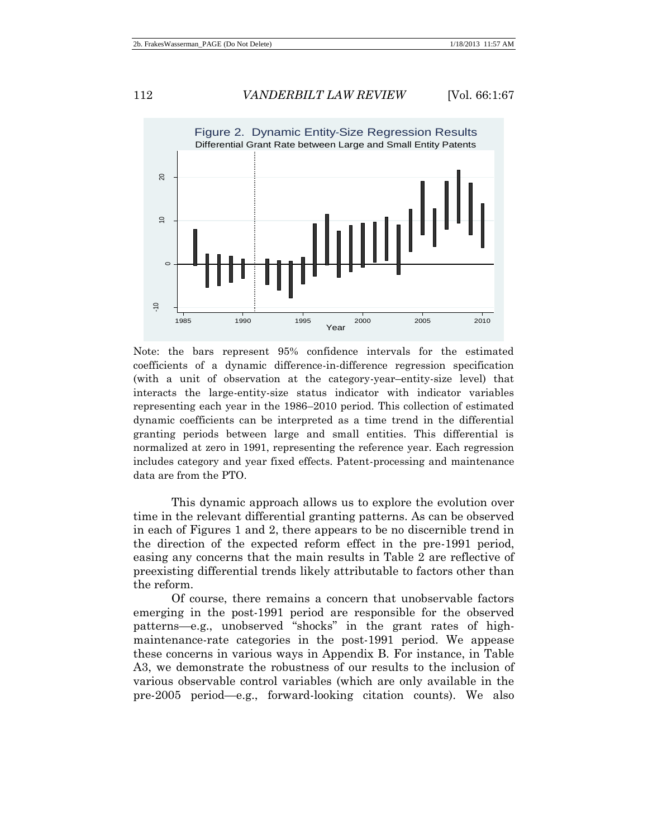

Note: the bars represent 95% confidence intervals for the estimated coefficients of a dynamic difference-in-difference regression specification (with a unit of observation at the category-year–entity-size level) that interacts the large-entity-size status indicator with indicator variables representing each year in the 1986–2010 period. This collection of estimated dynamic coefficients can be interpreted as a time trend in the differential granting periods between large and small entities. This differential is normalized at zero in 1991, representing the reference year. Each regression includes category and year fixed effects. Patent-processing and maintenance data are from the PTO.

This dynamic approach allows us to explore the evolution over time in the relevant differential granting patterns. As can be observed in each of Figures 1 and 2, there appears to be no discernible trend in the direction of the expected reform effect in the pre-1991 period, easing any concerns that the main results in Table 2 are reflective of preexisting differential trends likely attributable to factors other than the reform.

Of course, there remains a concern that unobservable factors emerging in the post-1991 period are responsible for the observed patterns—e.g., unobserved "shocks" in the grant rates of highmaintenance-rate categories in the post-1991 period. We appease these concerns in various ways in Appendix B. For instance, in Table A3, we demonstrate the robustness of our results to the inclusion of various observable control variables (which are only available in the pre-2005 period—e.g., forward-looking citation counts). We also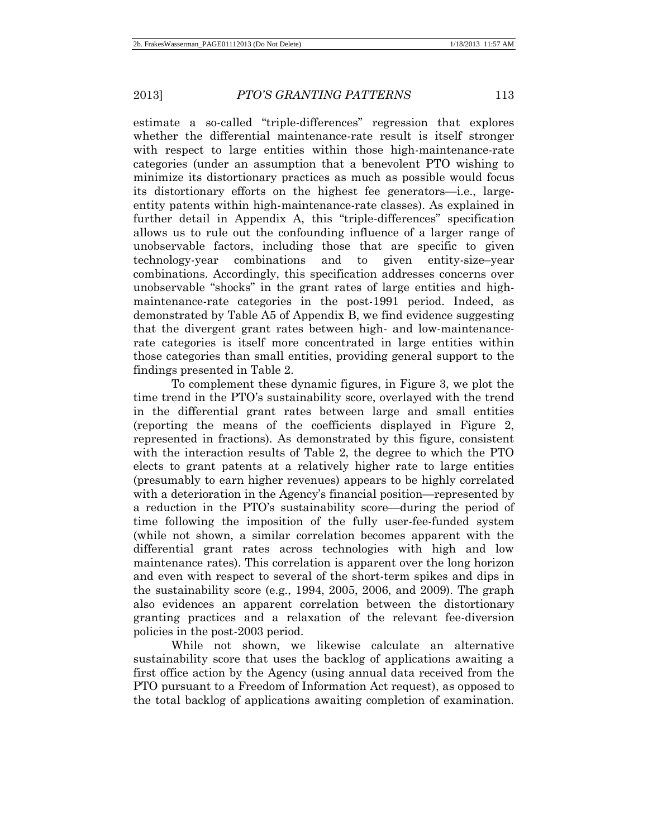estimate a so-called "triple-differences" regression that explores whether the differential maintenance-rate result is itself stronger with respect to large entities within those high-maintenance-rate categories (under an assumption that a benevolent PTO wishing to minimize its distortionary practices as much as possible would focus its distortionary efforts on the highest fee generators—i.e., largeentity patents within high-maintenance-rate classes). As explained in further detail in Appendix A, this "triple-differences" specification allows us to rule out the confounding influence of a larger range of unobservable factors, including those that are specific to given technology-year combinations and to given entity-size–year combinations. Accordingly, this specification addresses concerns over unobservable "shocks" in the grant rates of large entities and highmaintenance-rate categories in the post-1991 period. Indeed, as demonstrated by Table A5 of Appendix B, we find evidence suggesting that the divergent grant rates between high- and low-maintenancerate categories is itself more concentrated in large entities within those categories than small entities, providing general support to the findings presented in Table 2.

To complement these dynamic figures, in Figure 3, we plot the time trend in the PTO's sustainability score, overlayed with the trend in the differential grant rates between large and small entities (reporting the means of the coefficients displayed in Figure 2, represented in fractions). As demonstrated by this figure, consistent with the interaction results of Table 2, the degree to which the PTO elects to grant patents at a relatively higher rate to large entities (presumably to earn higher revenues) appears to be highly correlated with a deterioration in the Agency's financial position—represented by a reduction in the PTO's sustainability score—during the period of time following the imposition of the fully user-fee-funded system (while not shown, a similar correlation becomes apparent with the differential grant rates across technologies with high and low maintenance rates). This correlation is apparent over the long horizon and even with respect to several of the short-term spikes and dips in the sustainability score (e.g., 1994, 2005, 2006, and 2009). The graph also evidences an apparent correlation between the distortionary granting practices and a relaxation of the relevant fee-diversion policies in the post-2003 period.

While not shown, we likewise calculate an alternative sustainability score that uses the backlog of applications awaiting a first office action by the Agency (using annual data received from the PTO pursuant to a Freedom of Information Act request), as opposed to the total backlog of applications awaiting completion of examination.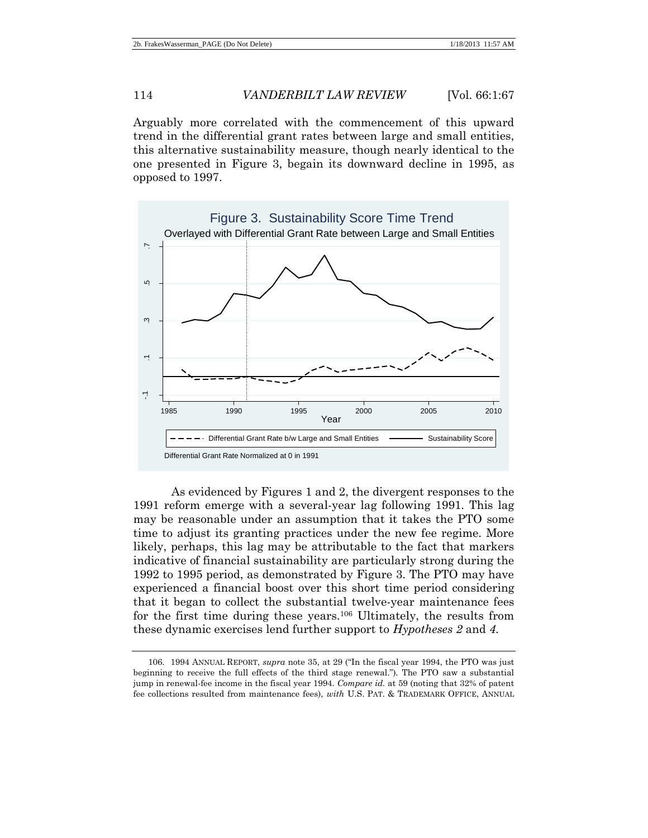Arguably more correlated with the commencement of this upward trend in the differential grant rates between large and small entities, this alternative sustainability measure, though nearly identical to the one presented in Figure 3, begain its downward decline in 1995, as opposed to 1997.



As evidenced by Figures 1 and 2, the divergent responses to the 1991 reform emerge with a several-year lag following 1991. This lag may be reasonable under an assumption that it takes the PTO some time to adjust its granting practices under the new fee regime. More likely, perhaps, this lag may be attributable to the fact that markers indicative of financial sustainability are particularly strong during the 1992 to 1995 period, as demonstrated by Figure 3. The PTO may have experienced a financial boost over this short time period considering that it began to collect the substantial twelve-year maintenance fees for the first time during these years.<sup>106</sup> Ultimately, the results from these dynamic exercises lend further support to *Hypotheses 2* and *4*.

<sup>106.</sup> 1994 ANNUAL REPORT, *supra* note 35, at 29 ("In the fiscal year 1994, the PTO was just beginning to receive the full effects of the third stage renewal."). The PTO saw a substantial jump in renewal-fee income in the fiscal year 1994. *Compare id.* at 59 (noting that 32% of patent fee collections resulted from maintenance fees), *with* U.S. PAT. & TRADEMARK OFFICE, ANNUAL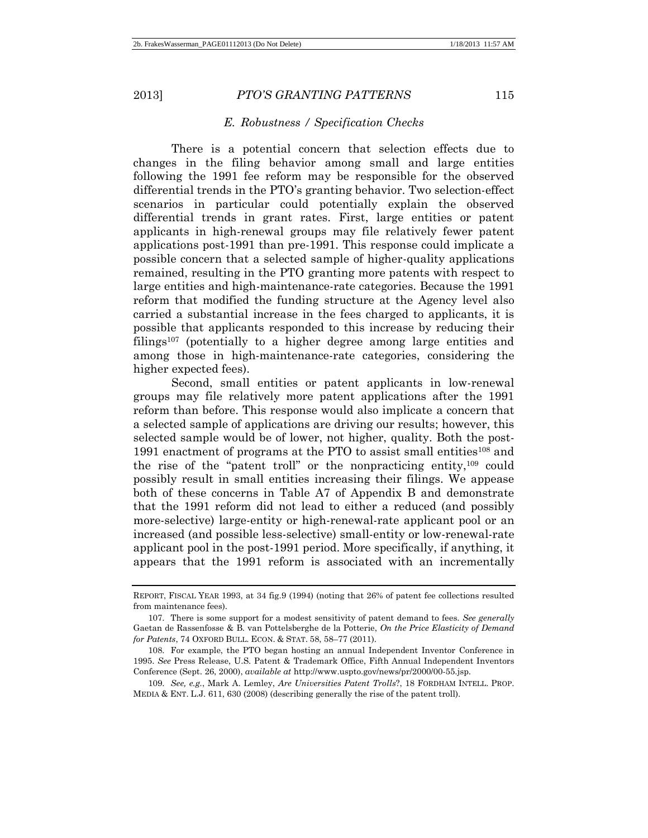#### *E. Robustness / Specification Checks*

There is a potential concern that selection effects due to changes in the filing behavior among small and large entities following the 1991 fee reform may be responsible for the observed differential trends in the PTO's granting behavior. Two selection-effect scenarios in particular could potentially explain the observed differential trends in grant rates. First, large entities or patent applicants in high-renewal groups may file relatively fewer patent applications post-1991 than pre-1991. This response could implicate a possible concern that a selected sample of higher-quality applications remained, resulting in the PTO granting more patents with respect to large entities and high-maintenance-rate categories. Because the 1991 reform that modified the funding structure at the Agency level also carried a substantial increase in the fees charged to applicants, it is possible that applicants responded to this increase by reducing their filings<sup>107</sup> (potentially to a higher degree among large entities and among those in high-maintenance-rate categories, considering the higher expected fees).

Second, small entities or patent applicants in low-renewal groups may file relatively more patent applications after the 1991 reform than before. This response would also implicate a concern that a selected sample of applications are driving our results; however, this selected sample would be of lower, not higher, quality. Both the post-1991 enactment of programs at the PTO to assist small entities<sup>108</sup> and the rise of the "patent troll" or the nonpracticing entity,<sup>109</sup> could possibly result in small entities increasing their filings. We appease both of these concerns in Table A7 of Appendix B and demonstrate that the 1991 reform did not lead to either a reduced (and possibly more-selective) large-entity or high-renewal-rate applicant pool or an increased (and possible less-selective) small-entity or low-renewal-rate applicant pool in the post-1991 period. More specifically, if anything, it appears that the 1991 reform is associated with an incrementally

REPORT, FISCAL YEAR 1993, at 34 fig.9 (1994) (noting that 26% of patent fee collections resulted from maintenance fees).

<sup>107.</sup> There is some support for a modest sensitivity of patent demand to fees. *See generally* Gaetan de Rassenfosse & B. van Pottelsberghe de la Potterie, *On the Price Elasticity of Demand for Patents*, 74 OXFORD BULL. ECON. & STAT. 58, 58–77 (2011).

<sup>108.</sup> For example, the PTO began hosting an annual Independent Inventor Conference in 1995. *See* Press Release, U.S. Patent & Trademark Office, Fifth Annual Independent Inventors Conference (Sept. 26, 2000), *available at* http://www.uspto.gov/news/pr/2000/00-55.jsp.

<sup>109.</sup> *See, e.g.*, Mark A. Lemley, *Are Universities Patent Trolls*?, 18 FORDHAM INTELL. PROP. MEDIA & ENT. L.J. 611, 630 (2008) (describing generally the rise of the patent troll).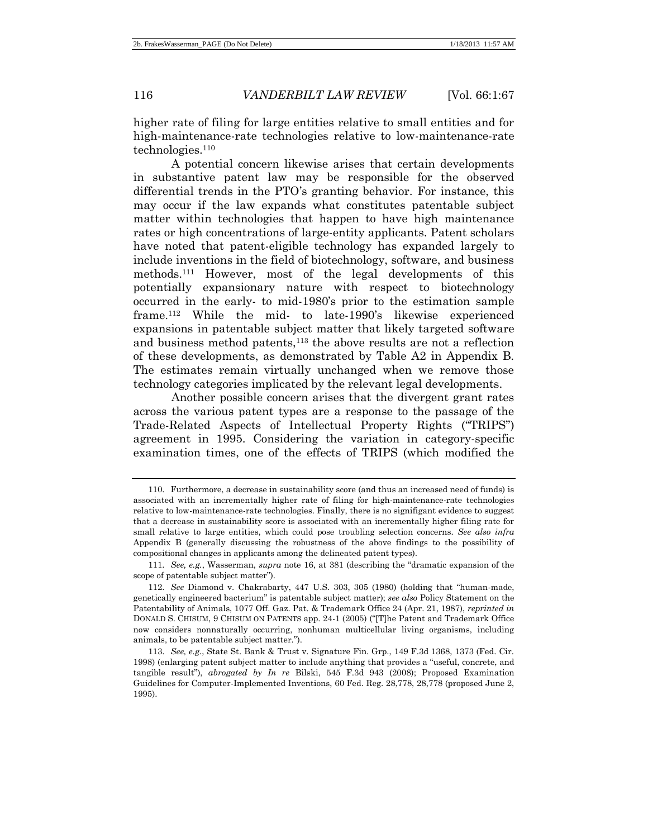higher rate of filing for large entities relative to small entities and for high-maintenance-rate technologies relative to low-maintenance-rate technologies.<sup>110</sup>

A potential concern likewise arises that certain developments in substantive patent law may be responsible for the observed differential trends in the PTO's granting behavior. For instance, this may occur if the law expands what constitutes patentable subject matter within technologies that happen to have high maintenance rates or high concentrations of large-entity applicants. Patent scholars have noted that patent-eligible technology has expanded largely to include inventions in the field of biotechnology, software, and business methods.<sup>111</sup> However, most of the legal developments of this potentially expansionary nature with respect to biotechnology occurred in the early- to mid-1980's prior to the estimation sample frame.<sup>112</sup> While the mid- to late-1990's likewise experienced expansions in patentable subject matter that likely targeted software and business method patents,<sup>113</sup> the above results are not a reflection of these developments, as demonstrated by Table A2 in Appendix B. The estimates remain virtually unchanged when we remove those technology categories implicated by the relevant legal developments.

Another possible concern arises that the divergent grant rates across the various patent types are a response to the passage of the Trade-Related Aspects of Intellectual Property Rights ("TRIPS") agreement in 1995. Considering the variation in category-specific examination times, one of the effects of TRIPS (which modified the

<sup>110.</sup> Furthermore, a decrease in sustainability score (and thus an increased need of funds) is associated with an incrementally higher rate of filing for high-maintenance-rate technologies relative to low-maintenance-rate technologies. Finally, there is no signifigant evidence to suggest that a decrease in sustainability score is associated with an incrementally higher filing rate for small relative to large entities, which could pose troubling selection concerns. *See also infra* Appendix B (generally discussing the robustness of the above findings to the possibility of compositional changes in applicants among the delineated patent types).

<sup>111.</sup> *See, e.g.*, Wasserman, *supra* note 16, at 381 (describing the "dramatic expansion of the scope of patentable subject matter").

<sup>112.</sup> *See* Diamond v. Chakrabarty, 447 U.S. 303, 305 (1980) (holding that "human-made, genetically engineered bacterium" is patentable subject matter); *see also* Policy Statement on the Patentability of Animals, 1077 Off. Gaz. Pat. & Trademark Office 24 (Apr. 21, 1987), *reprinted in* DONALD S. CHISUM, 9 CHISUM ON PATENTS app. 24-1 (2005) ("[T]he Patent and Trademark Office now considers nonnaturally occurring, nonhuman multicellular living organisms, including animals, to be patentable subject matter.").

<sup>113.</sup> *See, e.g.*, State St. Bank & Trust v. Signature Fin. Grp., 149 F.3d 1368, 1373 (Fed. Cir. 1998) (enlarging patent subject matter to include anything that provides a "useful, concrete, and tangible result"), *abrogated by In re* Bilski, 545 F.3d 943 (2008); Proposed Examination Guidelines for Computer-Implemented Inventions, 60 Fed. Reg. 28,778, 28,778 (proposed June 2, 1995).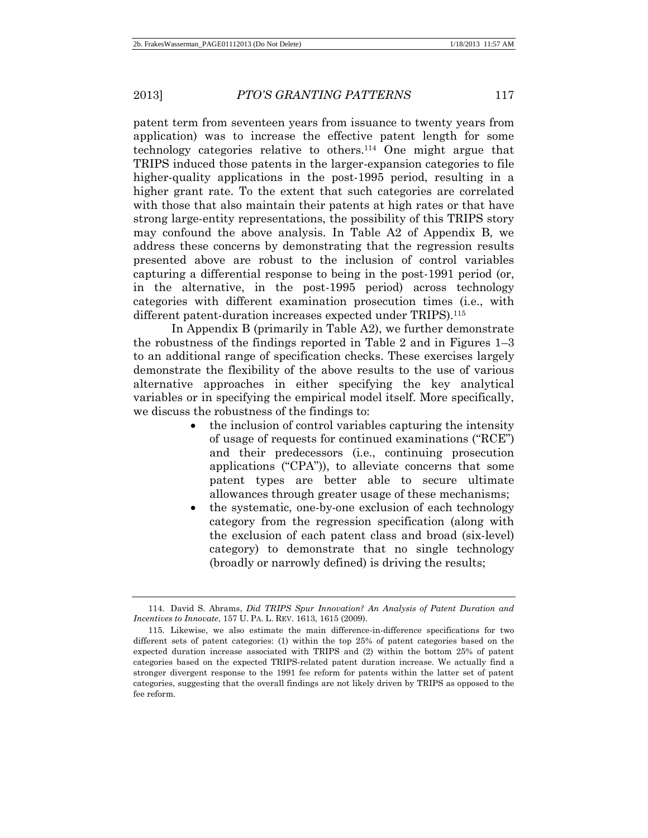patent term from seventeen years from issuance to twenty years from application) was to increase the effective patent length for some technology categories relative to others.<sup>114</sup> One might argue that TRIPS induced those patents in the larger-expansion categories to file higher-quality applications in the post-1995 period, resulting in a higher grant rate. To the extent that such categories are correlated with those that also maintain their patents at high rates or that have strong large-entity representations, the possibility of this TRIPS story may confound the above analysis. In Table A2 of Appendix B, we address these concerns by demonstrating that the regression results presented above are robust to the inclusion of control variables capturing a differential response to being in the post-1991 period (or, in the alternative, in the post-1995 period) across technology categories with different examination prosecution times (i.e., with different patent-duration increases expected under TRIPS).<sup>115</sup>

In Appendix B (primarily in Table A2), we further demonstrate the robustness of the findings reported in Table 2 and in Figures 1–3 to an additional range of specification checks. These exercises largely demonstrate the flexibility of the above results to the use of various alternative approaches in either specifying the key analytical variables or in specifying the empirical model itself. More specifically, we discuss the robustness of the findings to:

- the inclusion of control variables capturing the intensity of usage of requests for continued examinations ("RCE") and their predecessors (i.e., continuing prosecution applications ("CPA")), to alleviate concerns that some patent types are better able to secure ultimate allowances through greater usage of these mechanisms;
- the systematic, one-by-one exclusion of each technology category from the regression specification (along with the exclusion of each patent class and broad (six-level) category) to demonstrate that no single technology (broadly or narrowly defined) is driving the results;

<sup>114.</sup> David S. Abrams, *Did TRIPS Spur Innovation? An Analysis of Patent Duration and Incentives to Innovate*, 157 U. PA. L. REV. 1613, 1615 (2009).

<sup>115.</sup> Likewise, we also estimate the main difference-in-difference specifications for two different sets of patent categories: (1) within the top 25% of patent categories based on the expected duration increase associated with TRIPS and (2) within the bottom 25% of patent categories based on the expected TRIPS-related patent duration increase. We actually find a stronger divergent response to the 1991 fee reform for patents within the latter set of patent categories, suggesting that the overall findings are not likely driven by TRIPS as opposed to the fee reform.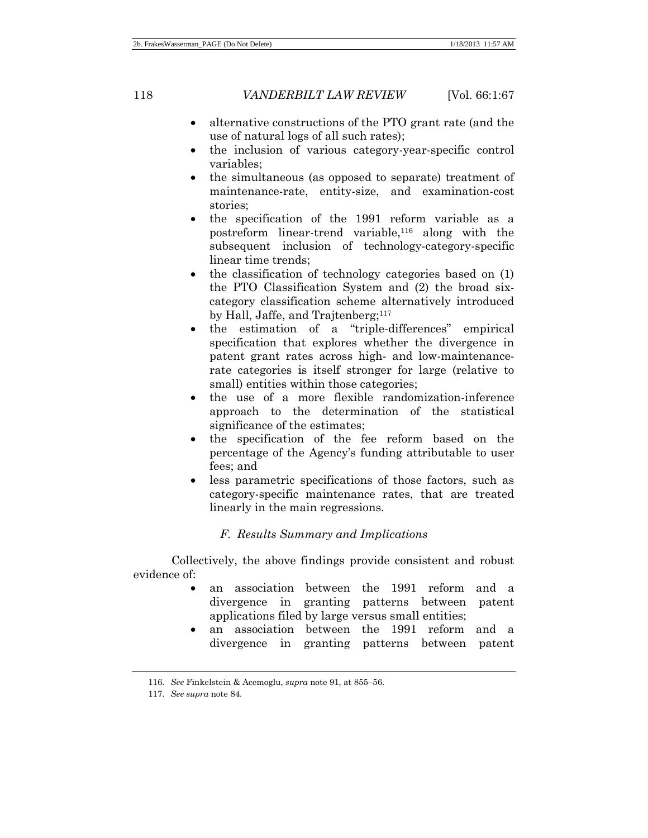- alternative constructions of the PTO grant rate (and the use of natural logs of all such rates);
- the inclusion of various category-year-specific control variables;
- the simultaneous (as opposed to separate) treatment of maintenance-rate, entity-size, and examination-cost stories;
- the specification of the 1991 reform variable as a postreform linear-trend variable,<sup>116</sup> along with the subsequent inclusion of technology-category-specific linear time trends;
- the classification of technology categories based on (1) the PTO Classification System and (2) the broad sixcategory classification scheme alternatively introduced by Hall, Jaffe, and Trajtenberg;<sup>117</sup>
- the estimation of a "triple-differences" empirical specification that explores whether the divergence in patent grant rates across high- and low-maintenancerate categories is itself stronger for large (relative to small) entities within those categories;
- the use of a more flexible randomization-inference approach to the determination of the statistical significance of the estimates;
- the specification of the fee reform based on the percentage of the Agency's funding attributable to user fees; and
- less parametric specifications of those factors, such as category-specific maintenance rates, that are treated linearly in the main regressions.

## *F. Results Summary and Implications*

Collectively, the above findings provide consistent and robust evidence of:

- an association between the 1991 reform and a divergence in granting patterns between patent applications filed by large versus small entities;
- an association between the 1991 reform and a divergence in granting patterns between patent

<sup>116.</sup> *See* Finkelstein & Acemoglu, *supra* note 91, at 855–56.

<sup>117.</sup> *See supra* note 84.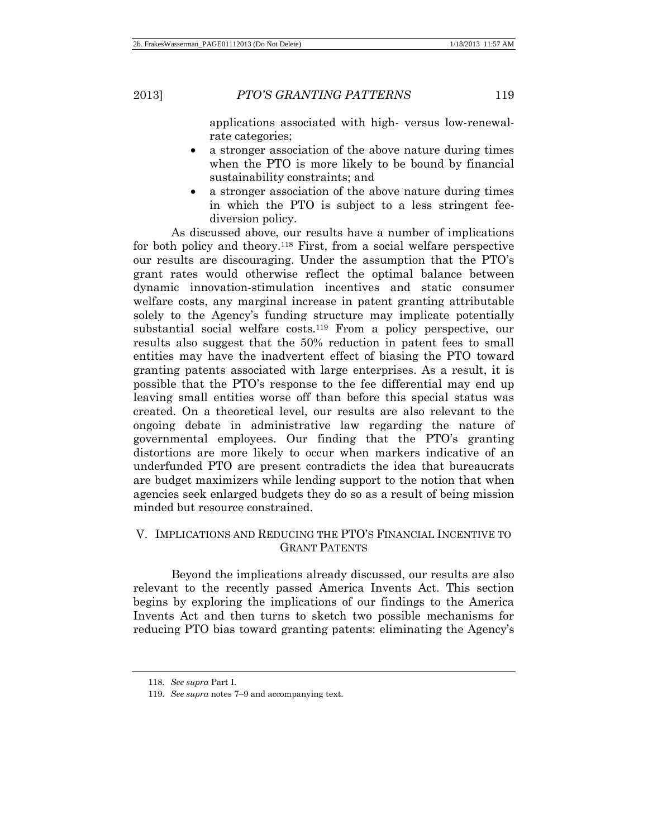applications associated with high- versus low-renewalrate categories;

- a stronger association of the above nature during times when the PTO is more likely to be bound by financial sustainability constraints; and
- a stronger association of the above nature during times in which the PTO is subject to a less stringent feediversion policy.

As discussed above, our results have a number of implications for both policy and theory.<sup>118</sup> First, from a social welfare perspective our results are discouraging. Under the assumption that the PTO's grant rates would otherwise reflect the optimal balance between dynamic innovation-stimulation incentives and static consumer welfare costs, any marginal increase in patent granting attributable solely to the Agency's funding structure may implicate potentially substantial social welfare costs.<sup>119</sup> From a policy perspective, our results also suggest that the 50% reduction in patent fees to small entities may have the inadvertent effect of biasing the PTO toward granting patents associated with large enterprises. As a result, it is possible that the PTO's response to the fee differential may end up leaving small entities worse off than before this special status was created. On a theoretical level, our results are also relevant to the ongoing debate in administrative law regarding the nature of governmental employees. Our finding that the PTO's granting distortions are more likely to occur when markers indicative of an underfunded PTO are present contradicts the idea that bureaucrats are budget maximizers while lending support to the notion that when agencies seek enlarged budgets they do so as a result of being mission minded but resource constrained.

# V. IMPLICATIONS AND REDUCING THE PTO'S FINANCIAL INCENTIVE TO GRANT PATENTS

Beyond the implications already discussed, our results are also relevant to the recently passed America Invents Act. This section begins by exploring the implications of our findings to the America Invents Act and then turns to sketch two possible mechanisms for reducing PTO bias toward granting patents: eliminating the Agency's

<sup>118.</sup> *See supra* Part I.

<sup>119.</sup> *See supra* notes 7–9 and accompanying text.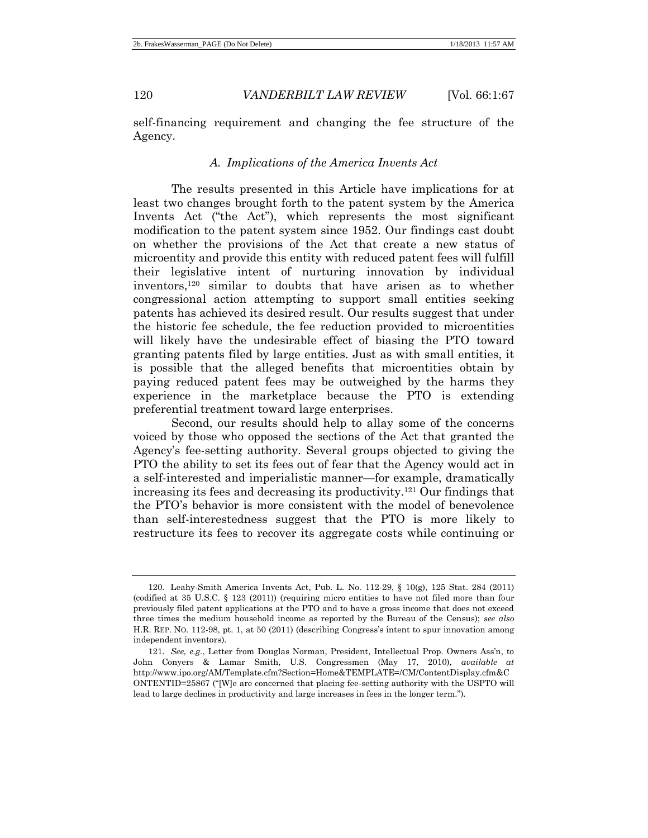self-financing requirement and changing the fee structure of the Agency.

## *A. Implications of the America Invents Act*

The results presented in this Article have implications for at least two changes brought forth to the patent system by the America Invents Act ("the Act"), which represents the most significant modification to the patent system since 1952. Our findings cast doubt on whether the provisions of the Act that create a new status of microentity and provide this entity with reduced patent fees will fulfill their legislative intent of nurturing innovation by individual inventors, <sup>120</sup> similar to doubts that have arisen as to whether congressional action attempting to support small entities seeking patents has achieved its desired result. Our results suggest that under the historic fee schedule, the fee reduction provided to microentities will likely have the undesirable effect of biasing the PTO toward granting patents filed by large entities. Just as with small entities, it is possible that the alleged benefits that microentities obtain by paying reduced patent fees may be outweighed by the harms they experience in the marketplace because the PTO is extending preferential treatment toward large enterprises.

Second, our results should help to allay some of the concerns voiced by those who opposed the sections of the Act that granted the Agency's fee-setting authority. Several groups objected to giving the PTO the ability to set its fees out of fear that the Agency would act in a self-interested and imperialistic manner—for example, dramatically increasing its fees and decreasing its productivity.<sup>121</sup> Our findings that the PTO's behavior is more consistent with the model of benevolence than self-interestedness suggest that the PTO is more likely to restructure its fees to recover its aggregate costs while continuing or

<sup>120.</sup> Leahy-Smith America Invents Act, Pub. L. No. 112-29, § 10(g), 125 Stat. 284 (2011) (codified at 35 U.S.C. § 123 (2011)) (requiring micro entities to have not filed more than four previously filed patent applications at the PTO and to have a gross income that does not exceed three times the medium household income as reported by the Bureau of the Census); *see also* H.R. REP. NO. 112-98, pt. 1, at 50 (2011) (describing Congress's intent to spur innovation among independent inventors).

<sup>121.</sup> *See, e.g.*, Letter from Douglas Norman, President, Intellectual Prop. Owners Ass'n, to John Conyers & Lamar Smith, U.S. Congressmen (May 17, 2010), *available at* http://www.ipo.org/AM/Template.cfm?Section=Home&TEMPLATE=/CM/ContentDisplay.cfm&C ONTENTID=25867 ("[W]e are concerned that placing fee-setting authority with the USPTO will lead to large declines in productivity and large increases in fees in the longer term.").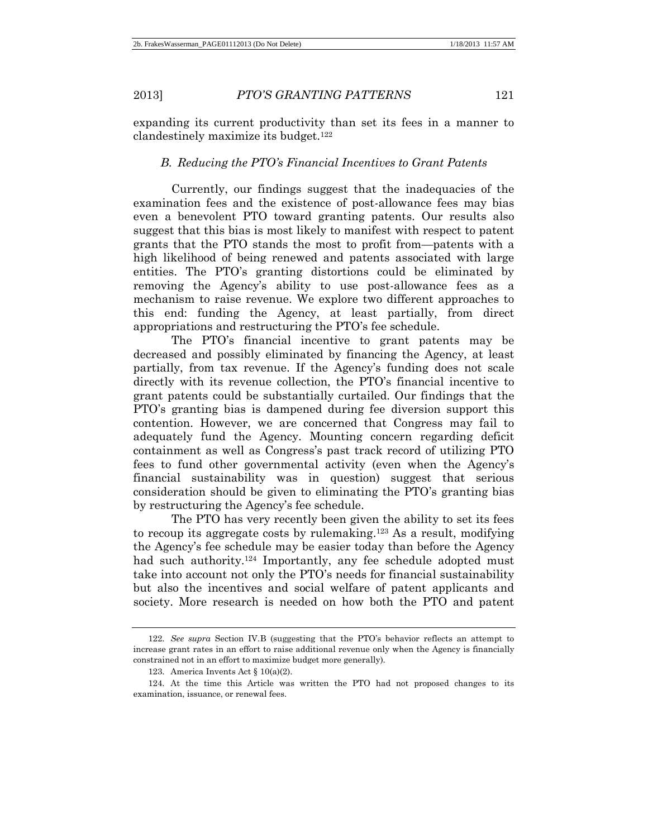expanding its current productivity than set its fees in a manner to clandestinely maximize its budget. $122$ 

## *B. Reducing the PTO's Financial Incentives to Grant Patents*

Currently, our findings suggest that the inadequacies of the examination fees and the existence of post-allowance fees may bias even a benevolent PTO toward granting patents. Our results also suggest that this bias is most likely to manifest with respect to patent grants that the PTO stands the most to profit from—patents with a high likelihood of being renewed and patents associated with large entities. The PTO's granting distortions could be eliminated by removing the Agency's ability to use post-allowance fees as a mechanism to raise revenue. We explore two different approaches to this end: funding the Agency, at least partially, from direct appropriations and restructuring the PTO's fee schedule.

The PTO's financial incentive to grant patents may be decreased and possibly eliminated by financing the Agency, at least partially, from tax revenue. If the Agency's funding does not scale directly with its revenue collection, the PTO's financial incentive to grant patents could be substantially curtailed. Our findings that the PTO's granting bias is dampened during fee diversion support this contention. However, we are concerned that Congress may fail to adequately fund the Agency. Mounting concern regarding deficit containment as well as Congress's past track record of utilizing PTO fees to fund other governmental activity (even when the Agency's financial sustainability was in question) suggest that serious consideration should be given to eliminating the PTO's granting bias by restructuring the Agency's fee schedule.

The PTO has very recently been given the ability to set its fees to recoup its aggregate costs by rulemaking. <sup>123</sup> As a result, modifying the Agency's fee schedule may be easier today than before the Agency had such authority.<sup>124</sup> Importantly, any fee schedule adopted must take into account not only the PTO's needs for financial sustainability but also the incentives and social welfare of patent applicants and society. More research is needed on how both the PTO and patent

<sup>122.</sup> *See supra* Section IV.B (suggesting that the PTO's behavior reflects an attempt to increase grant rates in an effort to raise additional revenue only when the Agency is financially constrained not in an effort to maximize budget more generally).

<sup>123.</sup> America Invents Act  $\S 10(a)(2)$ .

<sup>124.</sup> At the time this Article was written the PTO had not proposed changes to its examination, issuance, or renewal fees.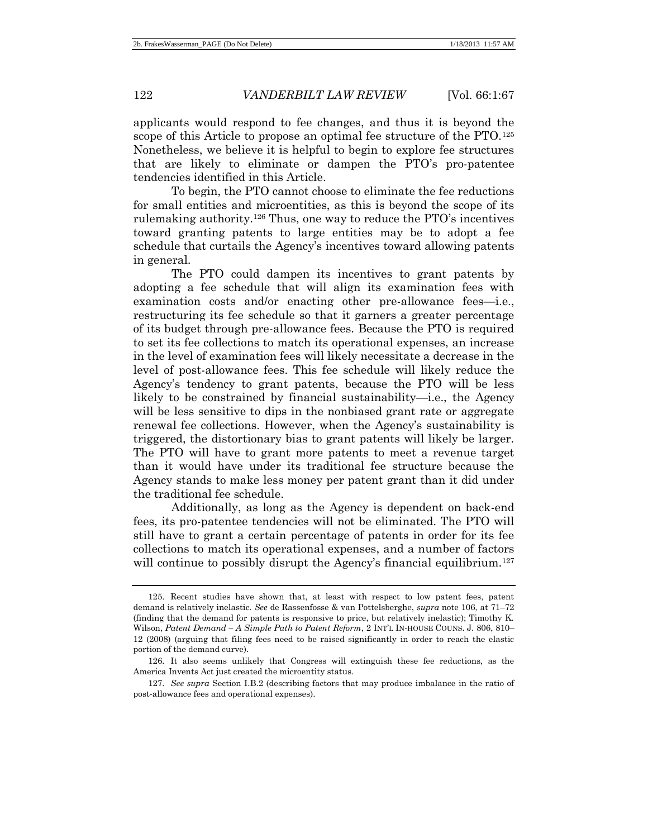applicants would respond to fee changes, and thus it is beyond the scope of this Article to propose an optimal fee structure of the PTO.<sup>125</sup> Nonetheless, we believe it is helpful to begin to explore fee structures that are likely to eliminate or dampen the PTO's pro-patentee tendencies identified in this Article.

To begin, the PTO cannot choose to eliminate the fee reductions for small entities and microentities, as this is beyond the scope of its rulemaking authority.<sup>126</sup> Thus, one way to reduce the PTO's incentives toward granting patents to large entities may be to adopt a fee schedule that curtails the Agency's incentives toward allowing patents in general.

The PTO could dampen its incentives to grant patents by adopting a fee schedule that will align its examination fees with examination costs and/or enacting other pre-allowance fees—i.e., restructuring its fee schedule so that it garners a greater percentage of its budget through pre-allowance fees. Because the PTO is required to set its fee collections to match its operational expenses, an increase in the level of examination fees will likely necessitate a decrease in the level of post-allowance fees. This fee schedule will likely reduce the Agency's tendency to grant patents, because the PTO will be less likely to be constrained by financial sustainability—i.e., the Agency will be less sensitive to dips in the nonbiased grant rate or aggregate renewal fee collections. However, when the Agency's sustainability is triggered, the distortionary bias to grant patents will likely be larger. The PTO will have to grant more patents to meet a revenue target than it would have under its traditional fee structure because the Agency stands to make less money per patent grant than it did under the traditional fee schedule.

Additionally, as long as the Agency is dependent on back-end fees, its pro-patentee tendencies will not be eliminated. The PTO will still have to grant a certain percentage of patents in order for its fee collections to match its operational expenses, and a number of factors will continue to possibly disrupt the Agency's financial equilibrium.<sup>127</sup>

<sup>125.</sup> Recent studies have shown that, at least with respect to low patent fees, patent demand is relatively inelastic. *See* de Rassenfosse & van Pottelsberghe, *supra* note 106, at 71–72 (finding that the demand for patents is responsive to price, but relatively inelastic); Timothy K. Wilson, *Patent Demand – A Simple Path to Patent Reform*, 2 INT'L IN-HOUSE COUNS. J. 806, 810– 12 (2008) (arguing that filing fees need to be raised significantly in order to reach the elastic portion of the demand curve).

<sup>126.</sup> It also seems unlikely that Congress will extinguish these fee reductions, as the America Invents Act just created the microentity status.

<sup>127.</sup> *See supra* Section I.B.2 (describing factors that may produce imbalance in the ratio of post-allowance fees and operational expenses).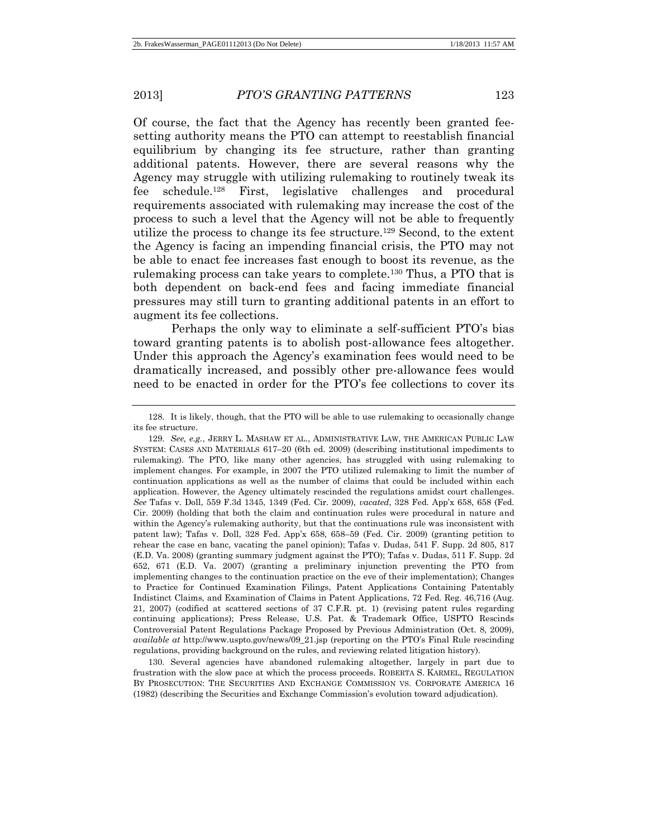Of course, the fact that the Agency has recently been granted feesetting authority means the PTO can attempt to reestablish financial equilibrium by changing its fee structure, rather than granting additional patents. However, there are several reasons why the Agency may struggle with utilizing rulemaking to routinely tweak its fee schedule.<sup>128</sup> First, legislative challenges and procedural requirements associated with rulemaking may increase the cost of the process to such a level that the Agency will not be able to frequently utilize the process to change its fee structure.<sup>129</sup> Second, to the extent the Agency is facing an impending financial crisis, the PTO may not be able to enact fee increases fast enough to boost its revenue, as the rulemaking process can take years to complete.<sup>130</sup> Thus, a PTO that is both dependent on back-end fees and facing immediate financial pressures may still turn to granting additional patents in an effort to augment its fee collections.

Perhaps the only way to eliminate a self-sufficient PTO's bias toward granting patents is to abolish post-allowance fees altogether. Under this approach the Agency's examination fees would need to be dramatically increased, and possibly other pre-allowance fees would need to be enacted in order for the PTO's fee collections to cover its

130. Several agencies have abandoned rulemaking altogether, largely in part due to frustration with the slow pace at which the process proceeds. ROBERTA S. KARMEL, REGULATION BY PROSECUTION: THE SECURITIES AND EXCHANGE COMMISSION VS. CORPORATE AMERICA 16 (1982) (describing the Securities and Exchange Commission's evolution toward adjudication).

<sup>128.</sup> It is likely, though, that the PTO will be able to use rulemaking to occasionally change its fee structure.

<sup>129.</sup> *See, e.g.*, JERRY L. MASHAW ET AL., ADMINISTRATIVE LAW, THE AMERICAN PUBLIC LAW SYSTEM: CASES AND MATERIALS 617–20 (6th ed. 2009) (describing institutional impediments to rulemaking). The PTO, like many other agencies, has struggled with using rulemaking to implement changes. For example, in 2007 the PTO utilized rulemaking to limit the number of continuation applications as well as the number of claims that could be included within each application. However, the Agency ultimately rescinded the regulations amidst court challenges. *See* Tafas v. Doll, 559 F.3d 1345, 1349 (Fed. Cir. 2009), *vacated*, 328 Fed. App'x 658, 658 (Fed. Cir. 2009) (holding that both the claim and continuation rules were procedural in nature and within the Agency's rulemaking authority, but that the continuations rule was inconsistent with patent law); Tafas v. Doll, 328 Fed. App'x 658, 658–59 (Fed. Cir. 2009) (granting petition to rehear the case en banc, vacating the panel opinion); Tafas v. Dudas, 541 F. Supp. 2d 805, 817 (E.D. Va. 2008) (granting summary judgment against the PTO); Tafas v. Dudas, 511 F. Supp. 2d 652, 671 (E.D. Va. 2007) (granting a preliminary injunction preventing the PTO from implementing changes to the continuation practice on the eve of their implementation); Changes to Practice for Continued Examination Filings, Patent Applications Containing Patentably Indistinct Claims, and Examination of Claims in Patent Applications, 72 Fed. Reg. 46,716 (Aug. 21, 2007) (codified at scattered sections of 37 C.F.R. pt. 1) (revising patent rules regarding continuing applications); Press Release, U.S. Pat. & Trademark Office, USPTO Rescinds Controversial Patent Regulations Package Proposed by Previous Administration (Oct. 8, 2009), *available at* http://www.uspto.gov/news/09\_21.jsp (reporting on the PTO's Final Rule rescinding regulations, providing background on the rules, and reviewing related litigation history).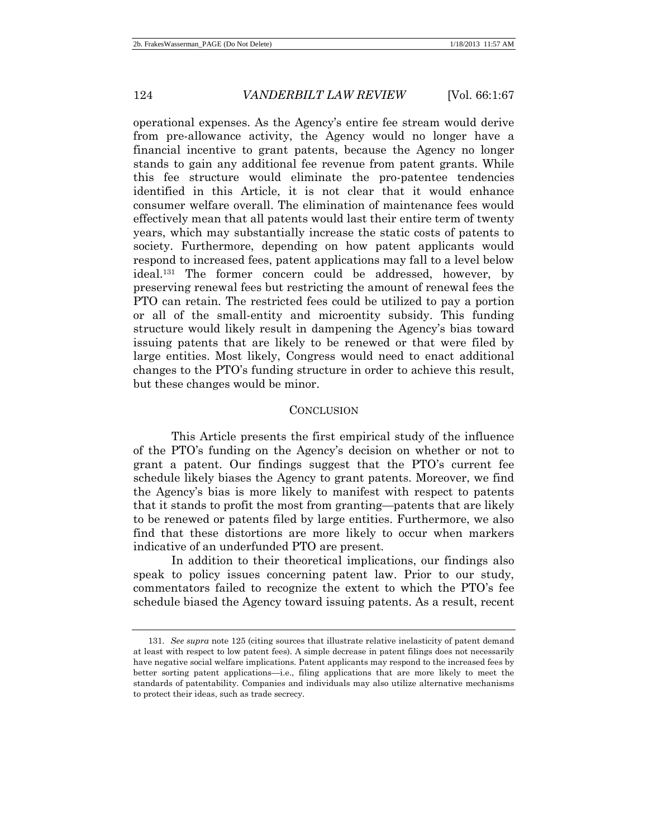operational expenses. As the Agency's entire fee stream would derive from pre-allowance activity, the Agency would no longer have a financial incentive to grant patents, because the Agency no longer stands to gain any additional fee revenue from patent grants. While this fee structure would eliminate the pro-patentee tendencies identified in this Article, it is not clear that it would enhance consumer welfare overall. The elimination of maintenance fees would effectively mean that all patents would last their entire term of twenty years, which may substantially increase the static costs of patents to society. Furthermore, depending on how patent applicants would respond to increased fees, patent applications may fall to a level below ideal.<sup>131</sup> The former concern could be addressed, however, by preserving renewal fees but restricting the amount of renewal fees the PTO can retain. The restricted fees could be utilized to pay a portion or all of the small-entity and microentity subsidy. This funding structure would likely result in dampening the Agency's bias toward issuing patents that are likely to be renewed or that were filed by large entities. Most likely, Congress would need to enact additional changes to the PTO's funding structure in order to achieve this result, but these changes would be minor.

#### **CONCLUSION**

This Article presents the first empirical study of the influence of the PTO's funding on the Agency's decision on whether or not to grant a patent. Our findings suggest that the PTO's current fee schedule likely biases the Agency to grant patents. Moreover, we find the Agency's bias is more likely to manifest with respect to patents that it stands to profit the most from granting—patents that are likely to be renewed or patents filed by large entities. Furthermore, we also find that these distortions are more likely to occur when markers indicative of an underfunded PTO are present.

In addition to their theoretical implications, our findings also speak to policy issues concerning patent law. Prior to our study, commentators failed to recognize the extent to which the PTO's fee schedule biased the Agency toward issuing patents. As a result, recent

<sup>131.</sup> *See supra* note 125 (citing sources that illustrate relative inelasticity of patent demand at least with respect to low patent fees). A simple decrease in patent filings does not necessarily have negative social welfare implications. Patent applicants may respond to the increased fees by better sorting patent applications—i.e., filing applications that are more likely to meet the standards of patentability. Companies and individuals may also utilize alternative mechanisms to protect their ideas, such as trade secrecy.